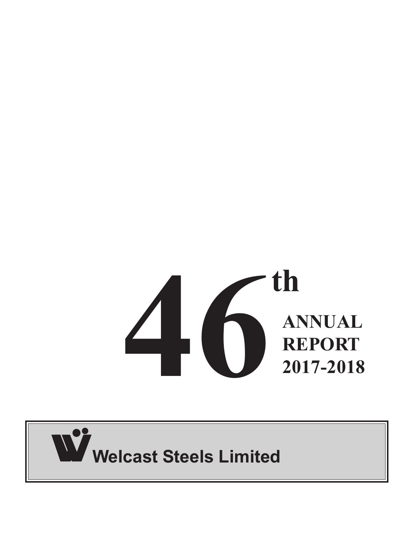

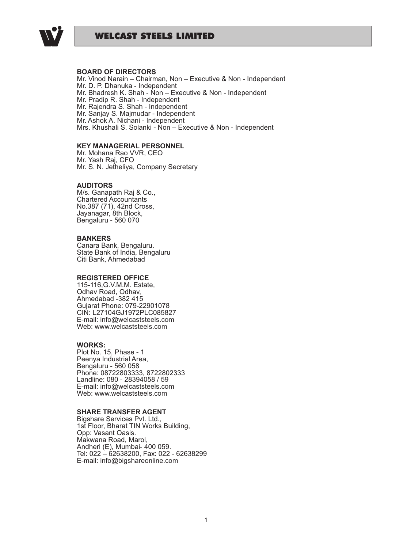

#### **BOARD OF DIRECTORS**

Mr. Vinod Narain – Chairman, Non – Executive & Non - Independent Mr. D. P. Dhanuka - Independent Mr. Bhadresh K. Shah - Non – Executive & Non - Independent Mr. Pradip R. Shah - Independent Mr. Rajendra S. Shah - Independent Mr. Sanjay S. Majmudar - Independent Mr. Ashok A. Nichani - Independent Mrs. Khushali S. Solanki - Non - Executive & Non - Independent

#### **KEY MANAGERIAL PERSONNEL**

Mr. Mohana Rao VVR, CEO Mr. Yash Raj, CFO Mr. S. N. Jetheliya, Company Secretary

#### **AUDITORS**

M/s. Ganapath Raj & Co., Chartered Accountants No.387 (71), 42nd Cross, Jayanagar, 8th Block, Bengaluru - 560 070

#### **BANKERS**

Canara Bank, Bengaluru. State Bank of India, Bengaluru Citi Bank, Ahmedabad

#### **REGISTERED OFFICE**

115-116,G.V.M.M. Estate, Odhav Road, Odhav, Ahmedabad -382 415 Gujarat Phone: 079-22901078 CIN: L27104GJ1972PLC085827 E-mail: info@welcaststeels.com Web: www.welcaststeels.com

#### **WORKS:**

Plot No. 15, Phase - 1 Peenya Industrial Area, Bengaluru - 560 058 Phone: 08722803333, 8722802333 Landline: 080 - 28394058 / 59 E-mail: info@welcaststeels.com Web: www.welcaststeels.com

#### **SHARE TRANSFER AGENT**

Bigshare Services Pvt. Ltd., 1st Floor, Bharat TIN Works Building, Opp: Vasant Oasis. Makwana Road, Marol, Andheri (E), Mumbai- 400 059. Tel: 022 – 62638200, Fax: 022 - 62638299 E-mail: info@bigshareonline.com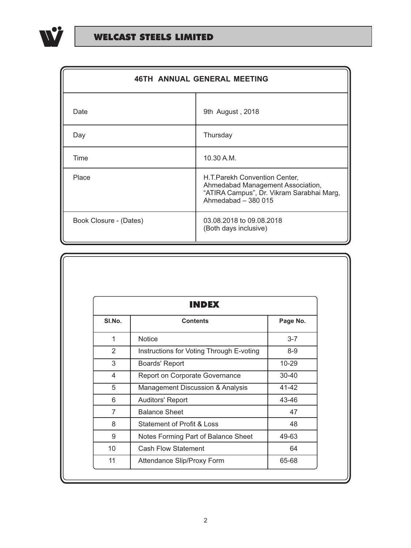

# WELCAST STEELS LIMITED

| 46TH ANNUAL GENERAL MEETING |                                                                                                                                        |
|-----------------------------|----------------------------------------------------------------------------------------------------------------------------------------|
| Date                        | 9th August, 2018                                                                                                                       |
| Day                         | Thursday                                                                                                                               |
| Time                        | 10.30 A.M.                                                                                                                             |
| Place                       | H.T.Parekh Convention Center,<br>Ahmedabad Management Association,<br>"ATIRA Campus", Dr. Vikram Sarabhai Marg,<br>Ahmedabad - 380 015 |
| Book Closure - (Dates)      | 03.08.2018 to 09.08.2018<br>(Both days inclusive)                                                                                      |

|        | <b>INDEX</b>                                |          |
|--------|---------------------------------------------|----------|
| SI.No. | <b>Contents</b>                             | Page No. |
| 1      | <b>Notice</b>                               | $3 - 7$  |
| 2      | Instructions for Voting Through E-voting    | $8-9$    |
| 3      | 10-29<br><b>Boards' Report</b>              |          |
| 4      | Report on Corporate Governance<br>$30 - 40$ |          |
| 5      | Management Discussion & Analysis<br>41-42   |          |
| 6      | 43-46<br>Auditors' Report                   |          |
| 7      | <b>Balance Sheet</b><br>47                  |          |
| 8      | Statement of Profit & Loss<br>48            |          |
| 9      | Notes Forming Part of Balance Sheet         | 49-63    |
| 10     | Cash Flow Statement                         | 64       |
| 11     | Attendance Slip/Proxy Form                  | 65-68    |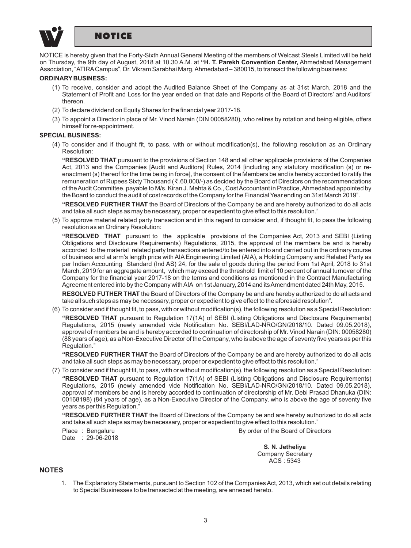NOTICE is hereby given that the Forty-Sixth Annual General Meeting of the members of Welcast Steels Limited will be held on Thursday, the 9th day of August, 2018 at 10.30 A.M. at "H. T. Parekh Convention Center, Ahmedabad Management Association, "ATIRACampus", Dr. Vikram Sarabhai Marg,Ahmedabad – 380015, to transact the following business:

#### **ORDINARY BUSINESS:**

- (1) To receive, consider and adopt the Audited Balance Sheet of the Company as at 31st March, 2018 and the Statement of Profit and Loss for the year ended on that date and Reports of the Board of Directors' and Auditors' thereon.
- (2) To declare dividend on Equity Shares for the financial year 2017-18.
- (3) To appoint a Director in place of Mr. Vinod Narain (DIN 00058280), who retires by rotation and being eligible, offers himself for re-appointment.

#### **SPECIAL BUSINESS:**

(4) To consider and if thought fit, to pass, with or without modification(s), the following resolution as an Ordinary Resolution:

**"RESOLVED THAT** pursuant to the provisions of Section 148 and all other applicable provisions of the Companies Act, 2013 and the Companies [Audit and Auditors] Rules, 2014 [including any statutory modification (s) or reenactment (s) thereof for the time being in force], the consent of the Members be and is hereby accorded to ratify the remuneration of Rupees Sixty Thousand (  $\bar{\xi}$ ,60,000/-) as decided by the Board of Directors on the recommendations of theAudit Committee, payable to M/s. Kiran J. Mehta & Co., CostAccountant in Practice,Ahmedabad appointed by the Board to conduct the audit of cost records of the Company for the Financial Year ending on 31st March 2019".

**"RESOLVED FURTHER THAT** the Board of Directors of the Company be and are hereby authorized to do all acts and take all such steps as may be necessary, proper or expedient to give effect to this resolution."

(5) To approve material related party transaction and in this regard to consider and, if thought fit, to pass the following resolution as an Ordinary Resolution:

**"RESOLVED THAT** pursuant to the applicable provisions of the Companies Act, 2013 and SEBI (Listing Obligations and Disclosure Requirements) Regulations, 2015, the approval of the members be and is hereby accorded to the material related party transactions entered/to be entered into and carried out in the ordinary course of business and at arm's length price with AIA Engineering Limited (AIA), a Holding Company and Related Party as per Indian Accounting Standard (Ind AS) 24, for the sale of goods during the period from 1st April, 2018 to 31st March, 2019 for an aggregate amount, which may exceed the threshold limit of 10 percent of annual turnover of the Company for the financial year 2017-18 on the terms and conditions as mentioned in the Contract Manufacturing Agreement entered into by the Company withAIA on 1st January, 2014 and itsAmendment dated 24th May, 2015.

**RESOLVED FUTHER THAT** the Board of Directors of the Company be and are hereby authorized to do all acts and take all such steps as may be necessary, proper or expedient to give effect to the aforesaid resolution"**.**

(6) To consider and if thought fit, to pass, with or without modification(s), the following resolution as a Special Resolution:

**"RESOLVED THAT** pursuant to Regulation 17(1A) of SEBI (Listing Obligations and Disclosure Requirements) Regulations, 2015 (newly amended vide Notification No. SEBI/LAD-NRO/GN/2018/10. Dated 09.05.2018), approval of members be and is hereby accorded to continuation of directorship of Mr. Vinod Narain (DIN: 00058280) (88 years of age), as a Non-Executive Director of the Company, who is above the age of seventy five years as per this Regulation."

**"RESOLVED FURTHER THAT** the Board of Directors of the Company be and are hereby authorized to do all acts and take all such steps as may be necessary, proper or expedient to give effect to this resolution."

(7) To consider and if thought fit, to pass, with or without modification(s), the following resolution as a Special Resolution: **"RESOLVED THAT** pursuant to Regulation 17(1A) of SEBI (Listing Obligations and Disclosure Requirements) Regulations, 2015 (newly amended vide Notification No. SEBI/LAD-NRO/GN/2018/10. Dated 09.05.2018), approval of members be and is hereby accorded to continuation of directorship of Mr. Debi Prasad Dhanuka (DIN: 00168198) (84 years of age), as a Non-Executive Director of the Company, who is above the age of seventy five years as per this Regulation."

**"RESOLVED FURTHER THAT** the Board of Directors of the Company be and are hereby authorized to do all acts and take all such steps as may be necessary, proper or expedient to give effect to this resolution."

Date : 29-06-2018

Place: Bengaluru By order of the Board of Directors

**S. N. Jetheliya** Company Secretary ACS : 5343

#### **NOTES**

1. The Explanatory Statements, pursuant to Section 102 of the Companies Act, 2013, which set out details relating to Special Businesses to be transacted at the meeting, are annexed hereto.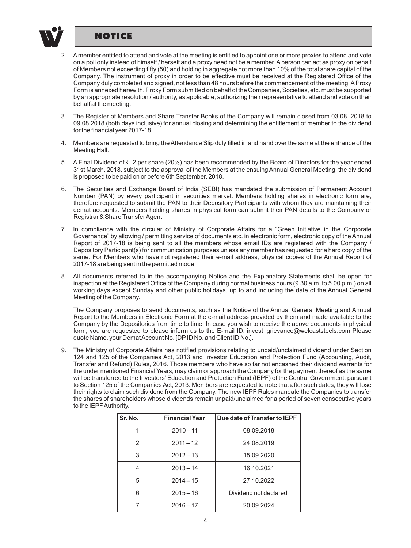

- 2. A member entitled to attend and vote at the meeting is entitled to appoint one or more proxies to attend and vote on a poll only instead of himself / herself and a proxy need not be a member. A person can act as proxy on behalf of Members not exceeding fifty (50) and holding in aggregate not more than 10% of the total share capital of the Company. The instrument of proxy in order to be effective must be received at the Registered Office of the Company duly completed and signed, not less than 48 hours before the commencement of the meeting.AProxy Form is annexed herewith. Proxy Form submitted on behalf of the Companies, Societies, etc. must be supported by an appropriate resolution / authority, as applicable, authorizing their representative to attend and vote on their behalf at the meeting.
- 3. The Register of Members and Share Transfer Books of the Company will remain closed from 03.08. 2018 to 09.08.2018 (both days inclusive) for annual closing and determining the entitlement of member to the dividend for the financial year 2017-18.
- 4. Members are requested to bring the Attendance Slip duly filled in and hand over the same at the entrance of the Meeting Hall.
- 5. A Final Dividend of  $\bar{\zeta}$ , 2 per share (20%) has been recommended by the Board of Directors for the year ended 31st March, 2018, subject to the approval of the Members at the ensuing Annual General Meeting, the dividend is proposed to be paid on or before 6th September, 2018.
- 6. The Securities and Exchange Board of India (SEBI) has mandated the submission of Permanent Account Number (PAN) by every participant in securities market. Members holding shares in electronic form are, therefore requested to submit the PAN to their Depository Participants with whom they are maintaining their demat accounts. Members holding shares in physical form can submit their PAN details to the Company or Registrar & Share TransferAgent.
- 7. In compliance with the circular of Ministry of Corporate Affairs for a "Green Initiative in the Corporate Governance" by allowing / permitting service of documents etc. in electronic form, electronic copy of the Annual Report of 2017-18 is being sent to all the members whose email IDs are registered with the Company / Depository Participant(s) for communication purposes unless any member has requested for a hard copy of the same. For Members who have not registered their e-mail address, physical copies of the Annual Report of 2017-18 are being sent in the permitted mode.
- 8. All documents referred to in the accompanying Notice and the Explanatory Statements shall be open for inspection at the Registered Office of the Company during normal business hours (9.30 a.m. to 5.00 p.m.) on all working days except Sunday and other public holidays, up to and including the date of the Annual General Meeting of the Company.

The Company proposes to send documents, such as the Notice of the Annual General Meeting and Annual Report to the Members in Electronic Form at the e-mail address provided by them and made available to the Company by the Depositories from time to time. In case you wish to receive the above documents in physical form, you are requested to please inform us to the E-mail ID. invest grievance@welcaststeels.com Please quote Name, your DematAccount No. [DP ID No. and Client ID No.].

9. The Ministry of Corporate Affairs has notified provisions relating to unpaid/unclaimed dividend under Section 124 and 125 of the Companies Act, 2013 and Investor Education and Protection Fund (Accounting, Audit, Transfer and Refund) Rules, 2016. Those members who have so far not encashed their dividend warrants for the under mentioned Financial Years, may claim or approach the Company for the payment thereof as the same will be transferred to the Investors' Education and Protection Fund (IEPF) of the Central Government, pursuant to Section 125 of the Companies Act, 2013. Members are requested to note that after such dates, they will lose their rights to claim such dividend from the Company. The new IEPF Rules mandate the Companies to transfer the shares of shareholders whose dividends remain unpaid/unclaimed for a period of seven consecutive years to the IEPFAuthority.

| Sr. No. | <b>Financial Year</b>     | Due date of Transfer to IEPF |  |
|---------|---------------------------|------------------------------|--|
|         | $2010 - 11$               | 08.09.2018                   |  |
| 2       | $2011 - 12$               | 24.08.2019                   |  |
| 3       | $2012 - 13$<br>15.09.2020 |                              |  |
| 4       | $2013 - 14$               | 16.10.2021                   |  |
| 5       | $2014 - 15$               | 27.10.2022                   |  |
| 6       | $2015 - 16$               | Dividend not declared        |  |
|         | $2016 - 17$               | 20.09.2024                   |  |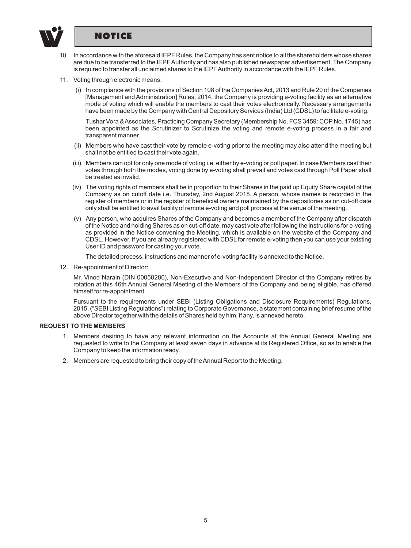

- 10. In accordance with the aforesaid IEPF Rules, the Company has sent notice to all the shareholders whose shares are due to be transferred to the IEPFAuthority and has also published newspaper advertisement. The Company is required to transfer all unclaimed shares to the IEPF Authority in accordance with the IEPF Rules.
- 11. Voting through electronic means:
	- (i) In compliance with the provisions of Section 108 of the Companies Act, 2013 and Rule 20 of the Companies [Management and Administration] Rules, 2014, the Company is providing e-voting facility as an alternative mode of voting which will enable the members to cast their votes electronically. Necessary arrangements have been made by the Company with Central Depository Services (India) Ltd (CDSL) to facilitate e-voting.

Tushar Vora &Associates, Practicing Company Secretary (Membership No. FCS 3459: COP No. 1745) has been appointed as the Scrutinizer to Scrutinize the voting and remote e-voting process in a fair and transparent manner.

- (ii) Members who have cast their vote by remote e-voting prior to the meeting may also attend the meeting but shall not be entitled to cast their vote again.
- (iii) Members can opt for only one mode of voting i.e. either by e-voting or poll paper. In case Members cast their votes through both the modes, voting done by e-voting shall prevail and votes cast through Poll Paper shall be treated as invalid.
- (iv) The voting rights of members shall be in proportion to their Shares in the paid up Equity Share capital of the Company as on cutoff date i.e. Thursday, 2nd August 2018. A person, whose names is recorded in the register of members or in the register of beneficial owners maintained by the depositories as on cut-off date only shall be entitled to avail facility of remote e-voting and poll process at the venue of the meeting.
- (v) Any person, who acquires Shares of the Company and becomes a member of the Company after dispatch of the Notice and holding Shares as on cut-off date, may cast vote after following the instructions for e-voting as provided in the Notice convening the Meeting, which is available on the website of the Company and CDSL. However, if you are already registered with CDSL for remote e-voting then you can use your existing User ID and password for casting your vote.

The detailed process, instructions and manner of e-voting facility is annexed to the Notice.

12. Re-appointment of Director:

Mr. Vinod Narain (DIN 00058280), Non-Executive and Non-Independent Director of the Company retires by rotation at this 46th Annual General Meeting of the Members of the Company and being eligible, has offered himself for re-appointment.

Pursuant to the requirements under SEBI (Listing Obligations and Disclosure Requirements) Regulations, 2015, ("SEBI Listing Regulations") relating to Corporate Governance, a statement containing brief resume of the above Director together with the details of Shares held by him, if any, is annexed hereto.

#### **REQUEST TO THE MEMBERS**

- 1. Members desiring to have any relevant information on the Accounts at the Annual General Meeting are requested to write to the Company at least seven days in advance at its Registered Office, so as to enable the Company to keep the information ready.
- 2. Members are requested to bring their copy of theAnnual Report to the Meeting.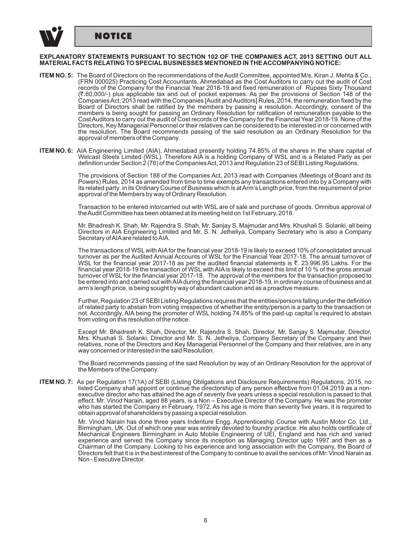#### **EXPLANATORY STATEMENTS PURSUANT TO SECTION 102 OF THE COMPANIES ACT, 2013 SETTING OUT ALL MATERIAL FACTS RELATING TO SPECIAL BUSINESSES MENTIONED IN THEACCOMPANYING NOTICE:**

- **ITEM NO. 5:** The Board of Directors on the recommendations of the Audit Committee, appointed M/s. Kiran J. Mehta & Co., (FRN 000025) Practicing Cost Accountants, Ahmedabad as the Cost Auditors to carry out the audit of Cost records of the Company for the Financial Year 2018-19 and fixed remuneration of Rupees Sixty Thousand  $(3,60,000/4)$  plus applicable tax and out of pocket expenses. As per the provisions of Section 148 of the CompaniesAct, 2013 read with the Companies [Audit andAuditors] Rules, 2014, the remuneration fixed by the Board of Directors shall be ratified by the members by passing a resolution. Accordingly, consent of the members is being sought for passing an Ordinary Resolution for ratification of remuneration payable to the CostAuditors to carry out the audit of Cost records of the Company for the Financial Year 2018-19. None of the Directors, Key Managerial Personnel or their relatives can be considered to be interested in or concerned with the resolution. The Board recommends passing of the said resolution as an Ordinary Resolution for the approval of members of the Company.
- **ITEM NO. 6:** AIA Engineering Limited (AIA), Ahmedabad presently holding 74.85% of the shares in the share capital of Welcast Steels Limited (WSL). Therefore AIA is a holding Company of WSL and is a Related Party as per definition under Section 2 (76) of the CompaniesAct, 2013 and Regulation 23 of SEBI Listing Regulations.

The provisions of Section 188 of the Companies Act, 2013 read with Companies (Meetings of Board and its Powers) Rules, 2014 as amended from time to time exempts any transactions entered into by a Company with its related party in its Ordinary Course of Business which is atArm's Length price, from the requirement of prior approval of the Members by way of Ordinary Resolution.

Transaction to be entered into/carried out with WSL are of sale and purchase of goods. Omnibus approval of theAudit Committee has been obtained at its meeting held on 1st February, 2018.

Mr. Bhadresh K. Shah, Mr. Rajendra S. Shah, Mr. Sanjay S. Majmudar and Mrs. Khushali S. Solanki, all being Directors in AIA Engineering Limited and Mr. S. N. Jetheliya, Company Secretary who is also a Company Secretary of AIA are related to AIA.

The transactions of WSL with AIA for the financial year 2018-19 is likely to exceed 10% of consolidated annual turnover as per the Audited Annual Accounts of WSL for the Financial Year 2017-18. The annual turnover of WSL for the financial year 2017-18 as per the audited financial statements is  $\bar{\tau}$ . 23,996.95 Lakhs. For the financial year 2018-19 the transaction of WSL with AIA is likely to exceed this limit of 10 % of the gross annual turnover of WSL for the financial year 2017-18. The approval of the members for the transaction proposed to be entered into and carried out withAIAduring the financial year 2018-19, in ordinary course of business and at arm's length price, is being sought by way of abundant caution and as a proactive measure.

Further, Regulation 23 of SEBI Listing Regulations requires that the entities/persons falling under the definition of related party to abstain from voting irrespective of whether the entity/person is a party to the transaction or not. Accordingly, AIA being the promoter of WSL holding 74.85% of the paid-up capital is required to abstain from voting on this resolution of the notice.

Except Mr. Bhadresh K. Shah, Director, Mr. Rajendra S. Shah, Director, Mr. Sanjay S. Majmudar, Director, Mrs. Khushali S. Solanki, Director and Mr. S. N. Jetheliya, Company Secretary of the Company and their relatives, none of the Directors and Key Managerial Personnel of the Company and their relatives, are in any way concerned or interested in the said Resolution.

The Board recommends passing of the said Resolution by way of an Ordinary Resolution for the approval of the Members of the Company.

**ITEM NO. 7:** As per Regulation 17(1A) of SEBI (Listing Obligations and Disclosure Requirements) Regulations, 2015, no listed Company shall appoint or continue the directorship of any person effective from 01.04.2019 as a nonexecutive director who has attained the age of seventy five years unless a special resolution is passed to that effect. Mr. Vinod Narain, aged 88 years, is a Non – Executive Director of the Company. He was the promoter who has started the Company in February, 1972. As his age is more than seventy five years, it is required to obtain approval of shareholders by passing a special resolution.

> Mr. Vinod Narain has done three years Indenture Engg. Apprenticeship Course with Austin Motor Co. Ltd., Birmingham, UK. Out of which one year was entirely devoted to foundry practice. He also holds certificate of Mechanical Engineers Birmingham in Auto Mobile Engineering of UEI, England and has rich and varied experience and served the Company since its inception as Managing Director upto 1997 and then as a Chairman of the Company. Looking to his experience and long association with the Company, the Board of Directors felt that it is in the best interest of the Company to continue to avail the services of Mr. Vinod Narain as Non - Executive Director.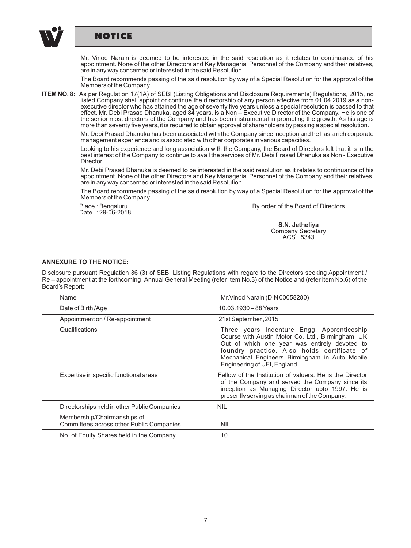

Mr. Vinod Narain is deemed to be interested in the said resolution as it relates to continuance of his appointment. None of the other Directors and Key Managerial Personnel of the Company and their relatives, are in any way concerned or interested in the said Resolution.

The Board recommends passing of the said resolution by way of a Special Resolution for the approval of the Members of the Company.

**ITEM NO. 8:** As per Regulation 17(1A) of SEBI (Listing Obligations and Disclosure Requirements) Regulations, 2015, no listed Company shall appoint or continue the directorship of any person effective from 01.04.2019 as a nonexecutive director who has attained the age of seventy five years unless a special resolution is passed to that effect. Mr. Debi Prasad Dhanuka, aged 84 years, is a Non – Executive Director of the Company. He is one of the senior most directors of the Company and has been instrumental in promoting the growth. As his age is more than seventy five years, it is required to obtain approval of shareholders by passing a special resolution.

> Mr. Debi Prasad Dhanuka has been associated with the Company since inception and he has a rich corporate management experience and is associated with other corporates in various capacities.

> Looking to his experience and long association with the Company, the Board of Directors felt that it is in the best interest of the Company to continue to avail the services of Mr. Debi Prasad Dhanuka as Non - Executive **Director**

> Mr. Debi Prasad Dhanuka is deemed to be interested in the said resolution as it relates to continuance of his appointment. None of the other Directors and Key Managerial Personnel of the Company and their relatives, are in any way concerned or interested in the said Resolution.

> The Board recommends passing of the said resolution by way of a Special Resolution for the approval of the Members of the Company.

Date : 29-06-2018

Place : Bengaluru By order of the Board of Directors

**S.N. Jetheliya** Company Secretary ACS : 5343

#### **ANNEXURE TO THE NOTICE:**

Disclosure pursuant Regulation 36 (3) of SEBI Listing Regulations with regard to the Directors seeking Appointment / Re – appointment at the forthcoming Annual General Meeting (refer Item No.3) of the Notice and (refer item No.6) of the Board's Report:

| Name                                                                    | Mr. Vinod Narain (DIN 00058280)                                                                                                                                                                                                                                                  |
|-------------------------------------------------------------------------|----------------------------------------------------------------------------------------------------------------------------------------------------------------------------------------------------------------------------------------------------------------------------------|
| Date of Birth / Age                                                     | 10.03.1930 - 88 Years                                                                                                                                                                                                                                                            |
| Appointment on / Re-appointment                                         | 2015, 2015 September                                                                                                                                                                                                                                                             |
| Qualifications                                                          | Three years Indenture Engg. Apprenticeship<br>Course with Austin Motor Co. Ltd., Birmingham, UK<br>Out of which one year was entirely devoted to<br>foundry practice. Also holds certificate of<br>Mechanical Engineers Birmingham in Auto Mobile<br>Engineering of UEI, England |
| Expertise in specific functional areas                                  | Fellow of the Institution of valuers. He is the Director<br>of the Company and served the Company since its<br>inception as Managing Director upto 1997. He is<br>presently serving as chairman of the Company.                                                                  |
| Directorships held in other Public Companies                            | <b>NIL</b>                                                                                                                                                                                                                                                                       |
| Membership/Chairmanships of<br>Committees across other Public Companies | <b>NIL</b>                                                                                                                                                                                                                                                                       |
| No. of Equity Shares held in the Company                                | 10                                                                                                                                                                                                                                                                               |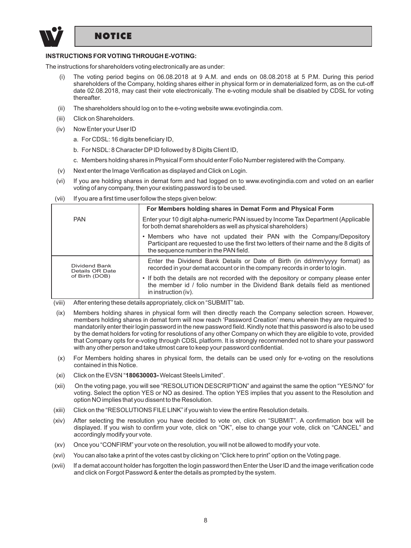

#### **INSTRUCTIONS FOR VOTING THROUGH E-VOTING:**

The instructions for shareholders voting electronically are as under:

- (i) The voting period begins on 06.08.2018 at 9 A.M. and ends on 08.08.2018 at 5 P.M. During this period shareholders of the Company, holding shares either in physical form or in dematerialized form, as on the cut-off date 02.08.2018, may cast their vote electronically. The e-voting module shall be disabled by CDSL for voting thereafter.
- (ii) The shareholders should log on to the e-voting website www.evotingindia.com.
- (iii) Click on Shareholders.
- (iv) Now Enter your User ID
	- a. For CDSL: 16 digits beneficiary ID,
	- b. For NSDL: 8 Character DP ID followed by 8 Digits Client ID,
	- c. Members holding shares in Physical Form should enter Folio Number registered with the Company.
- (v) Next enter the Image Verification as displayed and Click on Login.
- (vi) If you are holding shares in demat form and had logged on to www.evotingindia.com and voted on an earlier voting of any company, then your existing password is to be used.
- (vii) If you are a first time user follow the steps given below:

|                                  | For Members holding shares in Demat Form and Physical Form                                                                                                                                                |  |
|----------------------------------|-----------------------------------------------------------------------------------------------------------------------------------------------------------------------------------------------------------|--|
| <b>PAN</b>                       | Enter your 10 digit alpha-numeric PAN issued by Income Tax Department (Applicable<br>for both demat shareholders as well as physical shareholders)                                                        |  |
|                                  | • Members who have not updated their PAN with the Company/Depository<br>Participant are requested to use the first two letters of their name and the 8 digits of<br>the sequence number in the PAN field. |  |
| Dividend Bank<br>Details OR Date | Enter the Dividend Bank Details or Date of Birth (in dd/mm/yyyy format) as<br>recorded in your demat account or in the company records in order to login.                                                 |  |
| of Birth (DOB)                   | • If both the details are not recorded with the depository or company please enter<br>the member id / folio number in the Dividend Bank details field as mentioned<br>in instruction (iv).                |  |

- (viii) After entering these details appropriately, click on "SUBMIT" tab.
- (ix) Members holding shares in physical form will then directly reach the Company selection screen. However, members holding shares in demat form will now reach 'Password Creation' menu wherein they are required to mandatorily enter their login password in the new password field. Kindly note that this password is also to be used by the demat holders for voting for resolutions of any other Company on which they are eligible to vote, provided that Company opts for e-voting through CDSL platform. It is strongly recommended not to share your password with any other person and take utmost care to keep your password confidential.
- (x) For Members holding shares in physical form, the details can be used only for e-voting on the resolutions contained in this Notice.
- (xi) Click on the EVSN "**180630003-** Welcast Steels Limited".
- (xii) On the voting page, you will see "RESOLUTION DESCRIPTION" and against the same the option "YES/NO" for voting. Select the option YES or NO as desired. The option YES implies that you assent to the Resolution and option NO implies that you dissent to the Resolution.
- (xiii) Click on the "RESOLUTIONS FILE LINK" if you wish to view the entire Resolution details.
- (xiv) After selecting the resolution you have decided to vote on, click on "SUBMIT". A confirmation box will be displayed. If you wish to confirm your vote, click on "OK", else to change your vote, click on "CANCEL" and accordingly modify your vote.
- (xv) Once you "CONFIRM" your vote on the resolution, you will not be allowed to modify your vote.
- (xvi) You can also take a print of the votes cast by clicking on "Click here to print" option on the Voting page.
- (xvii) If a demat account holder has forgotten the login password then Enter the User ID and the image verification code and click on Forgot Password & enter the details as prompted by the system.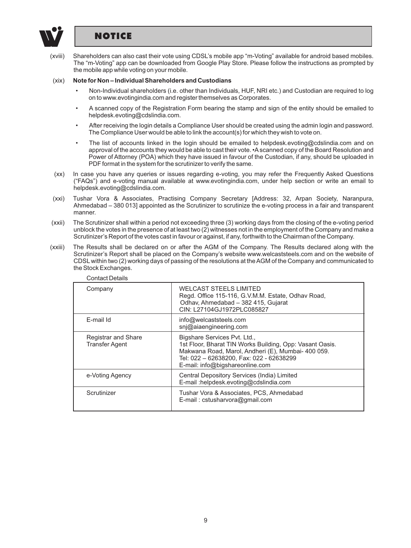

(xviii) Shareholders can also cast their vote using CDSL's mobile app "m-Voting" available for android based mobiles. The "m-Voting" app can be downloaded from Google Play Store. Please follow the instructions as prompted by the mobile app while voting on your mobile.

#### (xix) **Note for Non – Individual Shareholders and Custodians**

- Non-Individual shareholders (i.e. other than Individuals, HUF, NRI etc.) and Custodian are required to log on to www.evotingindia.com and register themselves as Corporates.
- A scanned copy of the Registration Form bearing the stamp and sign of the entity should be emailed to helpdesk.evoting@cdslindia.com.
- After receiving the login details a Compliance User should be created using the admin login and password. The Compliance User would be able to link the account(s) for which they wish to vote on.
- The list of accounts linked in the login should be emailed to helpdesk.evoting@cdslindia.com and on approval of the accounts they would be able to cast their vote. •A scanned copy of the Board Resolution and Power of Attorney (POA) which they have issued in favour of the Custodian, if any, should be uploaded in PDF format in the system for the scrutinizer to verify the same.
- (xx) In case you have any queries or issues regarding e-voting, you may refer the Frequently Asked Questions ("FAQs") and e-voting manual available at www.evotingindia.com, under help section or write an email to helpdesk.evoting@cdslindia.com.
- (xxi) Tushar Vora & Associates, Practising Company Secretary [Address: 32, Arpan Society, Naranpura, Ahmedabad – 380 013] appointed as the Scrutinizer to scrutinize the e-voting process in a fair and transparent manner.
- (xxii) The Scrutinizer shall within a period not exceeding three (3) working days from the closing of the e-voting period unblock the votes in the presence of at least two (2) witnesses not in the employment of the Company and make a Scrutinizer's Report of the votes cast in favour or against, if any, forthwith to the Chairman of the Company.
- (xxiii) The Results shall be declared on or after the AGM of the Company. The Results declared along with the Scrutinizer's Report shall be placed on the Company's website www.welcaststeels.com and on the website of CDSL within two (2) working days of passing of the resolutions at theAGM of the Company and communicated to the Stock Exchanges.

| Contact Details                              |                                                                                                                                                                                                                               |
|----------------------------------------------|-------------------------------------------------------------------------------------------------------------------------------------------------------------------------------------------------------------------------------|
| Company                                      | WELCAST STEELS LIMITED<br>Regd. Office 115-116, G.V.M.M. Estate, Odhav Road,<br>Odhav, Ahmedabad - 382 415, Gujarat<br>CIN: L27104GJ1972PLC085827                                                                             |
| F-mail Id                                    | info@welcaststeels.com<br>sni@aiaengineering.com                                                                                                                                                                              |
| Registrar and Share<br><b>Transfer Agent</b> | Bigshare Services Pvt. Ltd.,<br>1st Floor, Bharat TIN Works Building, Opp: Vasant Oasis.<br>Makwana Road, Marol, Andheri (E), Mumbai- 400 059.<br>Tel: 022 - 62638200, Fax: 022 - 62638299<br>E-mail: info@bigshareonline.com |
| e-Voting Agency                              | Central Depository Services (India) Limited<br>E-mail :helpdesk.evoting@cdslindia.com                                                                                                                                         |
| Scrutinizer                                  | Tushar Vora & Associates, PCS, Ahmedabad<br>E-mail: cstusharvora@gmail.com                                                                                                                                                    |

Contact Details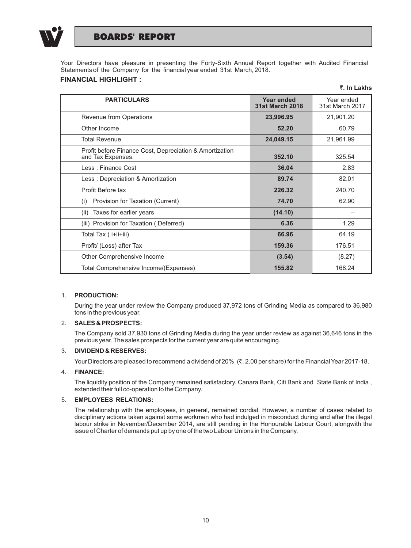

# BOARDS' REPORT

Your Directors have pleasure in presenting the Forty-Sixth Annual Report together with Audited Financial Statements of the Company for the financial year ended 31st March, 2018.

`**. In Lakhs**

#### **FINANCIAL HIGHLIGHT :**

| <b>PARTICULARS</b>                                                           | Year ended<br><b>31st March 2018</b> | Year ended<br>31st March 2017 |
|------------------------------------------------------------------------------|--------------------------------------|-------------------------------|
| Revenue from Operations                                                      | 23,996.95                            | 21,901.20                     |
| Other Income                                                                 | 52.20                                | 60.79                         |
| <b>Total Revenue</b>                                                         | 24,049.15                            | 21,961.99                     |
| Profit before Finance Cost, Depreciation & Amortization<br>and Tax Expenses. | 352.10                               | 325.54                        |
| Less: Finance Cost                                                           | 36.04                                | 2.83                          |
| Less: Depreciation & Amortization                                            | 89.74                                | 82.01                         |
| Profit Before tax                                                            | 226.32                               | 240.70                        |
| Provision for Taxation (Current)<br>(i)                                      | 74.70                                | 62.90                         |
| Taxes for earlier years<br>(ii)                                              | (14.10)                              |                               |
| (iii) Provision for Taxation (Deferred)                                      | 6.36                                 | 1.29                          |
| Total Tax (i+ii+iii)                                                         | 66.96                                | 64.19                         |
| Profit/ (Loss) after Tax                                                     | 159.36                               | 176.51                        |
| Other Comprehensive Income                                                   | (3.54)                               | (8.27)                        |
| Total Comprehensive Income/(Expenses)                                        | 155.82                               | 168.24                        |

#### 1. **PRODUCTION:**

During the year under review the Company produced 37,972 tons of Grinding Media as compared to 36,980 tons in the previous year.

#### 2. **SALES & PROSPECTS:**

The Company sold 37,930 tons of Grinding Media during the year under review as against 36,646 tons in the previous year. The sales prospects for the current year are quite encouraging.

#### 3. **DIVIDEND & RESERVES:**

Your Directors are pleased to recommend a dividend of 20% ( $\bar{\tau}$ . 2.00 per share) for the Financial Year 2017-18.

#### 4. **FINANCE:**

The liquidity position of the Company remained satisfactory. Canara Bank, Citi Bank and State Bank of India , extended their full co-operation to the Company.

#### 5. **EMPLOYEES RELATIONS:**

The relationship with the employees, in general, remained cordial. However, a number of cases related to disciplinary actions taken against some workmen who had indulged in misconduct during and after the illegal labour strike in November/December 2014, are still pending in the Honourable Labour Court, alongwith the issue of Charter of demands put up by one of the two Labour Unions in the Company.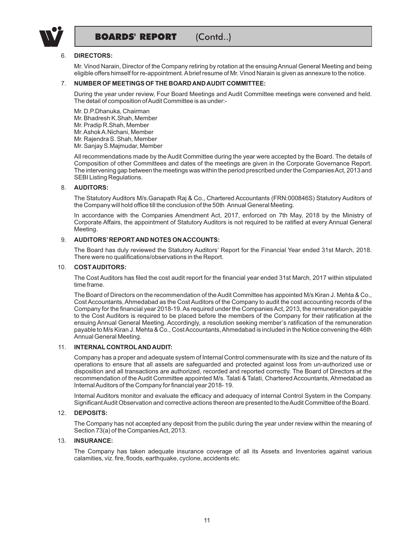

#### 6. **DIRECTORS:**

Mr. Vinod Narain, Director of the Company retiring by rotation at the ensuing Annual General Meeting and being eligible offers himself for re-appointment.Abrief resume of Mr. Vinod Narain is given as annexure to the notice.

#### 7. **NUMBER OF MEETINGS OF THE BOARDANDAUDIT COMMITTEE:**

During the year under review, Four Board Meetings and Audit Committee meetings were convened and held. The detail of composition of Audit Committee is as under:-

Mr. D.P.Dhanuka, Chairman Mr. Bhadresh K.Shah, Member Mr. Pradip R.Shah, Member Mr.AshokA.Nichani, Member Mr. Rajendra S. Shah, Member Mr. Sanjay S.Majmudar, Member

All recommendations made by the Audit Committee during the year were accepted by the Board. The details of Composition of other Committees and dates of the meetings are given in the Corporate Governance Report. The intervening gap between the meetings was within the period prescribed under the CompaniesAct, 2013 and SEBI Listing Regulations.

#### 8. **AUDITORS:**

The Statutory Auditors M/s.Ganapath Raj & Co., Chartered Accountants (FRN:000846S) Statutory Auditors of the Company will hold office till the conclusion of the 50th Annual General Meeting.

In accordance with the Companies Amendment Act, 2017, enforced on 7th May, 2018 by the Ministry of Corporate Affairs, the appointment of Statutory Auditors is not required to be ratified at every Annual General Meeting.

#### 9. **AUDITORS'REPORTAND NOTES ONACCOUNTS:**

The Board has duly reviewed the Statutory Auditors' Report for the Financial Year ended 31st March, 2018. There were no qualifications/observations in the Report.

#### 10. **COSTAUDITORS:**

The Cost Auditors has filed the cost audit report for the financial year ended 31st March, 2017 within stipulated time frame.

The Board of Directors on the recommendation of the Audit Committee has appointed M/s Kiran J. Mehta & Co., Cost Accountants, Ahmedabad as the Cost Auditors of the Company to audit the cost accounting records of the Company for the financial year 2018-19. As required under the Companies Act, 2013, the remuneration payable to the Cost Auditors is required to be placed before the members of the Company for their ratification at the ensuing Annual General Meeting. Accordingly, a resolution seeking member's ratification of the remuneration payable to M/s Kiran J. Mehta & Co., CostAccountants,Ahmedabad is included in the Notice convening the 46th Annual General Meeting.

#### 11. **INTERNAL CONTROLANDAUDIT:**

Company has a proper and adequate system of Internal Control commensurate with its size and the nature of its operations to ensure that all assets are safeguarded and protected against loss from un-authorized use or disposition and all transactions are authorized, recorded and reported correctly. The Board of Directors at the recommendation of the Audit Committee appointed M/s. Talati & Talati, Chartered Accountants, Ahmedabad as InternalAuditors of the Company for financial year 2018- 19.

Internal Auditors monitor and evaluate the efficacy and adequacy of internal Control System in the Company. Significant Audit Observation and corrective actions thereon are presented to the Audit Committee of the Board.

#### 12. **DEPOSITS:**

The Company has not accepted any deposit from the public during the year under review within the meaning of Section 73(a) of the Companies Act, 2013.

#### 13. **INSURANCE:**

The Company has taken adequate insurance coverage of all its Assets and Inventories against various calamities, viz. fire, floods, earthquake, cyclone, accidents etc.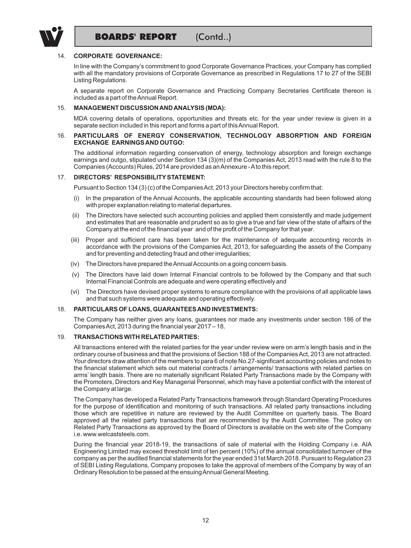

#### 14. **CORPORATE GOVERNANCE:**

In line with the Company's commitment to good Corporate Governance Practices, your Company has complied with all the mandatory provisions of Corporate Governance as prescribed in Regulations 17 to 27 of the SEBI Listing Regulations.

A separate report on Corporate Governance and Practicing Company Secretaries Certificate thereon is included as a part of theAnnual Report.

#### 15. **MANAGEMENT DISCUSSIONANDANALYSIS (MDA):**

MDA covering details of operations, opportunities and threats etc. for the year under review is given in a separate section included in this report and forms a part of thisAnnual Report.

#### 16. **PARTICULARS OF ENERGY CONSERVATION, TECHNOLOGY ABSORPTION AND FOREIGN EXCHANGE EARNINGSAND OUTGO:**

The additional information regarding conservation of energy, technology absorption and foreign exchange earnings and outgo, stipulated under Section 134 (3)(m) of the Companies Act, 2013 read with the rule 8 to the Companies (Accounts) Rules, 2014 are provided as an Annexure - A to this report.

#### 17. **DIRECTORS' RESPONSIBILITY STATEMENT:**

Pursuant to Section 134 (3) (c) of the Companies Act, 2013 your Directors hereby confirm that:

- (i) In the preparation of the Annual Accounts, the applicable accounting standards had been followed along with proper explanation relating to material departures.
- (ii) The Directors have selected such accounting policies and applied them consistently and made judgement and estimates that are reasonable and prudent so as to give a true and fair view of the state of affairs of the Company at the end of the financial year and of the profit of the Company for that year.
- (iii) Proper and sufficient care has been taken for the maintenance of adequate accounting records in accordance with the provisions of the Companies Act, 2013, for safeguarding the assets of the Company and for preventing and detecting fraud and other irregularities;
- (iv) The Directors have prepared theAnnualAccounts on a going concern basis.
- (v) The Directors have laid down Internal Financial controls to be followed by the Company and that such Internal Financial Controls are adequate and were operating effectively and
- (vi) The Directors have devised proper systems to ensure compliance with the provisions of all applicable laws and that such systems were adequate and operating effectively.

#### 18. **PARTICULARS OF LOANS, GUARANTEESAND INVESTMENTS:**

The Company has neither given any loans, guarantees nor made any investments under section 186 of the CompaniesAct, 2013 during the financial year 2017 – 18.

#### 19. **TRANSACTIONS WITH RELATED PARTIES:**

All transactions entered with the related parties for the year under review were on arm's length basis and in the ordinary course of business and that the provisions of Section 188 of the CompaniesAct, 2013 are not attracted. Your directors draw attention of the members to para 6 of note No.27-significant accounting policies and notes to the financial statement which sets out material contracts / arrangements/ transactions with related parties on arms' length basis. There are no materially significant Related Party Transactions made by the Company with the Promoters, Directors and Key Managerial Personnel, which may have a potential conflict with the interest of the Company at large.

The Company has developed a Related Party Transactions framework through Standard Operating Procedures for the purpose of identification and monitoring of such transactions. All related party transactions including those which are repetitive in nature are reviewed by the Audit Committee on quarterly basis. The Board approved all the related party transactions that are recommended by the Audit Committee. The policy on Related Party Transactions as approved by the Board of Directors is available on the web site of the Company i.e. www.welcaststeels.com.

During the financial year 2018-19, the transactions of sale of material with the Holding Company i.e. AIA Engineering Limited may exceed threshold limit of ten percent (10%) of the annual consolidated turnover of the company as per the audited financial statements for the year ended 31st March 2018. Pursuant to Regulation 23 of SEBI Listing Regulations, Company proposes to take the approval of members of the Company by way of an Ordinary Resolution to be passed at the ensuingAnnual General Meeting.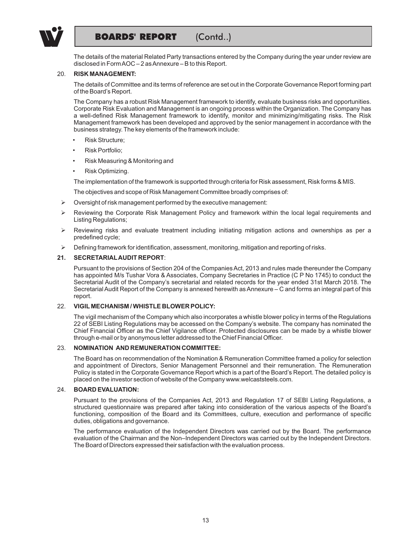

The details of the material Related Party transactions entered by the Company during the year under review are disclosed in FormAOC – 2 asAnnexure – B to this Report.

#### 20. **RISK MANAGEMENT:**

The details of Committee and its terms of reference are set out in the Corporate Governance Report forming part of the Board's Report.

The Company has a robust Risk Management framework to identify, evaluate business risks and opportunities. Corporate Risk Evaluation and Management is an ongoing process within the Organization. The Company has a well-defined Risk Management framework to identify, monitor and minimizing/mitigating risks. The Risk Management framework has been developed and approved by the senior management in accordance with the business strategy. The key elements of the framework include:

- Risk Structure;
- Risk Portfolio;
- Risk Measuring & Monitoring and
- Risk Optimizing.

The implementation of the framework is supported through criteria for Risk assessment, Risk forms & MIS.

The objectives and scope of Risk Management Committee broadly comprises of:

- $\triangleright$  Oversight of risk management performed by the executive management:
- $\triangleright$  Reviewing the Corporate Risk Management Policy and framework within the local legal requirements and Listing Regulations;
- $\triangleright$  Reviewing risks and evaluate treatment including initiating mitigation actions and ownerships as per a predefined cycle;
- $\triangleright$  Defining framework for identification, assessment, monitoring, mitigation and reporting of risks.

#### **21. SECRETARIALAUDIT REPORT**:

Pursuant to the provisions of Section 204 of the Companies Act, 2013 and rules made thereunder the Company has appointed M/s Tushar Vora & Associates, Company Secretaries in Practice (C P No 1745) to conduct the Secretarial Audit of the Company's secretarial and related records for the year ended 31st March 2018. The Secretarial Audit Report of the Company is annexed herewith as Annexure – C and forms an integral part of this report.

#### 22. **VIGIL MECHANISM / WHISTLE BLOWER POLICY:**

The vigil mechanism of the Company which also incorporates a whistle blower policy in terms of the Regulations 22 of SEBI Listing Regulations may be accessed on the Company's website. The company has nominated the Chief Financial Officer as the Chief Vigilance officer. Protected disclosures can be made by a whistle blower through e-mail or by anonymous letter addressed to the Chief Financial Officer.

#### 23. **NOMINATION AND REMUNERATION COMMITTEE:**

The Board has on recommendation of the Nomination & Remuneration Committee framed a policy for selection and appointment of Directors, Senior Management Personnel and their remuneration. The Remuneration Policy is stated in the Corporate Governance Report which is a part of the Board's Report. The detailed policy is placed on the investor section of website of the Company www.welcaststeels.com.

#### 24. **BOARD EVALUATION:**

Pursuant to the provisions of the Companies Act, 2013 and Regulation 17 of SEBI Listing Regulations, a structured questionnaire was prepared after taking into consideration of the various aspects of the Board's functioning, composition of the Board and its Committees, culture, execution and performance of specific duties, obligations and governance.

The performance evaluation of the Independent Directors was carried out by the Board. The performance evaluation of the Chairman and the Non–Independent Directors was carried out by the Independent Directors. The Board of Directors expressed their satisfaction with the evaluation process.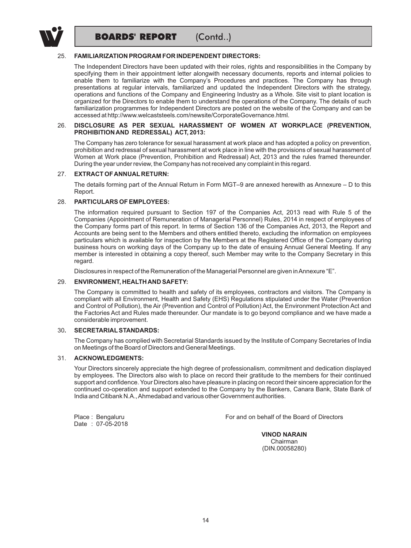

#### 25. **FAMILIARIZATION PROGRAM FOR INDEPENDENT DIRECTORS:**

The Independent Directors have been updated with their roles, rights and responsibilities in the Company by specifying them in their appointment letter alongwith necessary documents, reports and internal policies to enable them to familiarize with the Company's Procedures and practices. The Company has through presentations at regular intervals, familiarized and updated the Independent Directors with the strategy, operations and functions of the Company and Engineering Industry as a Whole. Site visit to plant location is organized for the Directors to enable them to understand the operations of the Company. The details of such familiarization programmes for Independent Directors are posted on the website of the Company and can be accessed at http://www.welcaststeels.com/newsite/CorporateGovernance.html.

#### 26. **DISCLOSURE AS PER SEXUAL HARASSMENT OF WOMEN AT WORKPLACE (PREVENTION, PROHIBITIONAND REDRESSAL) ACT, 2013:**

The Company has zero tolerance for sexual harassment at work place and has adopted a policy on prevention, prohibition and redressal of sexual harassment at work place in line with the provisions of sexual harassment of Women at Work place (Prevention, Prohibition and Redressal) Act, 2013 and the rules framed thereunder. During the year under review, the Company has not received any complaint in this regard.

#### 27. **EXTRACT OFANNUAL RETURN:**

The details forming part of the Annual Return in Form MGT–9 are annexed herewith as Annexure – D to this Report.

#### 28. **PARTICULARS OF EMPLOYEES:**

The information required pursuant to Section 197 of the Companies Act, 2013 read with Rule 5 of the Companies (Appointment of Remuneration of Managerial Personnel) Rules, 2014 in respect of employees of the Company forms part of this report. In terms of Section 136 of the Companies Act, 2013, the Report and Accounts are being sent to the Members and others entitled thereto, excluding the information on employees particulars which is available for inspection by the Members at the Registered Office of the Company during business hours on working days of the Company up to the date of ensuing Annual General Meeting. If any member is interested in obtaining a copy thereof, such Member may write to the Company Secretary in this regard.

Disclosures in respect of the Remuneration of the Managerial Personnel are given inAnnexure "E".

#### 29. **ENVIRONMENT, HEALTHAND SAFETY:**

The Company is committed to health and safety of its employees, contractors and visitors. The Company is compliant with all Environment, Health and Safety (EHS) Regulations stipulated under the Water (Prevention and Control of Pollution), the Air (Prevention and Control of Pollution) Act, the Environment Protection Act and the Factories Act and Rules made thereunder. Our mandate is to go beyond compliance and we have made a considerable improvement.

#### 30**. SECRETARIAL STANDARDS:**

The Company has complied with Secretarial Standards issued by the Institute of Company Secretaries of India on Meetings of the Board of Directors and General Meetings.

#### 31. **ACKNOWLEDGMENTS:**

Your Directors sincerely appreciate the high degree of professionalism, commitment and dedication displayed by employees. The Directors also wish to place on record their gratitude to the members for their continued support and confidence. Your Directors also have pleasure in placing on record their sincere appreciation for the continued co-operation and support extended to the Company by the Bankers, Canara Bank, State Bank of India and Citibank N.A.,Ahmedabad and various other Government authorities.

Date : 07-05-2018

Place : Bengaluru **For and on behalf of the Board of Directors** 

**VINOD NARAIN** Chairman (DIN.00058280)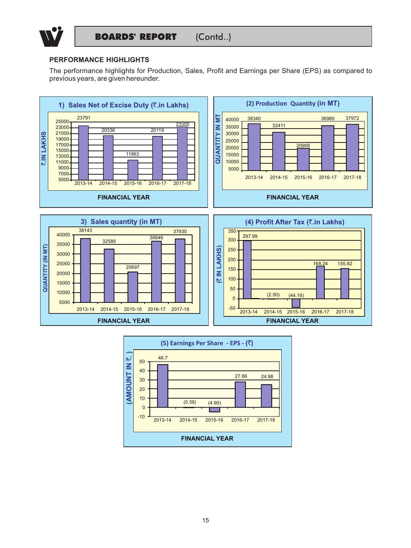

#### **PERFORMANCE HIGHLIGHTS**

The performance highlights for Production, Sales, Profit and Earnings per Share (EPS) as compared to previous years, are given hereunder.



 $(0.39)$   $(4.90)$ 

2013-14 2014-15 2015-16 2016-17 2017-18

**FINANCIAL YEAR**

-10  $\overline{0}$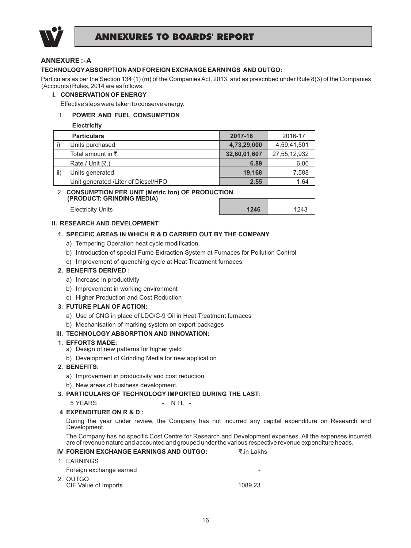

#### **ANNEXURE :-A**

#### **TECHNOLOGYABSORPTIONAND FOREIGN EXCHANGE EARNINGS AND OUTGO:**

Particulars as per the Section 134 (1) (m) of the Companies Act, 2013, and as prescribed under Rule 8(3) of the Companies (Accounts) Rules, 2014 are as follows:

#### **I. CONSERVATION OF ENERGY**

Effective steps were taken to conserve energy.

#### 1. **POWER AND FUEL CONSUMPTION**

**Electricity**

|      | <b>Particulars</b>                      | 2017-18      | 2016-17      |
|------|-----------------------------------------|--------------|--------------|
|      | Units purchased                         | 4,73,29,000  | 4,59,41,501  |
|      | Total amount in ₹.                      | 32,60,01,607 | 27,55,12,932 |
|      | Rate / Unit $(\overline{\mathfrak{r}})$ | 6.89         | 6.00         |
| -ii) | Units generated                         | 19,168       | 7,588        |
|      | Unit generated /Liter of Diesel/HFO     | 2.55         | 1.64         |

#### 2. **CONSUMPTION PER UNIT (Metric ton) OF PRODUCTION**

**(PRODUCT: GRINDING MEDIA)**

**Electricity Units** 

#### **II. RESEARCH AND DEVELOPMENT**

#### **1. SPECIFIC AREAS IN WHICH R & D CARRIED OUT BY THE COMPANY**

- a) Tempering Operation heat cycle modification.
- b) Introduction of special Fume Extraction System at Furnaces for Pollution Control
- c) Improvement of quenching cycle at Heat Treatment furnaces.

#### **2. BENEFITS DERIVED :**

- a) Increase in productivity
- b) Improvement in working environment
- c) Higher Production and Cost Reduction

#### **3. FUTURE PLAN OF ACTION:**

- a) Use of CNG in place of LDO/C-9 Oil in Heat Treatment furnaces
- b) Mechanisation of marking system on export packages

#### **III. TECHNOLOGY ABSORPTION AND INNOVATION:**

#### **1. EFFORTS MADE:**

- a) Design of new patterns for higher yield
- b) Development of Grinding Media for new application
- **2. BENEFITS:**
	- a) Improvement in productivity and cost reduction.
	- b) New areas of business development.

#### **3. PARTICULARS OF TECHNOLOGY IMPORTED DURING THE LAST:**

5 YEARS - NIL -

#### **4 EXPENDITURE ON R & D :**

During the year under review, the Company has not incurred any capital expenditure on Research and Development.

The Company has no specific Cost Centre for Research and Development expenses. All the expenses incurred are of revenue nature and accounted and grouped under the various respective revenue expenditure heads.

| <u>IV FUREIUN EAUNANUE EARNINUS AND UUTUU.</u> | <b>SULLANIS</b>         |
|------------------------------------------------|-------------------------|
|                                                |                         |
| Foreign exchange earned                        |                         |
| CIF Value of Imports                           | 1089.23                 |
|                                                | 1. EARNINGS<br>2. OUTGO |

**IV FOREIGN EXCHANGE EARNINGS AND OUTGO:**  $\frac{1}{2}$  is lattle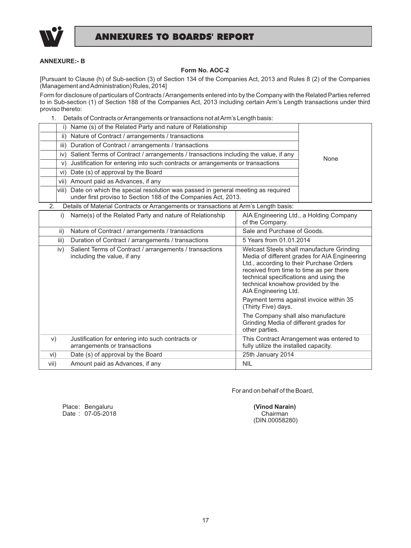

#### **ANNEXURE:- B**

#### **Form No. AOC-2**

[Pursuant to Clause (h) of Sub-section (3) of Section 134 of the Companies Act, 2013 and Rules 8 (2) of the Companies (Management andAdministration) Rules, 2014]

Form for disclosure of particulars of Contracts /Arrangements entered into by the Company with the Related Parties referred to in Sub-section (1) of Section 188 of the Companies Act, 2013 including certain Arm's Length transactions under third proviso thereto:

1. Details of Contracts orArrangements or transactions not atArm's Length basis:

vii) Amount paid as Advances, if any NIL

|                                                                                                                             | i) Name (s) of the Related Party and nature of Relationship                                                                                               |                                                                                                                                                                                                                                                                                          |                                          |
|-----------------------------------------------------------------------------------------------------------------------------|-----------------------------------------------------------------------------------------------------------------------------------------------------------|------------------------------------------------------------------------------------------------------------------------------------------------------------------------------------------------------------------------------------------------------------------------------------------|------------------------------------------|
|                                                                                                                             | Nature of Contract / arrangements / transactions<br>ii)                                                                                                   |                                                                                                                                                                                                                                                                                          |                                          |
|                                                                                                                             | Duration of Contract / arrangements / transactions<br>iii)                                                                                                |                                                                                                                                                                                                                                                                                          |                                          |
|                                                                                                                             | Salient Terms of Contract / arrangements / transactions including the value, if any<br>iv)                                                                |                                                                                                                                                                                                                                                                                          | None                                     |
|                                                                                                                             | Justification for entering into such contracts or arrangements or transactions<br>v)                                                                      |                                                                                                                                                                                                                                                                                          |                                          |
|                                                                                                                             | Date (s) of approval by the Board<br>vi)                                                                                                                  |                                                                                                                                                                                                                                                                                          |                                          |
|                                                                                                                             | Amount paid as Advances, if any<br>vii)                                                                                                                   |                                                                                                                                                                                                                                                                                          |                                          |
|                                                                                                                             | Date on which the special resolution was passed in general meeting as required<br>viii)<br>under first proviso to Section 188 of the Companies Act, 2013. |                                                                                                                                                                                                                                                                                          |                                          |
| 2.                                                                                                                          | Details of Material Contracts or Arrangements or transactions at Arm's Length basis:                                                                      |                                                                                                                                                                                                                                                                                          |                                          |
| Name(s) of the Related Party and nature of Relationship<br>AIA Engineering Ltd., a Holding Company<br>i)<br>of the Company. |                                                                                                                                                           |                                                                                                                                                                                                                                                                                          |                                          |
| Sale and Purchase of Goods.<br>Nature of Contract / arrangements / transactions<br>ii)                                      |                                                                                                                                                           |                                                                                                                                                                                                                                                                                          |                                          |
|                                                                                                                             | Duration of Contract / arrangements / transactions<br>iii)                                                                                                | 5 Years from 01.01.2014                                                                                                                                                                                                                                                                  |                                          |
| iv)                                                                                                                         | Salient Terms of Contract / arrangements / transactions<br>including the value, if any                                                                    | Welcast Steels shall manufacture Grinding<br>Media of different grades for AIA Engineering<br>Ltd., according to their Purchase Orders<br>received from time to time as per there<br>technical specifications and using the<br>technical knowhow provided by the<br>AIA Engineering Ltd. |                                          |
|                                                                                                                             |                                                                                                                                                           | (Thirty Five) days.                                                                                                                                                                                                                                                                      | Payment terms against invoice within 35  |
|                                                                                                                             |                                                                                                                                                           | The Company shall also manufacture<br>Grinding Media of different grades for<br>other parties.                                                                                                                                                                                           |                                          |
| V)                                                                                                                          | Justification for entering into such contracts or<br>arrangements or transactions                                                                         | fully utilize the installed capacity.                                                                                                                                                                                                                                                    | This Contract Arrangement was entered to |
| vi)                                                                                                                         | Date (s) of approval by the Board                                                                                                                         | 25th January 2014                                                                                                                                                                                                                                                                        |                                          |

For and on behalf of the Board,

Place: Bengaluru **(Vinod Narain)** Date:  $07 - 05 - 2018$ 

(DIN.00058280)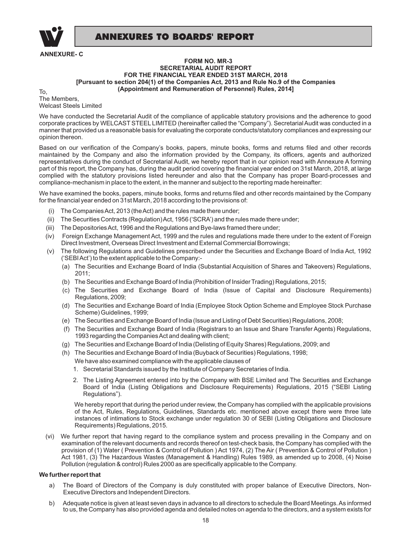

**ANNEXURE- C**

#### **FORM NO. MR-3 SECRETARIAL AUDIT REPORT FOR THE FINANCIAL YEAR ENDED 31ST MARCH, 2018 [Pursuant to section 204(1) of the Companies Act, 2013 and Rule No.9 of the Companies (Appointment and Remuneration of Personnel) Rules, 2014]** To,

The Members, Welcast Steels Limited

We have conducted the Secretarial Audit of the compliance of applicable statutory provisions and the adherence to good corporate practices by WELCAST STEEL LIMITED (hereinafter called the "Company"). SecretarialAudit was conducted in a manner that provided us a reasonable basis for evaluating the corporate conducts/statutory compliances and expressing our opinion thereon.

Based on our verification of the Company's books, papers, minute books, forms and returns filed and other records maintained by the Company and also the information provided by the Company, its officers, agents and authorized representatives during the conduct of Secretarial Audit, we hereby report that in our opinion read with Annexure A forming part of this report, the Company has, during the audit period covering the financial year ended on 31st March, 2018, at large complied with the statutory provisions listed hereunder and also that the Company has proper Board-processes and compliance-mechanism in place to the extent, in the manner and subject to the reporting made hereinafter:

We have examined the books, papers, minute books, forms and returns filed and other records maintained by the Company for the financial year ended on 31st March, 2018 according to the provisions of:

- (i) The Companies Act, 2013 (the Act) and the rules made there under;
- (ii) The Securities Contracts (Regulation) Act, 1956 ('SCRA') and the rules made there under;
- (iii) The Depositories Act, 1996 and the Regulations and Bye-laws framed there under:
- (iv) Foreign Exchange Management Act, 1999 and the rules and regulations made there under to the extent of Foreign Direct Investment, Overseas Direct Investment and External Commercial Borrowings;
- (v) The following Regulations and Guidelines prescribed under the Securities and Exchange Board of India Act, 1992 ('SEBIAct') to the extent applicable to the Company:-
	- (a) The Securities and Exchange Board of India (Substantial Acquisition of Shares and Takeovers) Regulations, 2011;
	- (b) The Securities and Exchange Board of India (Prohibition of Insider Trading) Regulations, 2015;
	- (c) The Securities and Exchange Board of India (Issue of Capital and Disclosure Requirements) Regulations, 2009;
	- (d) The Securities and Exchange Board of India (Employee Stock Option Scheme and Employee Stock Purchase Scheme) Guidelines, 1999;
	- (e) The Securities and Exchange Board of India (Issue and Listing of Debt Securities) Regulations, 2008;
	- (f) The Securities and Exchange Board of India (Registrars to an Issue and Share Transfer Agents) Regulations, 1993 regarding the CompaniesAct and dealing with client;
	- (g) The Securities and Exchange Board of India (Delisting of Equity Shares) Regulations, 2009; and
	- (h) The Securities and Exchange Board of India (Buyback of Securities) Regulations, 1998; We have also examined compliance with the applicable clauses of
		- 1. Secretarial Standards issued by the Institute of Company Secretaries of India.
		- 2. The Listing Agreement entered into by the Company with BSE Limited and The Securities and Exchange Board of India (Listing Obligations and Disclosure Requirements) Regulations, 2015 ("SEBI Listing Regulations").

We hereby report that during the period under review, the Company has complied with the applicable provisions of the Act, Rules, Regulations, Guidelines, Standards etc. mentioned above except there were three late instances of intimations to Stock exchange under regulation 30 of SEBI (Listing Obligations and Disclosure Requirements) Regulations, 2015.

(vi) We further report that having regard to the compliance system and process prevailing in the Company and on examination of the relevant documents and records thereof on test-check basis, the Company has complied with the provision of (1) Water ( Prevention & Control of Pollution ) Act 1974, (2) The Air ( Prevention & Control of Pollution ) Act 1981, (3) The Hazardous Wastes (Management & Handling) Rules 1989, as amended up to 2008, (4) Noise Pollution (regulation & control) Rules 2000 as are specifically applicable to the Company.

#### **We further report that**

- a) The Board of Directors of the Company is duly constituted with proper balance of Executive Directors, Non-Executive Directors and Independent Directors.
- b) Adequate notice is given at least seven days in advance to all directors to schedule the Board Meetings.As informed to us, the Company has also provided agenda and detailed notes on agenda to the directors, and a system exists for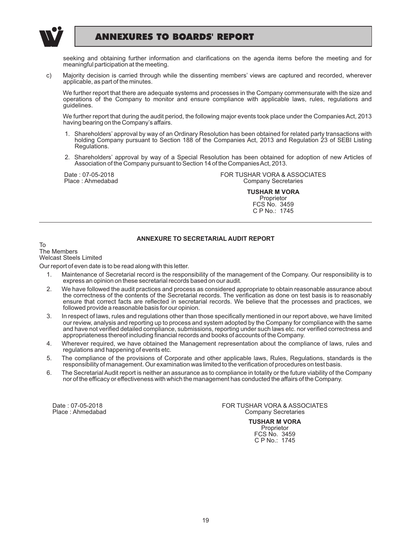

seeking and obtaining further information and clarifications on the agenda items before the meeting and for meaningful participation at the meeting.

c) Majority decision is carried through while the dissenting members' views are captured and recorded, wherever applicable, as part of the minutes.

We further report that there are adequate systems and processes in the Company commensurate with the size and operations of the Company to monitor and ensure compliance with applicable laws, rules, regulations and guidelines.

We further report that during the audit period, the following major events took place under the Companies Act, 2013 having bearing on the Company's affairs.

- 1. Shareholders' approval by way of an Ordinary Resolution has been obtained for related party transactions with holding Company pursuant to Section 188 of the Companies Act, 2013 and Regulation 23 of SEBI Listing Regulations.
- 2. Shareholders' approval by way of a Special Resolution has been obtained for adoption of new Articles of Association of the Company pursuant to Section 14 of the CompaniesAct, 2013.

Date : 07-05-2018 FOR TUSHAR VORA & ASSOCIATES Company Secretaries

> **TUSHAR M VORA** Proprietor FCS No. 3459 C P No.: 1745

#### **ANNEXURE TO SECRETARIAL AUDIT REPORT**

To The Members

Welcast Steels Limited

Our report of even date is to be read along with this letter.

- 1. Maintenance of Secretarial record is the responsibility of the management of the Company. Our responsibility is to express an opinion on these secretarial records based on our audit.
- 2. We have followed the audit practices and process as considered appropriate to obtain reasonable assurance about the correctness of the contents of the Secretarial records. The verification as done on test basis is to reasonably ensure that correct facts are reflected in secretarial records. We believe that the processes and practices, we followed provide a reasonable basis for our opinion.
- 3. In respect of laws, rules and regulations other than those specifically mentioned in our report above, we have limited our review, analysis and reporting up to process and system adopted by the Company for compliance with the same and have not verified detailed compliance, submissions, reporting under such laws etc. nor verified correctness and appropriateness thereof including financial records and books of accounts of the Company.
- 4. Wherever required, we have obtained the Management representation about the compliance of laws, rules and regulations and happening of events etc.
- 5. The compliance of the provisions of Corporate and other applicable laws, Rules, Regulations, standards is the responsibility of management. Our examination was limited to the verification of procedures on test basis.
- 6. The Secretarial Audit report is neither an assurance as to compliance in totality or the future viability of the Company nor of the efficacy or effectiveness with which the management has conducted the affairs of the Company.

Date : 07-05-2018 **Date : 07-05-2018** FOR TUSHAR VORA & ASSOCIATES<br>Place : Ahmedabad **For the Company Secretaries Company Secretaries** 

> **TUSHAR M VORA** Proprietor

FCS No. 3459 C P No.: 1745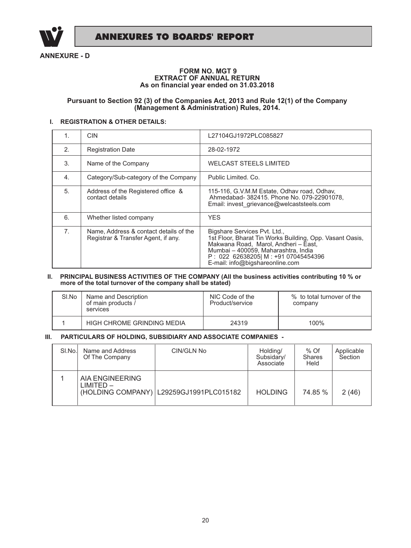

**ANNEXURE - D**

#### **FORM NO. MGT 9 EXTRACT OF ANNUAL RETURN As on financial year ended on 31.03.2018**

#### **Pursuant to Section 92 (3) of the Companies Act, 2013 and Rule 12(1) of the Company (Management & Administration) Rules, 2014.**

#### **I. REGISTRATION & OTHER DETAILS:**

| 1.             | <b>CIN</b>                                                                    | L27104GJ1972PLC085827                                                                                                                                                                                                                              |
|----------------|-------------------------------------------------------------------------------|----------------------------------------------------------------------------------------------------------------------------------------------------------------------------------------------------------------------------------------------------|
| 2.             | <b>Registration Date</b>                                                      | 28-02-1972                                                                                                                                                                                                                                         |
| 3.             | Name of the Company                                                           | WELCAST STEELS LIMITED                                                                                                                                                                                                                             |
| 4.             | Category/Sub-category of the Company                                          | Public Limited, Co.                                                                                                                                                                                                                                |
| 5.             | Address of the Registered office &<br>contact details                         | 115-116, G.V.M.M Estate, Odhav road, Odhav,<br>Ahmedabad- 382415. Phone No. 079-22901078,<br>Email: invest_grievance@welcaststeels.com                                                                                                             |
| 6.             | Whether listed company                                                        | YES                                                                                                                                                                                                                                                |
| 7 <sub>1</sub> | Name, Address & contact details of the<br>Registrar & Transfer Agent, if any. | Bigshare Services Pvt. Ltd.,<br>1st Floor, Bharat Tin Works Building, Opp. Vasant Oasis,<br>Makwana Road, Marol, Andheri - East,<br>Mumbai - 400059, Maharashtra, India<br>P: 022 62638205   M: +91 07045454396<br>E-mail: info@bigshareonline.com |

#### **II. PRINCIPAL BUSINESS ACTIVITIES OF THE COMPANY (All the business activities contributing 10 % or more of the total turnover of the company shall be stated)**

| SI.No | Name and Description<br>of main products /<br>services | NIC Code of the<br>Product/service | % to total turnover of the<br>company |
|-------|--------------------------------------------------------|------------------------------------|---------------------------------------|
|       | HIGH CHROME GRINDING MEDIA                             | 24319                              | 100%                                  |

#### **III. PARTICULARS OF HOLDING, SUBSIDIARY AND ASSOCIATE COMPANIES -**

| SI.No. | Name and Address<br>Of The Company | CIN/GLN No                                | Holding/<br>Subsidary/<br>Associate | $%$ Of<br><b>Shares</b><br>Held | Applicable<br>Section |
|--------|------------------------------------|-------------------------------------------|-------------------------------------|---------------------------------|-----------------------|
|        | AIA ENGINEERING<br>LIMITED –       | (HOLDING COMPANY)   L29259GJ1991PLC015182 | <b>HOLDING</b>                      | 74.85 %                         | 2(46)                 |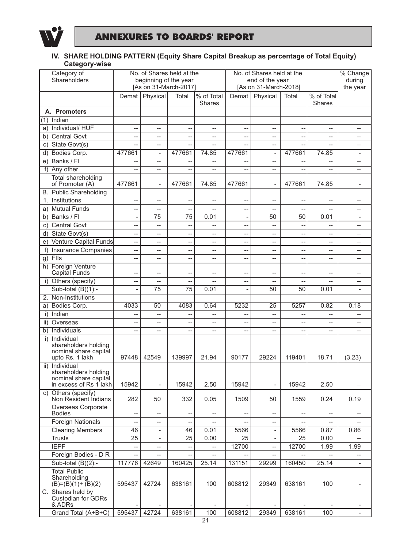

#### **IV. SHARE HOLDING PATTERN (Equity Share Capital Breakup as percentage of Total Equity) Category-wise**

| Category of<br>Shareholders                                                               |                        | No. of Shares held at the<br>beginning of the year<br>[As on 31-March-2017] |                          |                          |                          | No. of Shares held at the<br>end of the year<br>[As on 31-March-2018] |        |                                    | % Change<br>during<br>the year |
|-------------------------------------------------------------------------------------------|------------------------|-----------------------------------------------------------------------------|--------------------------|--------------------------|--------------------------|-----------------------------------------------------------------------|--------|------------------------------------|--------------------------------|
|                                                                                           | Demat                  | Physical                                                                    | Total                    | % of Total<br>Shares     | Demat                    | Physical                                                              | Total  | % of Total<br>Shares               |                                |
| A. Promoters                                                                              |                        |                                                                             |                          |                          |                          |                                                                       |        |                                    |                                |
| $(1)$ Indian                                                                              |                        |                                                                             |                          |                          |                          |                                                                       |        |                                    |                                |
| a) Individual/HUF                                                                         | $-$                    | --                                                                          | $-$                      | $\overline{\phantom{a}}$ | $-$                      | $\overline{a}$                                                        | --     | $\overline{\phantom{a}}$           | —                              |
| <b>Central Govt</b><br>b)                                                                 | $-$                    | --                                                                          | $-$                      | --                       | --                       | $\overline{a}$                                                        | --     | $\overline{a}$                     | $\overline{\phantom{0}}$       |
| State Govt(s)<br>C)                                                                       | --                     | --                                                                          | $\overline{\phantom{m}}$ | $\overline{\phantom{a}}$ | $\overline{\phantom{a}}$ | --                                                                    | --     | --                                 | —                              |
| Bodies Corp.<br>d)                                                                        | 477661                 | $\bar{ }$                                                                   | 477661                   | 74.85                    | 477661                   | $\overline{\phantom{a}}$                                              | 477661 | 74.85                              | $\overline{\phantom{0}}$       |
| Banks / Fl<br>e)                                                                          | $-$                    | --                                                                          | $\overline{\phantom{a}}$ | $\overline{\phantom{a}}$ | $-$                      | $\overline{\phantom{a}}$                                              | --     | $\overline{\phantom{0}}$           | —                              |
| f) Any other                                                                              | $-$                    | --                                                                          | $\overline{\phantom{a}}$ | $\overline{\phantom{a}}$ | $-$                      | --                                                                    | --     | $\overline{\phantom{a}}$           |                                |
| <b>Total shareholding</b><br>of Promoter (A)                                              | 477661                 | $\overline{\phantom{a}}$                                                    | 477661                   | 74.85                    | 477661                   | $\overline{\phantom{a}}$                                              | 477661 | 74.85                              |                                |
| <b>B.</b> Public Shareholding                                                             |                        |                                                                             |                          |                          |                          |                                                                       |        |                                    |                                |
| Institutions<br>1.                                                                        | $-$                    | --                                                                          | $- -$                    | $\overline{\phantom{a}}$ | $-$                      | $\overline{\phantom{a}}$                                              | --     | --                                 |                                |
| <b>Mutual Funds</b><br>a)                                                                 | $-$                    | --                                                                          | --                       | $\overline{\phantom{a}}$ | --                       | --                                                                    | --     | --                                 |                                |
| Banks / Fl<br>b)                                                                          |                        | 75                                                                          | 75                       | 0.01                     |                          | 50                                                                    | 50     | 0.01                               |                                |
| <b>Central Govt</b><br>C)                                                                 | --                     | --                                                                          | $-$                      | --                       | --                       | --                                                                    | --     | --                                 |                                |
| State Govt(s)<br>d)                                                                       | $-$                    | --                                                                          | --                       | --                       | --                       | --                                                                    | --     | --                                 |                                |
| Venture Capital Funds<br>e)                                                               | --                     | --                                                                          | $- -$                    | $-$                      | --                       | --                                                                    | --     | $\overline{\phantom{a}}$           |                                |
| Insurance Companies<br>f)                                                                 | --                     | --                                                                          | $-$                      | --                       | --                       | --                                                                    | --     | --                                 |                                |
| Flls<br>g)                                                                                | $-$                    | --                                                                          | $\overline{\phantom{a}}$ | $\overline{\phantom{0}}$ | $-$                      | $\overline{\phantom{a}}$                                              | --     | $\overline{\phantom{a}}$           |                                |
| h) Foreign Venture<br><b>Capital Funds</b>                                                | $-$                    | --                                                                          | $-$                      | --                       | $-$                      | --                                                                    | -−     | --                                 |                                |
| i) Others (specify)                                                                       | --                     | --                                                                          | $- -$                    | $-$                      | --                       | --                                                                    | --     | --                                 |                                |
| Sub-total (B)(1):-                                                                        | ÷                      | 75                                                                          | 75                       | 0.01                     |                          | 50                                                                    | 50     | 0.01                               |                                |
| Non-Institutions<br>2.                                                                    |                        |                                                                             |                          |                          |                          |                                                                       |        |                                    |                                |
| Bodies Corp.<br>a)                                                                        | 4033                   | 50                                                                          | 4083                     | 0.64                     | 5232                     | 25                                                                    | 5257   | 0.82                               | 0.18                           |
| Indian<br>i)                                                                              | --                     | --                                                                          | $\overline{\phantom{a}}$ | --                       | --                       | --                                                                    | --     | --                                 |                                |
| Overseas<br>ii)                                                                           | $-$                    | --                                                                          | $- -$                    | --                       | --                       | $\overline{a}$                                                        | --     | $\overline{a}$                     |                                |
| Individuals<br>b)                                                                         | $\overline{a}$         | $\overline{a}$                                                              | $\overline{\phantom{m}}$ | $\overline{\phantom{0}}$ | $\overline{\phantom{a}}$ | $\overline{a}$                                                        | $-$    | $\overline{a}$                     |                                |
| Individual<br>shareholders holding<br>nominal share capital<br>upto Rs. 1 lakh            | 97448                  | 42549                                                                       | 139997                   | 21.94                    | 90177                    | 29224                                                                 | 119401 | 18.71                              | (3.23)                         |
| ii) Individual<br>shareholders holding<br>nominal share capital<br>in excess of Rs 1 lakh | 15942                  |                                                                             | 15942                    | 2.50                     | 15942                    |                                                                       | 15942  | 2.50                               |                                |
| c) Others (specify)<br>Non Resident Indians                                               | 282                    | 50                                                                          | 332                      | 0.05                     | 1509                     | 50                                                                    | 1559   | 0.24                               | 0.19                           |
| Overseas Corporate<br><b>Bodies</b>                                                       | --                     | --                                                                          |                          | $-$                      | --                       | --                                                                    |        | $\hspace{0.05cm} -\hspace{0.05cm}$ |                                |
| <b>Foreign Nationals</b>                                                                  | --                     | --                                                                          | --                       | --                       | --                       | --                                                                    | --     | --                                 |                                |
| <b>Clearing Members</b>                                                                   | 46                     | $\overline{\phantom{a}}$                                                    | 46                       | 0.01                     | 5566                     | $\overline{\phantom{a}}$                                              | 5566   | 0.87                               | 0.86                           |
| <b>Trusts</b>                                                                             | $\overline{25}$        | $\overline{\phantom{a}}$                                                    | $\overline{25}$          | 0.00                     | 25                       | $\overline{\phantom{a}}$                                              | 25     | 0.00                               |                                |
| <b>IEPF</b>                                                                               | $\qquad \qquad \cdots$ | --                                                                          | --                       | --                       | 12700                    | --                                                                    | 12700  | 1.99                               | 1.99                           |
| Foreign Bodies - D R                                                                      | --                     | -−                                                                          | $-\!$                    | --                       |                          | --                                                                    |        | $\overline{\phantom{a}}$           | --                             |
| Sub-total $(B)(2)$ :-                                                                     | 117776                 | 42649                                                                       | 160425                   | 25.14                    | 131151                   | 29299                                                                 | 160450 | 25.14                              | $\overline{\phantom{0}}$       |
| <b>Total Public</b><br>Shareholding<br>$(B)=(B)(1)+(B)(2)$                                | 595437                 | 42724                                                                       | 638161                   | 100                      | 608812                   | 29349                                                                 | 638161 | 100                                | -                              |
| C. Shares held by<br>Custodian for GDRs<br>& ADRs                                         |                        |                                                                             |                          |                          |                          |                                                                       |        |                                    | ۰                              |
| Grand Total (A+B+C)                                                                       | 595437                 | 42724                                                                       | 638161                   | 100                      | 608812                   | 29349                                                                 | 638161 | 100                                | $\blacksquare$                 |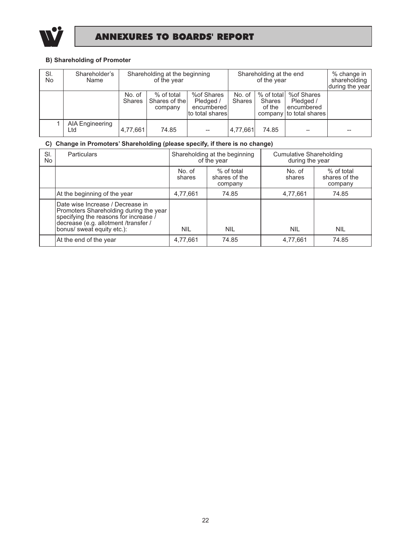

#### **B) Shareholding of Promoter**

| SI.<br>No | Shareholder's<br>Name  |                         | Shareholding at the beginning<br>of the year |                                                            |                         | Shareholding at the end<br>of the year |                                                                                | % change in<br>shareholding<br>during the year |
|-----------|------------------------|-------------------------|----------------------------------------------|------------------------------------------------------------|-------------------------|----------------------------------------|--------------------------------------------------------------------------------|------------------------------------------------|
|           |                        | No. of<br><b>Shares</b> | % of total<br>Shares of the<br>company       | %of Shares<br>Pledged /<br>encumbered<br>lto total sharesl | No. of<br><b>Shares</b> | <b>Shares</b><br>of the                | % of total   % of Shares<br>Pledged /<br>encumbered<br>company to total shares |                                                |
|           | AIA Engineering<br>Ltd | 4.77.661                | 74.85                                        | --                                                         | 4,77,661                | 74.85                                  |                                                                                |                                                |

#### **C) Change in Promoters' Shareholding (please specify, if there is no change)**

| SI.<br>No | <b>Particulars</b>                                                                                                                                                                        |                  | Shareholding at the beginning<br>of the year | Cumulative Shareholding<br>during the year |                                        |
|-----------|-------------------------------------------------------------------------------------------------------------------------------------------------------------------------------------------|------------------|----------------------------------------------|--------------------------------------------|----------------------------------------|
|           |                                                                                                                                                                                           | No. of<br>shares | % of total<br>shares of the<br>company       | No. of<br>shares                           | % of total<br>shares of the<br>company |
|           | At the beginning of the year                                                                                                                                                              | 4,77,661         | 74.85                                        | 4,77,661                                   | 74.85                                  |
|           | Date wise Increase / Decrease in<br>Promoters Shareholding during the year<br>specifying the reasons for increase /<br>decrease (e.g. allotment /transfer /<br>bonus/ sweat equity etc.): | <b>NIL</b>       | <b>NIL</b>                                   | <b>NIL</b>                                 | <b>NIL</b>                             |
|           | At the end of the year                                                                                                                                                                    | 4,77,661         | 74.85                                        | 4,77,661                                   | 74.85                                  |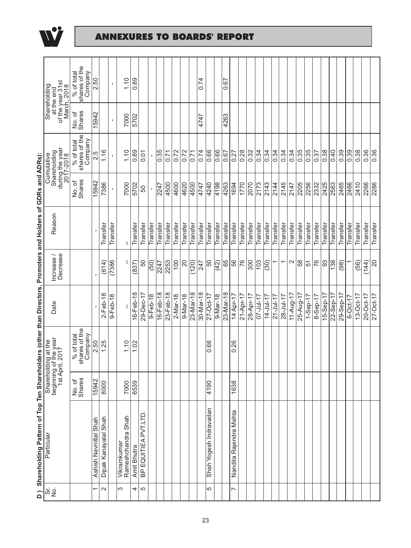| $\overline{\omega}$ $\frac{1}{2}$ | $\frac{2}{2}$<br>5<br> <br> <br> <br> <br><br> <br>Particular<br> <br> <br> <br>5 | m<br>Dunion<br>Dunion |                                                                 |                       |                        |          |                  | Cumulative                                   |                  | Shareholding                                  |
|-----------------------------------|-----------------------------------------------------------------------------------|-----------------------|-----------------------------------------------------------------|-----------------------|------------------------|----------|------------------|----------------------------------------------|------------------|-----------------------------------------------|
|                                   |                                                                                   |                       | Shareholding at the<br>beginning of the year<br>1st April, 2017 | Date                  | Increase /<br>Decrease | Reason   |                  | during the year<br>2017-2018<br>Shareholding |                  | of the year 31st<br>March, 2018<br>at the end |
|                                   |                                                                                   |                       |                                                                 |                       |                        |          |                  |                                              |                  |                                               |
|                                   |                                                                                   | No. of<br>Shares      | shares of the<br>% of total                                     |                       |                        |          | No. of<br>Shares | shares of the<br>% of total                  | No. of<br>Shares | shares of the<br>% of total                   |
| ᡪ                                 | Ashish Navnitlal Shah                                                             | 15942                 | Company                                                         |                       |                        |          | 15942            | Company                                      | 15942            | Company<br>2.50                               |
|                                   |                                                                                   |                       | 2.50                                                            |                       |                        |          |                  | 2.5                                          |                  |                                               |
| $\mathbf{\Omega}$                 | Dipak Kanayalal Shah                                                              | 8000                  | 1.25                                                            | $2 - Feb - 18$        | (614)                  | Transfer | 7386             | 1.16                                         |                  |                                               |
|                                   |                                                                                   |                       |                                                                 | $9-Feb-18$            | (7386)                 | Transfer |                  |                                              | $\blacksquare$   | $\blacksquare$                                |
| ω                                 | Rameshchandra Shah<br>Vikramkumar                                                 | 7000                  | 1.10                                                            | ÷                     |                        | ł.       | 7000             | 1.10                                         | 7000             | 1.10                                          |
| 4                                 | Amit Bhutra                                                                       | 6539                  | 1.02                                                            | $16 - Feb - 18$       | (837)                  | Transfer | 5702             | 0.89                                         | 5702             | 0.89                                          |
| 5                                 | BP EQUITIEA PVT.LTD                                                               |                       |                                                                 | 29-Dec-17             | 50                     | Transfer | 50               | 0.01                                         |                  |                                               |
|                                   |                                                                                   |                       |                                                                 | $9-Feb-18$            | $\sqrt{(50)}$          | Transfer |                  |                                              |                  |                                               |
|                                   |                                                                                   |                       |                                                                 | $16 - Feb - 18$       | 2247                   | Transfer | 2247             | 0.35                                         |                  |                                               |
|                                   |                                                                                   |                       |                                                                 | $23 - Feb - 18$       | 2253                   | Transfer | 4500             | 0.71                                         |                  |                                               |
|                                   |                                                                                   |                       |                                                                 | $2 - Mar - 18$        | 100                    | Transfer | 4600             | 0.72                                         |                  |                                               |
|                                   |                                                                                   |                       |                                                                 | $9-Mar-18$            | $\overline{20}$        | Transfer | 4620             | 0.72                                         |                  |                                               |
|                                   |                                                                                   |                       |                                                                 | 23-Mar-18             | (120)                  | Transfer | 4500             | 0.71                                         |                  |                                               |
|                                   |                                                                                   |                       |                                                                 | 30-Mar-18             | 247                    | Transfer | 4747             | 0.74                                         | 4747             | 0.74                                          |
| ပြ                                | Shah Yogesh Indravadan                                                            | 4190                  | $\frac{66}{6}$                                                  | $27 - Oct-17$         | င္တ                    | Transfer | 4240             | $\frac{66}{6}$                               |                  |                                               |
|                                   |                                                                                   |                       |                                                                 | $9 - \text{Mar} - 18$ | $\sqrt{42}$            | Transfer | 4198             | $\frac{66}{10}$                              |                  |                                               |
|                                   |                                                                                   |                       |                                                                 | 23-Mar-18             | 65                     | Transfer | 4263             | 0.67                                         | 4263             | 0.67                                          |
| ∼                                 | Nandita Rajendra Mehta                                                            | 1638                  | 0.26                                                            | 14 Apr-17             | 56                     | Transfer | 1694             | 0.27                                         |                  |                                               |
|                                   |                                                                                   |                       |                                                                 | 21-Apr-17             | $\overline{5}$         | Transfer | 1770             | 0.28                                         |                  |                                               |
|                                   |                                                                                   |                       |                                                                 | 28-Apr-17             | 300                    | Transfer | 2070             | 0.32                                         |                  |                                               |
|                                   |                                                                                   |                       |                                                                 | 07-Jul-17             | $\sqrt{103}$           | Transfer | 2173             | $\sqrt{0.34}$                                |                  |                                               |
|                                   |                                                                                   |                       |                                                                 | $14 -$ Jul-17         | (30)                   | Transfer | 2143             | $\sqrt{0.34}$                                |                  |                                               |
|                                   |                                                                                   |                       |                                                                 | $21 - Jul - 17$       | ↽                      | Transfer | 2144             | 0.34                                         |                  |                                               |
|                                   |                                                                                   |                       |                                                                 | $28 - Jul - 17$       | $\overline{ }$         | Transfer | 2145             | 0.34                                         |                  |                                               |
|                                   |                                                                                   |                       |                                                                 | $11 - Aug - 17$       | $\mathbf{\Omega}$      | Transfer | 2147             | 0.34                                         |                  |                                               |
|                                   |                                                                                   |                       |                                                                 | 25-Aug-17             | 58                     | Transfer | 2205             | 0.35                                         |                  |                                               |
|                                   |                                                                                   |                       |                                                                 | $1 - \text{Sep-17}$   | 51                     | Transfer | 2256             | 0.35                                         |                  |                                               |
|                                   |                                                                                   |                       |                                                                 | $8-5ep-17$            | 76                     | Transfer | 2332             | 0.37                                         |                  |                                               |
|                                   |                                                                                   |                       |                                                                 | $15-5ep-17$           | 93                     | Transfer | 2425             | 0.38                                         |                  |                                               |
|                                   |                                                                                   |                       |                                                                 | $22 -$ Sep-17         | 138                    | Transfer | 2563             | 0.40                                         |                  |                                               |
|                                   |                                                                                   |                       |                                                                 | 29-Sep-17             | (98)                   | Transfer | 2465             | 0.39                                         |                  |                                               |
|                                   |                                                                                   |                       |                                                                 | $6-0$ ct-17           |                        | Transfer | 2466             | 0.39                                         |                  |                                               |
|                                   |                                                                                   |                       |                                                                 | 13-Oct-17             | (56)                   | Transfer | 2410             | 0.38                                         |                  |                                               |
|                                   |                                                                                   |                       |                                                                 | 20-Oct-17             | (144)                  | Transfer | 2266             | 0.36                                         |                  |                                               |
|                                   |                                                                                   |                       |                                                                 | 27-Oct-17             | 20                     | Transfer | 2286             | 0.36                                         |                  |                                               |

D) Shareholding Pattern of Top Ten Shareholders (other than Directors, Promoters and Holders of GDRs and ADRs): **D ) Shareholding Pattern of Top Ten Shareholders (other than Directors, Promoters and Holders of GDRs and ADRs):**

# W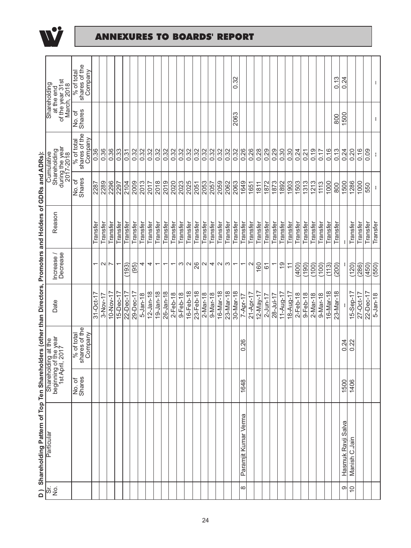|                           | D) Shareholding Pattern of Top Ten Shareholders (other than Directors, Promoters and Holders of GDRs and ADRs): |                  |                                                                 |                       |                          |                 |                  |                                              |                  |                                               |
|---------------------------|-----------------------------------------------------------------------------------------------------------------|------------------|-----------------------------------------------------------------|-----------------------|--------------------------|-----------------|------------------|----------------------------------------------|------------------|-----------------------------------------------|
| စ်ခွဲ                     | Particular                                                                                                      |                  |                                                                 |                       |                          |                 |                  | Cumulative                                   |                  | Shareholding                                  |
|                           |                                                                                                                 | beginning        | Shareholding at the<br>beginning of the year<br>1st April, 2017 | Date                  | Increase /<br>Decrease   | Reason          |                  | Shareholding<br>during the year<br>2017-2018 |                  | of the year 31st<br>March, 2018<br>at the end |
|                           |                                                                                                                 | No. of<br>Shares | % of total<br>shares of the<br>Company                          |                       |                          |                 | No. of<br>Shares | shares of the<br>Company<br>% of total       | No. of<br>Shares | │ % of total<br> shares of the<br>  Company   |
|                           |                                                                                                                 |                  |                                                                 | $31 - Oct-17$         | ↽                        | Transfer        | 2287             | 0.36                                         |                  |                                               |
|                           |                                                                                                                 |                  |                                                                 | $3-Nov-17$            | $\frac{1}{2}$            | Transfer        | 2289             | 0.36                                         |                  |                                               |
|                           |                                                                                                                 |                  |                                                                 | 10-Nov-17             |                          | Transfer        | 2296             | 0.36                                         |                  |                                               |
|                           |                                                                                                                 |                  |                                                                 | $15 - Dec-17$         | ᡪ                        | Transfer        | 2297             | 0.33                                         |                  |                                               |
|                           |                                                                                                                 |                  |                                                                 | 22-Dec-17             | (193)                    | Transfer        | 2104             | 0.31                                         |                  |                                               |
|                           |                                                                                                                 |                  |                                                                 | 29-Dec-17             | (95)                     | Transfer        | 2009             | 0.32                                         |                  |                                               |
|                           |                                                                                                                 |                  |                                                                 | $5 - Jan - 18$        | 4                        | Transfer        | 2013             | 0.32                                         |                  |                                               |
|                           |                                                                                                                 |                  |                                                                 | $12 - Jan-18$         | 4                        | Transfer        | 2017             | 0.32                                         |                  |                                               |
|                           |                                                                                                                 |                  |                                                                 | $19 - Jan - 18$       | $\overline{ }$           | Transfer        | 2018             | 0.32                                         |                  |                                               |
|                           |                                                                                                                 |                  |                                                                 | $26 - Jan - 18$       | ᠇                        | Transfer        | 2019             | 0.32                                         |                  |                                               |
|                           |                                                                                                                 |                  |                                                                 | $2-Feb-18$            | ᠇                        | Transfer        | 2020             | 0.32                                         |                  |                                               |
|                           |                                                                                                                 |                  |                                                                 | $9-Feb-18$            | ന∣                       | Transfer        | 2023             | 0.32                                         |                  |                                               |
|                           |                                                                                                                 |                  |                                                                 | $16 - Feb - 18$       | $\mathbf{\Omega}$        | Transfer        | 2025             | 0.32                                         |                  |                                               |
|                           |                                                                                                                 |                  |                                                                 | $23 - Feb - 18$       | 26                       | Transfer        | 2051             | 0.32                                         |                  |                                               |
|                           |                                                                                                                 |                  |                                                                 | $2 - Mar-18$          | $\sim$                   | Transfer        | 2053             | 0.32                                         |                  |                                               |
|                           |                                                                                                                 |                  |                                                                 | $9-Mar-18$            | 4                        | Transfer        | 2057             | 0.32                                         |                  |                                               |
|                           |                                                                                                                 |                  |                                                                 | 16-Mar-18             | $\mathbf{\Omega}$        | Transfer        | 2059             | 0.32                                         |                  |                                               |
|                           |                                                                                                                 |                  |                                                                 | 23-Mar-18             | ∣ෆ                       | Transfer        | 2062             | 0.32                                         |                  |                                               |
|                           |                                                                                                                 |                  |                                                                 | 30-Mar-18             | $\overline{\phantom{0}}$ | Transfer        | 2063             | 0.32                                         | 2063             | $\Im$<br>ö                                    |
| $\infty$                  | Paramjit Kumar Verma                                                                                            | 1648             | 26<br>ö                                                         | $7 -$ Apr-17          | $\overline{\phantom{0}}$ | Transfer        | 1649             | 0.26                                         |                  |                                               |
|                           |                                                                                                                 |                  |                                                                 | $21 - Apr - 17$       | $\mathbf{\Omega}$        | Transfer        | 1651             | 0.26                                         |                  |                                               |
|                           |                                                                                                                 |                  |                                                                 | 12-May-17             | 160                      | Transfer        | 1811             | 0.28                                         |                  |                                               |
|                           |                                                                                                                 |                  |                                                                 | $2 - Jun - 17$        | 61                       | Transfer        | 1872             | 0.29                                         |                  |                                               |
|                           |                                                                                                                 |                  |                                                                 | $28 -$ Jul-17         |                          | Transfer        | 1873             | 0.29                                         |                  |                                               |
|                           |                                                                                                                 |                  |                                                                 | 11-Aug-17             | $\overline{9}$           | Transfer        | 1892             | 0.30                                         |                  |                                               |
|                           |                                                                                                                 |                  |                                                                 | 18-Aug-17             | $\leftarrow$             | <b>Transfer</b> | 1903             | 0.30                                         |                  |                                               |
|                           |                                                                                                                 |                  |                                                                 | $2-Feb-18$            | (400)                    | Transfer        | 1503             | 0.24                                         |                  |                                               |
|                           |                                                                                                                 |                  |                                                                 | $9-Feb-18$            | (190)                    | Transfer        | 1313             | 0.21                                         |                  |                                               |
|                           |                                                                                                                 |                  |                                                                 | $2-Nar-18$            | (100)                    | Transfer        | 1213             | 0.19                                         |                  |                                               |
|                           |                                                                                                                 |                  |                                                                 | $9 - \text{Mar} - 18$ | (100)                    | Transfer        | 1113             | 0.17                                         |                  |                                               |
|                           |                                                                                                                 |                  |                                                                 | 16-Mar-18             | (113)                    | <b>Transfer</b> | 1000             | 0.16                                         |                  |                                               |
|                           |                                                                                                                 |                  |                                                                 | 23-Mar-18             | (200)                    | Transfer        | 800              | 0.13                                         | 800              | 0.13                                          |
| တ                         | Salva<br>Hasmuk Ravji                                                                                           | 1500             | 0.24                                                            |                       |                          |                 | 1500             | 0.24                                         | 1500             | 0.24                                          |
| $\widetilde{\phantom{a}}$ | Manish C.Jain                                                                                                   | 1406             | 0.22                                                            | $15-5ep-17$           | (120)                    | Transfer        | 1286             | 0.20                                         |                  |                                               |
|                           |                                                                                                                 |                  |                                                                 | 27-Oct-17             | (286)                    | Transfer        | 1000             | 0.16                                         |                  |                                               |
|                           |                                                                                                                 |                  |                                                                 | 22-Dec-17             | (450)                    | Transfer        | 550              | 0.09                                         |                  |                                               |
|                           |                                                                                                                 |                  |                                                                 | $5 - Jan - 18$        | (550)                    | Transfer        | ÷                | ÷                                            | ÷                | Τ.                                            |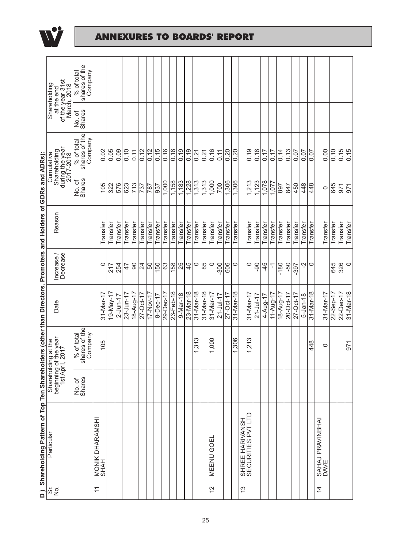|                                                                                                                 | Shareholding    | of the year 31st<br>March, 2018<br>at the end                   | % of total<br>shares of the<br>Company<br>No. of<br>Shares |                                |           |              |                |           |                 |               |          |           |                   |          |           |           |           |           |               |           |                   |                                       |               |          |           |           |           |           |              |           |                          |           |           |              |
|-----------------------------------------------------------------------------------------------------------------|-----------------|-----------------------------------------------------------------|------------------------------------------------------------|--------------------------------|-----------|--------------|----------------|-----------|-----------------|---------------|----------|-----------|-------------------|----------|-----------|-----------|-----------|-----------|---------------|-----------|-------------------|---------------------------------------|---------------|----------|-----------|-----------|-----------|-----------|--------------|-----------|--------------------------|-----------|-----------|--------------|
|                                                                                                                 | Cumulative      | during the year<br>2017-2018<br>Shareholding                    | shares of the<br>Company<br>% of total                     | 0.02                           | 0.05      | 0.09         | 0.10           | 0.11      | 0.12            | 0.12          | 0.15     | 0.16      | 0.18              | 0.19     | 0.19      | 0.21      | 0.21      | 0.16      | 0.11          | 0.20      | 0.20              | 0.19                                  | 0.18          | 0.17     | 0.17      | 0.14      | 0.13      | 0.07      | 0.07         | 0.07      | 0.00                     | 0.10      | 0.15      | 0.15         |
|                                                                                                                 |                 |                                                                 | No. of<br>Shares                                           | 105                            | 322       | 576          | 623            | 713       | 737             | 787           | 937      | 1,000     | $\frac{1}{1,158}$ | 1,183    | 1,228     | 1,313     | 1,313     | 1,000     | 700           | 1,306     | 1,306             | 1,213                                 | 1,123         | 1,078    | 1,077     | 897       | 847       | 450       | 448          | 448       | $\circ$                  | 645       | 971       | $\sqrt{971}$ |
|                                                                                                                 |                 | Reason                                                          |                                                            | Transfer                       | Transfer  | Transfer     | Transfer       | Transfer  | Transfer        | Transfer      | Transfer | Transfer  | Transfer          | Transfer | Transfer  | Transfer  | Transfer  | Transfer  | Transfer      | Transfer  | Transfer          | Transfer                              | Transfer      | Transfer | Transfer  | Transfer  | Transfer  | Transfer  | Transfer     | Transfer  | Transfer                 | Transfer  | Transfer  | Transfer     |
|                                                                                                                 |                 | Increase /<br>Decrease                                          |                                                            | 0                              | 217       | 254          | $\overline{4}$ | 8         | $\overline{24}$ | ခြ            | 150      | යි        | $\frac{8}{30}$    | 25       | 45        | $\circ$   | 85        | $\circ$   | $-300$        | 606       | $\circ$           | $\circ$                               | 90            | $-45$    | 7         | $-180$    | -50       | -397      | Ņ            | $\circ$   |                          | 645       | 326       | $\circ$      |
|                                                                                                                 |                 | Date                                                            |                                                            | 31-Mar-17                      | 19-May-17 | $2 - Jun-17$ | 23-Jun-17      | 18-Aug-17 | 27-Oct-17       | $17 - Nov-17$ | 8-Dec-17 | 29-Dec-17 | 23-Feb-18         | 9-Mar-18 | 23-Mar-18 | 31-Mar-18 | 31-Mar-18 | 31-Mar-17 | $21 -$ Jul-17 | 27-Oct-17 | $31 - $ Mar $-18$ | 31-Mar-17                             | $21 -$ Jul-17 | 4-Aug-17 | 11-Aug-17 | 18-Aug-17 | 20-Oct-17 | 27-Oct-17 | $5 -$ Jan-18 | 31-Mar-18 | 31-Mar-17                | 22-Sep-17 | 22-Dec-17 | 31-Mar-18    |
|                                                                                                                 |                 | Shareholding at the<br>beginning of the year<br>1st April, 2017 | % of total<br>shares of the<br>Company                     | 105                            |           |              |                |           |                 |               |          |           |                   |          |           | 1,313     |           | 1,000     |               |           | 1,306             | 1,213                                 |               |          |           |           |           |           |              | 448       | $\circ$                  |           |           | 971          |
|                                                                                                                 |                 |                                                                 | No. of<br>Shares                                           |                                |           |              |                |           |                 |               |          |           |                   |          |           |           |           |           |               |           |                   |                                       |               |          |           |           |           |           |              |           |                          |           |           |              |
| D) Shareholding Pattern of Top Ten Shareholders (other than Directors, Promoters and Holders of GDRs and ADRs): | Particular      |                                                                 |                                                            | MONIK DHARAMSHI<br><b>SHAH</b> |           |              |                |           |                 |               |          |           |                   |          |           |           |           | MEENU GOE |               |           |                   | SHREE HARIVANSH<br>SECURITIES PVT LTD |               |          |           |           |           |           |              |           | SAHAJ PRAVINBHAI<br>DAVE |           |           |              |
|                                                                                                                 | မြင်<br>э.<br>2 |                                                                 |                                                            | $\widetilde{\tau}$             |           |              |                |           |                 |               |          |           |                   |          |           |           |           | 2         |               |           |                   | က်<br>(                               |               |          |           |           |           |           |              |           | 4                        |           |           |              |

W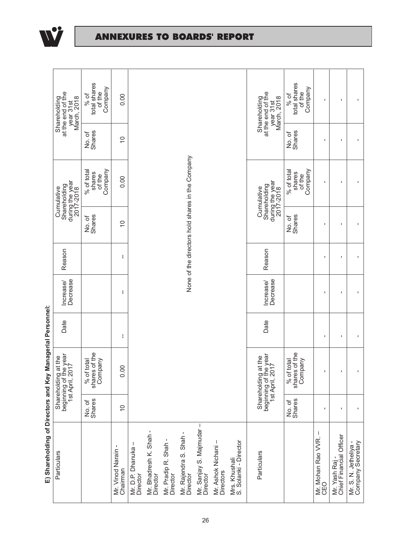

|                                                            | at the end of the<br>March, 2018<br>Shareholding<br>year 31st   | total shares<br>Company<br>of the<br>% of | 0.00                               |                                    |                                    |                                                  |                                                  |                                      |                                  |                                        | at the end of the<br><b>March</b> , 2018<br>Shareholding<br>year 31st | total shares<br>Company<br>of the<br>% of | $\mathbf{I}$                | $\mathbf{I}$                              | $\mathbf I$                                |
|------------------------------------------------------------|-----------------------------------------------------------------|-------------------------------------------|------------------------------------|------------------------------------|------------------------------------|--------------------------------------------------|--------------------------------------------------|--------------------------------------|----------------------------------|----------------------------------------|-----------------------------------------------------------------------|-------------------------------------------|-----------------------------|-------------------------------------------|--------------------------------------------|
|                                                            |                                                                 | No. of<br>Shares                          | $\overline{0}$                     |                                    |                                    |                                                  |                                                  |                                      |                                  |                                        |                                                                       | No. of<br>Shares                          | $\blacksquare$              | I,                                        | $\blacksquare$                             |
|                                                            | during the year<br>$2017 - 2018$<br>Shareholding<br>Cumulative  | Company<br>% of total<br>shares<br>of the | 0.00                               |                                    |                                    |                                                  | None of the directors hold shares in the Company |                                      |                                  |                                        | during the year<br>2017-2018<br>Shareholding<br>Cumulative            | Company<br>% of total<br>shares<br>of the | 1                           | I,                                        | $\mathbf{I}$                               |
|                                                            |                                                                 | No. of<br>Shares                          | $\overline{0}$                     |                                    |                                    |                                                  |                                                  |                                      |                                  |                                        |                                                                       | No. of<br>Shares                          | 1                           | $\mathbf I$                               | $\mathbf I$                                |
|                                                            | Reason                                                          |                                           | H                                  |                                    |                                    |                                                  |                                                  |                                      |                                  |                                        | Reason                                                                |                                           | $\blacksquare$              | $\mathbf I$                               | $\blacksquare$                             |
|                                                            | Decrease<br>Increase/                                           |                                           | ł                                  |                                    |                                    |                                                  |                                                  |                                      |                                  |                                        | Decrease<br>Increase/                                                 |                                           | 1                           | $\mathbf I$                               | $\blacksquare$                             |
|                                                            | Date                                                            |                                           | ł                                  |                                    |                                    |                                                  |                                                  |                                      |                                  |                                        | Date                                                                  |                                           | 1                           | $\mathbf{I}$                              | $\blacksquare$                             |
|                                                            | Shareholding at the<br>beginning of the year<br>1st April, 2017 | % of total<br>shares of the<br>Company    | 0.00                               |                                    |                                    |                                                  |                                                  |                                      |                                  |                                        | Shareholding at the<br>beginning of the year<br>1st April, 2017       | % of total<br>shares of the<br>Company    | $\blacksquare$              | $\blacksquare$                            | $\mathbf{I}$                               |
|                                                            |                                                                 | No. of<br>Shares                          | $\overline{0}$                     |                                    |                                    |                                                  |                                                  |                                      |                                  |                                        |                                                                       | No. of<br>Shares                          | $\mathbf I$                 | $\mathbf I$                               | $\blacksquare$                             |
| E) Shareholding of Directors and Key Managerial Personnel: | Particulars                                                     |                                           | л,<br>Mr. Vinod Narain<br>Chairman | J.<br>Mr. D.P. Dhanuka<br>Director | Mr. Bhadresh K. Shah -<br>Director | $\blacksquare$<br>Mr. Pradip R. Shah<br>Director | Mr. Rajendra S. Shah -<br>Director               | Mr. Sanjay S. Majmudar –<br>Director | Mr. Ashok Nichani –<br>Directors | Mrs. Khushali<br>S. Solanki - Director | Particulars                                                           |                                           | Mr. Mohan Rao VVR. –<br>CEO | Chief Financial Officer<br>Mr. Yash Raj - | Mr. S. N. Jetheliya -<br>Company Secretary |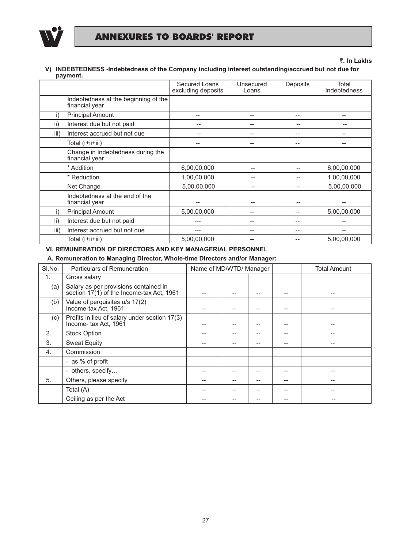

#### `**. In Lakhs**

#### **V) INDEBTEDNESS -Indebtedness of the Company including interest outstanding/accrued but not due for payment.**

|      |                                                        | Secured Loans<br>excluding deposits | Unsecured<br>Loans | Deposits | Total<br>Indebtedness |
|------|--------------------------------------------------------|-------------------------------------|--------------------|----------|-----------------------|
|      | Indebtedness at the beginning of the<br>financial year |                                     |                    |          |                       |
| i)   | <b>Principal Amount</b>                                | $-$                                 | --                 | --       | --                    |
| ii)  | Interest due but not paid                              |                                     |                    | --       |                       |
| iii) | Interest accrued but not due                           |                                     |                    |          |                       |
|      | Total (i+ii+iii)                                       |                                     |                    |          | --                    |
|      | Change in Indebtedness during the<br>financial year    |                                     |                    |          |                       |
|      | * Addition                                             | 6,00,00,000                         |                    |          | 6,00,00,000           |
|      | * Reduction                                            | 1,00,00,000                         |                    | --       | 1,00,00,000           |
|      | Net Change                                             | 5,00,00,000                         |                    |          | 5,00,00,000           |
|      | Indebtedness at the end of the<br>financial year       |                                     |                    |          |                       |
| i)   | <b>Principal Amount</b>                                | 5,00,00,000                         |                    |          | 5,00,00,000           |
| ii)  | Interest due but not paid                              |                                     |                    |          |                       |
| iii) | Interest accrued but not due                           |                                     |                    |          |                       |
|      | Total (i+ii+iii)                                       | 5,00,00,000                         |                    |          | 5,00,00,000           |

#### **VI. REMUNERATION OF DIRECTORS AND KEY MANAGERIAL PERSONNEL**

#### **A. Remuneration to Managing Director, Whole-time Directors and/or Manager:**

| SI.No. | <b>Particulars of Remuneration</b>                                                 | Name of MD/WTD/ Manager |  | <b>Total Amount</b> |
|--------|------------------------------------------------------------------------------------|-------------------------|--|---------------------|
| 1.     | Gross salary                                                                       |                         |  |                     |
| (a)    | Salary as per provisions contained in<br>section 17(1) of the Income-tax Act, 1961 |                         |  |                     |
| (b)    | Value of perquisites u/s 17(2)<br>Income-tax Act, 1961                             |                         |  |                     |
| (c)    | Profits in lieu of salary under section 17(3)<br>Income-tax Act, 1961              |                         |  |                     |
| 2.     | <b>Stock Option</b>                                                                |                         |  |                     |
| 3.     | <b>Sweat Equity</b>                                                                |                         |  |                     |
| 4.     | Commission                                                                         |                         |  |                     |
|        | - as % of profit                                                                   |                         |  |                     |
|        | - others, specify                                                                  |                         |  |                     |
| 5.     | Others, please specify                                                             |                         |  |                     |
|        | Total (A)                                                                          |                         |  |                     |
|        | Ceiling as per the Act                                                             |                         |  |                     |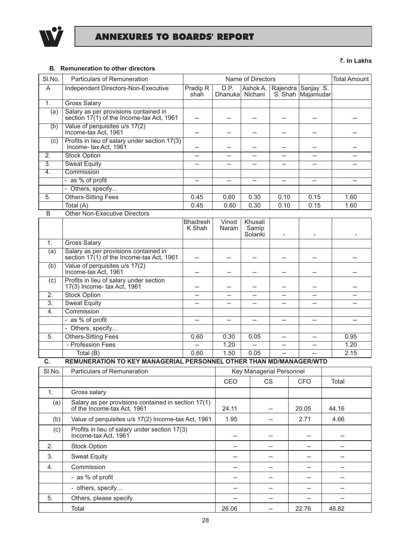

#### **B. Remuneration to other directors**

`**. In Lakhs**

| SI.No.           | Particulars of Remuneration                                                        |                             |                                                                                         | Name of Directors           |                                 |                          | <b>Total Amount</b>      |  |
|------------------|------------------------------------------------------------------------------------|-----------------------------|-----------------------------------------------------------------------------------------|-----------------------------|---------------------------------|--------------------------|--------------------------|--|
| A                | Independent Directors-Non-Executive                                                | Pradip <sub>R</sub><br>shah | D.P.<br>Dhanuka                                                                         | Ashok A.<br>Nichani         | Rajendra<br>S. Shah             | Sanjay .S.<br>Majamudar  |                          |  |
| 1.               | <b>Gross Salary</b>                                                                |                             |                                                                                         |                             |                                 |                          |                          |  |
| (a)              | Salary as per provisions contained in<br>section 17(1) of the Income-tax Act, 1961 | $-$                         | $\overline{\phantom{a}}$                                                                | $-$                         | --                              | $-$                      | --                       |  |
| (b)              | Value of perquisites u/s 17(2)<br>Income-tax Act, 1961                             | $\overline{\phantom{a}}$    |                                                                                         | --                          | --                              | $\overline{a}$           |                          |  |
| (c)              | Profits in lieu of salary under section 17(3)<br>Income-tax Act, 1961              |                             | --                                                                                      |                             |                                 |                          |                          |  |
| $\overline{2}$ . | <b>Stock Option</b>                                                                |                             | $\overline{a}$                                                                          | $\overline{a}$              | $-$                             |                          |                          |  |
| $\overline{3}$ . | <b>Sweat Equity</b>                                                                |                             | $\overline{a}$                                                                          | $-$                         | $\overline{a}$                  | $-$                      |                          |  |
| 4.               | Commission                                                                         |                             |                                                                                         |                             |                                 |                          |                          |  |
|                  | - as % of profit                                                                   | $\overline{a}$              | $\overline{a}$                                                                          | $\overline{a}$              | $\overline{\phantom{0}}$        | $\overline{a}$           | $\overline{\phantom{0}}$ |  |
|                  | - Others, specify                                                                  |                             |                                                                                         |                             |                                 |                          |                          |  |
| 5.               | <b>Others-Sitting Fees</b>                                                         | 0.45                        | 0.60                                                                                    | 0.30                        | 0.10                            | 0.15                     | 1.60                     |  |
|                  | Total (A)                                                                          | 0.45                        | 0.60                                                                                    | 0.30                        | 0.10                            | 0.15                     | 1.60                     |  |
| B                | <b>Other Non-Executive Directors</b>                                               |                             |                                                                                         |                             |                                 |                          |                          |  |
|                  |                                                                                    | <b>Bhadresh</b><br>K Shah   | Vinod<br>Narain                                                                         | Khusali<br>Samip<br>Solanki |                                 |                          |                          |  |
| 1.               | <b>Gross Salary</b>                                                                |                             |                                                                                         |                             |                                 |                          |                          |  |
| (a)              | Salary as per provisions contained in<br>section 17(1) of the Income-tax Act, 1961 | $-$                         | $\overline{\phantom{a}}$                                                                | --                          | --                              | $-$                      | --                       |  |
| (b)              | Value of perquisites u/s 17(2)<br>Income-tax Act, 1961                             | --                          |                                                                                         |                             |                                 | --                       |                          |  |
| (c)              | Profits in lieu of salary under section<br>17(3) Income- tax Act, 1961             | --                          |                                                                                         | --                          | --                              | --                       | --                       |  |
| $\overline{2}$ . | <b>Stock Option</b>                                                                | --                          | --                                                                                      | --                          | --                              | --                       | --                       |  |
| 3.               | <b>Sweat Equity</b>                                                                | $-$                         | $-$<br>$-$<br>$-$<br>--<br>$\overline{a}$<br>$\overline{\phantom{a}}$<br>$\overline{a}$ |                             | $-$                             | $-$                      |                          |  |
| $\overline{4}$ . | Commission                                                                         |                             |                                                                                         |                             |                                 |                          |                          |  |
|                  | - as % of profit                                                                   | $-$                         |                                                                                         |                             |                                 |                          | $\overline{\phantom{0}}$ |  |
|                  | - Others, specify                                                                  |                             |                                                                                         |                             |                                 |                          |                          |  |
| 5.               | <b>Others-Sitting Fees</b>                                                         | 0.60                        | 0.30                                                                                    | 0.05                        | $\overline{\phantom{a}}$        | $\overline{\phantom{a}}$ | 0.95                     |  |
|                  | - Profession Fees                                                                  | --                          | 1.20                                                                                    | $\overline{\phantom{a}}$    | --                              | $\overline{a}$           | 1.20                     |  |
|                  | Total (B)                                                                          | 0.60                        | 1.50                                                                                    | 0.05                        | --                              | $\overline{a}$           | 2.15                     |  |
| C.               | REMUNERATION TO KEY MANAGERIAL PERSONNEL OTHER THAN MD/MANAGER/WTD                 |                             |                                                                                         |                             |                                 |                          |                          |  |
| SI.No.           | Particulars of Remuneration                                                        |                             |                                                                                         |                             | Key Managerial Personnel        |                          |                          |  |
|                  |                                                                                    |                             | CEO                                                                                     | CS                          |                                 | <b>CFO</b>               | Total                    |  |
| 1.               | Gross salary                                                                       |                             |                                                                                         |                             |                                 |                          |                          |  |
| (a)              | Salary as per provisions contained in section 17(1)<br>of the Income-tax Act, 1961 |                             | 24.11                                                                                   |                             |                                 | 20.05                    | 44.16                    |  |
| (b)              | Value of perquisites u/s 17(2) Income-tax Act, 1961                                |                             | 1.95                                                                                    |                             | $-$                             | 2.71                     | 4.66                     |  |
| (c)              | Profits in lieu of salary under section 17(3)<br>Income-tax Act, 1961              |                             | $\overline{\phantom{a}}$                                                                |                             |                                 | --                       | $\overline{\phantom{a}}$ |  |
| 2.               | <b>Stock Option</b>                                                                |                             | $-$                                                                                     |                             | $\overline{\phantom{a}}$<br>$-$ |                          |                          |  |
| 3.               | <b>Sweat Equity</b>                                                                |                             | $\overline{\phantom{a}}$                                                                |                             | $-$                             | --                       | $\overline{\phantom{a}}$ |  |
| 4.               | Commission                                                                         |                             | $\overline{\phantom{a}}$                                                                |                             | $-$                             | --                       | $- -$                    |  |
|                  | - as % of profit                                                                   |                             | $-$                                                                                     |                             | $-$                             | --                       | $-$                      |  |
|                  | - others, specify                                                                  |                             | $-$                                                                                     |                             | --                              |                          | $-$                      |  |
| 5.               | Others, please specify                                                             |                             | --                                                                                      |                             | --                              | --                       | $\overline{\phantom{a}}$ |  |
|                  | Total                                                                              |                             | 26.06                                                                                   |                             | $-\!$                           | 22.76                    | 48.82                    |  |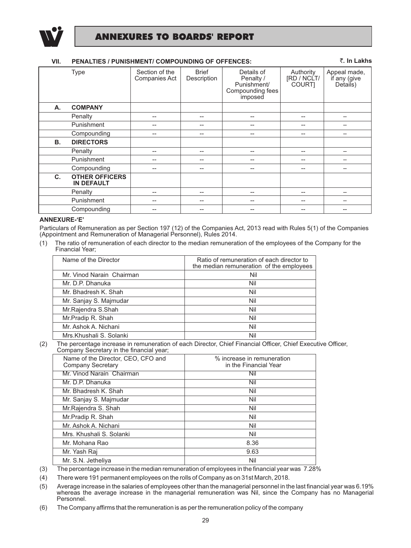

#### **VII. PENALTIES / PUNISHMENT/ COMPOUNDING OF OFFENCES:**

#### `**. In Lakhs**

|    | <b>Type</b>                                | Section of the<br>Companies Act | <b>Brief</b><br>Description | Details of<br>Penalty /<br>Punishment/<br>Compounding fees<br>imposed | Authority<br>[RD / NCLT/<br><b>COURTI</b> | Appeal made,<br>if any (give<br>Details) |
|----|--------------------------------------------|---------------------------------|-----------------------------|-----------------------------------------------------------------------|-------------------------------------------|------------------------------------------|
| А. | <b>COMPANY</b>                             |                                 |                             |                                                                       |                                           |                                          |
|    | Penalty                                    |                                 | --                          |                                                                       | --                                        |                                          |
|    | Punishment                                 | --                              | $- -$                       | --                                                                    | --                                        |                                          |
|    | Compounding                                | --                              | $- -$                       | --                                                                    | $-$                                       |                                          |
| В. | <b>DIRECTORS</b>                           |                                 |                             |                                                                       |                                           |                                          |
|    | Penalty                                    | --                              | $- -$                       | --                                                                    | --                                        |                                          |
|    | Punishment                                 |                                 | --                          | --                                                                    | --                                        |                                          |
|    | Compounding                                | --                              | $- -$                       | --                                                                    | --                                        |                                          |
| C. | <b>OTHER OFFICERS</b><br><b>IN DEFAULT</b> |                                 |                             |                                                                       |                                           |                                          |
|    | Penalty                                    |                                 | $- -$                       | --                                                                    | --                                        |                                          |
|    | Punishment                                 | --                              | $- -$                       | --                                                                    | --                                        |                                          |
|    | Compounding                                |                                 | --                          |                                                                       |                                           |                                          |

#### **ANNEXURE-'E'**

Particulars of Remuneration as per Section 197 (12) of the Companies Act, 2013 read with Rules 5(1) of the Companies (Appointment and Remuneration of Managerial Personnel), Rules 2014.

(1) The ratio of remuneration of each director to the median remuneration of the employees of the Company for the Financial Year;

| Name of the Director      | Ratio of remuneration of each director to<br>the median remuneration of the employees |
|---------------------------|---------------------------------------------------------------------------------------|
| Mr. Vinod Narain Chairman | Nil                                                                                   |
| Mr. D.P. Dhanuka          | Nil                                                                                   |
| Mr. Bhadresh K. Shah      | Nil                                                                                   |
| Mr. Sanjay S. Majmudar    | Nil                                                                                   |
| Mr.Rajendra S.Shah        | Nil                                                                                   |
| Mr.Pradip R. Shah         | Nil                                                                                   |
| Mr. Ashok A. Nichani      | Nil                                                                                   |
| Mrs. Khushali S. Solanki  | Nil                                                                                   |

(2) The percentage increase in remuneration of each Director, Chief Financial Officer, Chief Executive Officer, Company Secretary in the financial year;

| Name of the Director, CEO, CFO and<br><b>Company Secretary</b> | % increase in remuneration<br>in the Financial Year |
|----------------------------------------------------------------|-----------------------------------------------------|
| Mr. Vinod Narain Chairman                                      | Nil                                                 |
| Mr. D.P. Dhanuka                                               | Nil                                                 |
| Mr. Bhadresh K. Shah                                           | Nil                                                 |
| Mr. Sanjay S. Majmudar                                         | Nil                                                 |
| Mr.Rajendra S. Shah                                            | Nil                                                 |
| Mr.Pradip R. Shah                                              | Nil                                                 |
| Mr. Ashok A. Nichani                                           | Nil                                                 |
| Mrs. Khushali S. Solanki                                       | Nil                                                 |
| Mr. Mohana Rao                                                 | 8.36                                                |
| Mr. Yash Rai                                                   | 9.63                                                |
| Mr. S.N. Jetheliya                                             | Nil                                                 |

(3) The percentage increase in the median remuneration of employees in the financial year was 7.28%

(4) There were 191 permanent employees on the rolls of Company as on 31st March, 2018.

(5) Average increase in the salaries of employees other than the managerial personnel in the last financial year was 6.19% whereas the average increase in the managerial remuneration was Nil, since the Company has no Managerial Personnel.

(6) The Company affirms that the remuneration is as per the remuneration policy of the company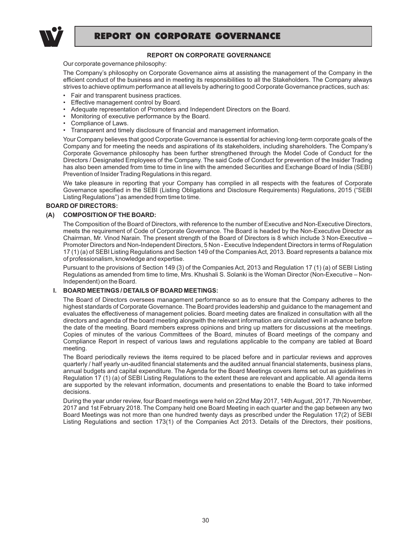

### REPORT ON CORPORATE GOVERNANCE

#### **REPORT ON CORPORATE GOVERNANCE**

Our corporate governance philosophy:

The Company's philosophy on Corporate Governance aims at assisting the management of the Company in the efficient conduct of the business and in meeting its responsibilities to all the Stakeholders. The Company always strives to achieve optimum performance at all levels by adhering to good Corporate Governance practices, such as:

- Fair and transparent business practices.
- Effective management control by Board.
- Adequate representation of Promoters and Independent Directors on the Board.
- Monitoring of executive performance by the Board.
- Compliance of Laws.
- Transparent and timely disclosure of financial and management information.

Your Company believes that good Corporate Governance is essential for achieving long-term corporate goals of the Company and for meeting the needs and aspirations of its stakeholders, including shareholders. The Company's Corporate Governance philosophy has been further strengthened through the Model Code of Conduct for the Directors / Designated Employees of the Company. The said Code of Conduct for prevention of the Insider Trading has also been amended from time to time in line with the amended Securities and Exchange Board of India (SEBI) Prevention of Insider Trading Regulations in this regard.

We take pleasure in reporting that your Company has complied in all respects with the features of Corporate Governance specified in the SEBI (Listing Obligations and Disclosure Requirements) Regulations, 2015 ("SEBI Listing Regulations") as amended from time to time.

#### **BOARD OF DIRECTORS:**

#### **(A) COMPOSITION OF THE BOARD:**

The Composition of the Board of Directors, with reference to the number of Executive and Non-Executive Directors, meets the requirement of Code of Corporate Governance. The Board is headed by the Non-Executive Director as Chairman, Mr. Vinod Narain. The present strength of the Board of Directors is 8 which include 3 Non-Executive – Promoter Directors and Non-Independent Directors, 5 Non - Executive Independent Directors in terms of Regulation 17 (1) (a) of SEBI Listing Regulations and Section 149 of the Companies Act, 2013. Board represents a balance mix of professionalism, knowledge and expertise.

Pursuant to the provisions of Section 149 (3) of the Companies Act, 2013 and Regulation 17 (1) (a) of SEBI Listing Regulations as amended from time to time, Mrs. Khushali S. Solanki is the Woman Director (Non-Executive – Non-Independent) on the Board.

#### **I. BOARD MEETINGS / DETAILS OF BOARD MEETINGS:**

The Board of Directors oversees management performance so as to ensure that the Company adheres to the highest standards of Corporate Governance. The Board provides leadership and guidance to the management and evaluates the effectiveness of management policies. Board meeting dates are finalized in consultation with all the directors and agenda of the board meeting alongwith the relevant information are circulated well in advance before the date of the meeting. Board members express opinions and bring up matters for discussions at the meetings. Copies of minutes of the various Committees of the Board, minutes of Board meetings of the company and Compliance Report in respect of various laws and regulations applicable to the company are tabled at Board meeting.

The Board periodically reviews the items required to be placed before and in particular reviews and approves quarterly / half yearly un-audited financial statements and the audited annual financial statements, business plans, annual budgets and capital expenditure. The Agenda for the Board Meetings covers items set out as guidelines in Regulation 17 (1) (a) of SEBI Listing Regulations to the extent these are relevant and applicable. All agenda items are supported by the relevant information, documents and presentations to enable the Board to take informed decisions.

During the year under review, four Board meetings were held on 22nd May 2017, 14th August, 2017, 7th November, 2017 and 1st February 2018. The Company held one Board Meeting in each quarter and the gap between any two Board Meetings was not more than one hundred twenty days as prescribed under the Regulation 17(2) of SEBI Listing Regulations and section 173(1) of the Companies Act 2013. Details of the Directors, their positions,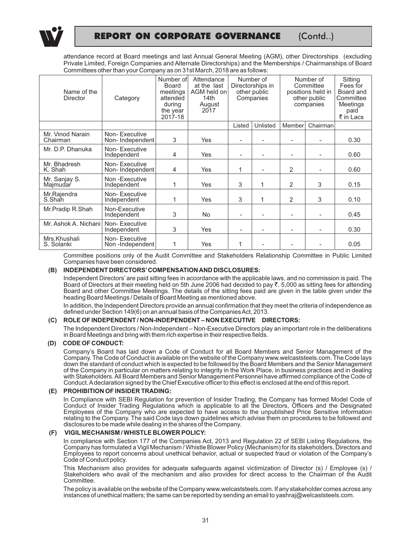

attendance record at Board meetings and last Annual General Meeting (AGM), other Directorships (excluding Private Limited, Foreign Companies and Alternate Directorships) and the Memberships / Chairmanships of Board Committees other than your Company as on 31st March, 2018 are as follows:

| Name of the<br><b>Director</b> | Category                         | Number of<br>Board<br>meetings<br>attended<br>during<br>the year<br>2017-18 | Attendance<br>at the last<br>AGM held on<br>14th<br>August<br>2017 | Number of<br>Directorships in<br>other public<br>Companies |                | Number of<br>Committee<br>positions held in<br>other public<br>companies |          | Sitting<br>Fees for<br>Board and<br>Committee<br><b>Meetings</b><br>paid<br>₹ in Lacs |
|--------------------------------|----------------------------------|-----------------------------------------------------------------------------|--------------------------------------------------------------------|------------------------------------------------------------|----------------|--------------------------------------------------------------------------|----------|---------------------------------------------------------------------------------------|
|                                |                                  |                                                                             |                                                                    | Listed                                                     | Unlisted       | Member                                                                   | Chairman |                                                                                       |
| Mr. Vinod Narain<br>Chairman   | Non-Executive<br>Non-Independent | 3                                                                           | Yes                                                                | -                                                          |                |                                                                          |          | 0.30                                                                                  |
| Mr. D.P. Dhanuka               | Non-Executive<br>Independent     | 4                                                                           | Yes                                                                | $\overline{\phantom{a}}$                                   |                |                                                                          | ٠        | 0.60                                                                                  |
| Mr. Bhadresh<br>K. Shah        | Non-Executive<br>Non-Independent | 4                                                                           | Yes                                                                | 1                                                          | $\overline{a}$ | 2                                                                        |          | 0.60                                                                                  |
| Mr. Sanjay S.<br>Majmuɗar      | Non-Executive<br>Independent     | 1                                                                           | <b>Yes</b>                                                         | 3                                                          | 1              | 2                                                                        | 3        | 0.15                                                                                  |
| Mr.Rajendra<br>S.Shah          | Non-Executive<br>Independent     | 1                                                                           | Yes                                                                | 3                                                          | 1              | 2                                                                        | 3        | 0.10                                                                                  |
| Mr.Pradip R.Shah               | Non-Executive<br>Independent     | 3                                                                           | No.                                                                | ٠                                                          |                |                                                                          |          | 0.45                                                                                  |
| Mr. Ashok A. Nichani           | Non-Executive<br>Independent     | 3                                                                           | <b>Yes</b>                                                         | $\overline{\phantom{a}}$                                   |                |                                                                          |          | 0.30                                                                                  |
| Mrs.Khushali<br>S. Solanki     | Non-Executive<br>Non-Independent | 1                                                                           | Yes                                                                | 1                                                          |                |                                                                          |          | 0.05                                                                                  |

Committee positions only of the Audit Committee and Stakeholders Relationship Committee in Public Limited Companies have been considered.

#### **(B) INDEPENDENT DIRECTORS'COMPENSATIONAND DISCLOSURES:**

Independent Directors' are paid sitting fees in accordance with the applicable laws, and no commission is paid. The Board of Directors at their meeting held on 5th June 2006 had decided to pay  $\bar{\xi}$ , 5,000 as sitting fees for attending Board and other Committee Meetings. The details of the sitting fees paid are given in the table given under the heading Board Meetings / Details of Board Meeting as mentioned above.

In addition, the Independent Directors provide an annual confirmation that they meet the criteria of independence as defined under Section 149(6) on an annual basis of the CompaniesAct, 2013.

#### **(C) ROLE OF INDEPENDENT / NON-INDEPENDENT – NON EXECUTIVE DIRECTORS:**

The Independent Directors / Non-Independent – Non-Executive Directors play an important role in the deliberations in Board Meetings and bring with them rich expertise in their respective fields.

#### **(D) CODE OF CONDUCT:**

Company's Board has laid down a Code of Conduct for all Board Members and Senior Management of the Company. The Code of Conduct is available on the website of the Company www.welcaststeels.com. The Code lays down the standard of conduct which is expected to be followed by the Board Members and the Senior Management of the Company in particular on matters relating to integrity in the Work Place, in business practices and in dealing with Stakeholders. All Board Members and Senior Management Personnel have affirmed compliance of the Code of Conduct. Adeclaration signed by the Chief Executive officer to this effect is enclosed at the end of this report.

#### **(E) PROHIBITION OF INSIDER TRADING:**

In Compliance with SEBI Regulation for prevention of Insider Trading, the Company has formed Model Code of Conduct of Insider Trading Regulations which is applicable to all the Directors, Officers and the Designated Employees of the Company who are expected to have access to the unpublished Price Sensitive information relating to the Company. The said Code lays down guidelines which advise them on procedures to be followed and disclosures to be made while dealing in the shares of the Company.

#### **(F) VIGIL MECHANISM / WHISTLE BLOWER POLICY:**

In compliance with Section 177 of the Companies Act, 2013 and Regulation 22 of SEBI Listing Regulations, the Company has formulated a Vigil Mechanism / Whistle Blower Policy (Mechanism) for its stakeholders, Directors and Employees to report concerns about unethical behavior, actual or suspected fraud or violation of the Company's Code of Conduct policy.

This Mechanism also provides for adequate safeguards against victimization of Director (s) / Employee (s) / Stakeholders who avail of the mechanism and also provides for direct access to the Chairman of the Audit Committee.

The policy is available on the website of the Company www.welcaststeels.com. If any stakeholder comes across any instances of unethical matters; the same can be reported by sending an email to yashraj@welcaststeels.com.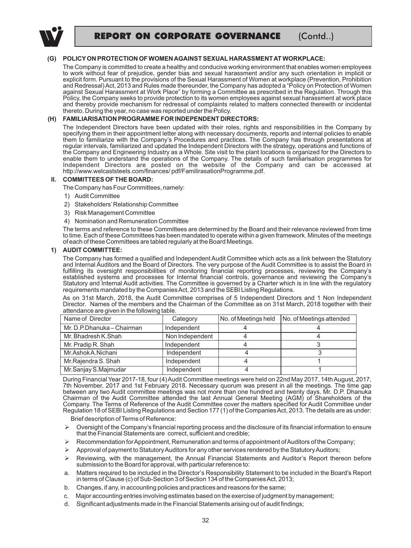



#### **(G) POLICY ON PROTECTION OF WOMENAGAINST SEXUAL HARASSMENTAT WORKPLACE:**

The Company is committed to create a healthy and conducive working environment that enables women employees to work without fear of prejudice, gender bias and sexual harassment and/or any such orientation in implicit or explicit form. Pursuant to the provisions of the Sexual Harassment of Women at workplace (Prevention, Prohibition and Redressal)Act, 2013 and Rules made thereunder, the Company has adopted a "Policy on Protection of Women against Sexual Harassment at Work Place" by forming a Committee as prescribed in the Regulation. Through this Policy, the Company seeks to provide protection to its women employees against sexual harassment at work place and thereby provide mechanism for redressal of complaints related to matters connected therewith or incidental thereto. During the year, no case was reported under the Policy.

#### **(H) FAMILIARISATION PROGRAMME FOR INDEPENDENT DIRECTORS:**

The Independent Directors have been updated with their roles, rights and responsibilities in the Company by specifying them in their appointment letter along with necessary documents, reports and internal policies to enable them to familiarize with the Company's Procedures and practices. The Company has through presentations at regular intervals, familiarized and updated the Independent Directors with the strategy, operations and functions of the Company and Engineering Industry as a Whole. Site visit to the plant locations is organized for the Directors to enable them to understand the operations of the Company. The details of such familiarisation programmes for Independent Directors are posted on the website of the Company and can be accessed at http://www.welcaststeels.com/finances/ pdf/FamilirasationProgramme.pdf.

#### **II. COMMITTEES OF THE BOARD:**

The Company has Four Committees, namely:

- 1) Audit Committee
- 2) Stakeholders'Relationship Committee
- 3) Risk Management Committee
- 4) Nomination and Remuneration Committee

The terms and reference to these Committees are determined by the Board and their relevance reviewed from time to time. Each of these Committees has been mandated to operate within a given framework. Minutes of the meetings of each of these Committees are tabled regularly at the Board Meetings.

#### **1) AUDIT COMMITTEE:**

The Company has formed a qualified and Independent Audit Committee which acts as a link between the Statutory and Internal Auditors and the Board of Directors. The very purpose of the Audit Committee is to assist the Board in fulfilling its oversight responsibilities of monitoring financial reporting processes, reviewing the Company's established systems and processes for Internal financial controls, governance and reviewing the Company's Statutory and Internal Audit activities. The Committee is governed by a Charter which is in line with the regulatory requirements mandated by the CompaniesAct, 2013 and the SEBI Listing Regulations.

As on 31st March, 2018, the Audit Committee comprises of 5 Independent Directors and 1 Non Independent Director. Names of the members and the Chairman of the Committee as on 31st March, 2018 together with their attendance are given in the following table.

| Name of Director           | Category        | No. of Meetings held | No. of Meetings attended |
|----------------------------|-----------------|----------------------|--------------------------|
| Mr. D.P.Dhanuka - Chairman | Independent     |                      |                          |
| Mr. Bhadresh K.Shah        | Non Independent |                      |                          |
| Mr. Pradip R. Shah         | Independent     |                      |                          |
| Mr.Ashok A.Nichani         | Independent     |                      |                          |
| Mr.Rajendra S. Shah        | Independent     |                      |                          |
| Mr.Sanjay S.Majmudar       | Independent     |                      |                          |

During Financial Year 2017-18, four (4) Audit Committee meetings were held on 22nd May 2017, 14th August, 2017, 7th November, 2017 and 1st February 2018. Necessary quorum was present in all the meetings. The time gap between any two Audit committee meetings was not more than one hundred and twenty days. Mr. D.P. Dhanuka Chairman of the Audit Committee attended the last Annual General Meeting (AGM) of Shareholders of the Company. The Terms of Reference of the Audit Committee cover the matters specified for Audit Committee under Regulation 18 of SEBI Listing Regulations and Section 177 (1) of the Companies Act, 2013. The details are as under:

Brief description of Terms of Reference:

- Ø Oversight of the Company's financial reporting process and the disclosure of its financial information to ensure that the Financial Statements are correct, sufficient and credible;
- Recommendation for Appointment, Remuneration and terms of appointment of Auditors of the Company;
- $\triangleright$  Approval of payment to Statutory Auditors for any other services rendered by the Statutory Auditors;
- $\triangleright$  Reviewing, with the management, the Annual Financial Statements and Auditor's Report thereon before submission to the Board for approval, with particular reference to:
- a. Matters required to be included in the Director's Responsibility Statement to be included in the Board's Report in terms of Clause (c) of Sub-Section 3 of Section 134 of the Companies Act, 2013;
- b. Changes, if any, in accounting policies and practices and reasons for the same;
- c. Major accounting entries involving estimates based on the exercise of judgment by management;
- d. Significant adjustments made in the Financial Statements arising out of audit findings;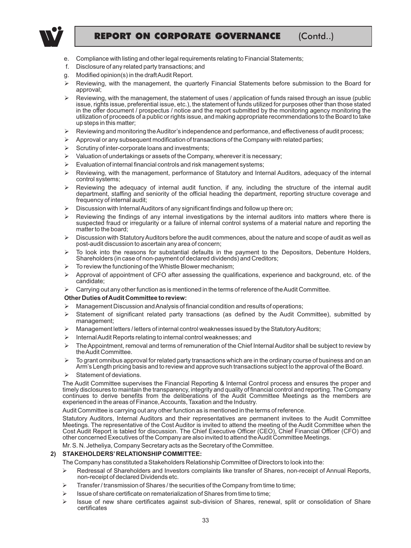# REPORT ON CORPORATE GOVERNANCE (Contd..)



- e. Compliance with listing and other legal requirements relating to Financial Statements;
- f. Disclosure of any related party transactions; and
- g. Modified opinion(s) in the draftAudit Report.
- Ø Reviewing, with the management, the quarterly Financial Statements before submission to the Board for approval;
- Reviewing, with the management, the statement of uses / application of funds raised through an issue (public issue, rights issue, preferential issue, etc.), the statement of funds utilized for purposes other than those stated in the offer document / prospectus / notice and the report submitted by the monitoring agency monitoring the utilization of proceeds of a public or rights issue, and making appropriate recommendations to the Board to take up steps in this matter;
- Reviewing and monitoring the Auditor's independence and performance, and effectiveness of audit process;
- Approval or any subsequent modification of transactions of the Company with related parties;
- $\triangleright$  Scrutiny of inter-corporate loans and investments;
- $\triangleright$  Valuation of undertakings or assets of the Company, wherever it is necessary:
- $\triangleright$  Evaluation of internal financial controls and risk management systems:
- $\triangleright$  Reviewing, with the management, performance of Statutory and Internal Auditors, adequacy of the internal control systems;
- Reviewing the adequacy of internal audit function, if any, including the structure of the internal audit department, staffing and seniority of the official heading the department, reporting structure coverage and frequency of internal audit;
- Discussion with Internal Auditors of any significant findings and follow up there on;
- $\triangleright$  Reviewing the findings of any internal investigations by the internal auditors into matters where there is suspected fraud or irregularity or a failure of internal control systems of a material nature and reporting the matter to the board;
- Discussion with Statutory Auditors before the audit commences, about the nature and scope of audit as well as post-audit discussion to ascertain any area of concern;
- Ø To look into the reasons for substantial defaults in the payment to the Depositors, Debenture Holders, Shareholders (in case of non-payment of declared dividends) and Creditors;
- To review the functioning of the Whistle Blower mechanism;
- Ø Approval of appointment of CFO after assessing the qualifications, experience and background, etc. of the candidate;
- Ø Carrying out any other function as is mentioned in the terms of reference of theAudit Committee.

#### **Other Duties ofAudit Committee to review:**

- Management Discussion and Analysis of financial condition and results of operations;
- $\triangleright$  Statement of significant related party transactions (as defined by the Audit Committee), submitted by management;
- $\triangleright$  Management letters / letters of internal control weaknesses issued by the Statutory Auditors;
- Internal Audit Reports relating to internal control weaknesses; and
- $\triangleright$  The Appointment, removal and terms of remuneration of the Chief Internal Auditor shall be subject to review by theAudit Committee.
- Ø To grant omnibus approval for related party transactions which are in the ordinary course of business and on an Arm's Length pricing basis and to review and approve such transactions subject to the approval of the Board.
- Statement of deviations.

The Audit Committee supervises the Financial Reporting & Internal Control process and ensures the proper and timely disclosures to maintain the transparency, integrity and quality of financial control and reporting. The Company continues to derive benefits from the deliberations of the Audit Committee Meetings as the members are experienced in the areas of Finance,Accounts, Taxation and the Industry.

Audit Committee is carrying out any other function as is mentioned in the terms of reference.

Statutory Auditors, Internal Auditors and their representatives are permanent invitees to the Audit Committee Meetings. The representative of the Cost Auditor is invited to attend the meeting of the Audit Committee when the Cost Audit Report is tabled for discussion. The Chief Executive Officer (CEO), Chief Financial Officer (CFO) and other concerned Executives of the Company are also invited to attend theAudit Committee Meetings.

Mr. S. N. Jetheliya, Company Secretary acts as the Secretary of the Committee.

#### **2) STAKEHOLDERS'RELATIONSHIP COMMITTEE:**

The Company has constituted a Stakeholders Relationship Committee of Directors to look into the:

- Redressal of Shareholders and Investors complaints like transfer of Shares, non-receipt of Annual Reports, non-receipt of declared Dividends etc.
- $\triangleright$  Transfer / transmission of Shares / the securities of the Company from time to time;
- $\triangleright$  Issue of share certificate on rematerialization of Shares from time to time;
- $\triangleright$  Issue of new share certificates against sub-division of Shares, renewal, split or consolidation of Share certificates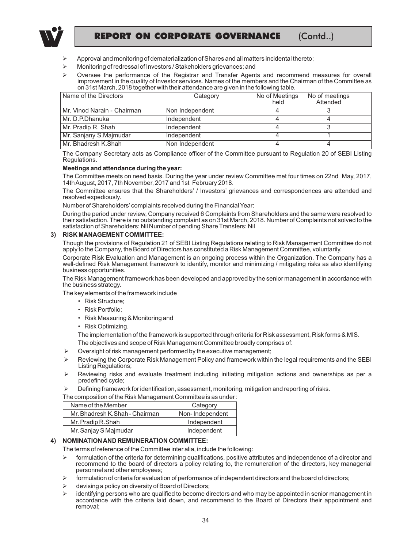# REPORT ON CORPORATE GOVERNANCE (Contd..)



- Ø Approval and monitoring of dematerialization of Shares and all matters incidental thereto;
- Ø Monitoring of redressal of Investors / Stakeholders grievances; and
- $\triangleright$  Oversee the performance of the Registrar and Transfer Agents and recommend measures for overall improvement in the quality of Investor services. Names of the members and the Chairman of the Committee as on 31st March, 2018 together with their attendance are given in the following table.

| Name of the Directors       | Category        | No of Meetings<br>held | No of meetings<br>Attended |
|-----------------------------|-----------------|------------------------|----------------------------|
| Mr. Vinod Narain - Chairman | Non Independent |                        |                            |
| Mr. D.P.Dhanuka             | Independent     |                        |                            |
| Mr. Pradip R. Shah          | Independent     |                        |                            |
| Mr. Sanjany S.Majmudar      | Independent     |                        |                            |
| Mr. Bhadresh K.Shah         | Non Independent |                        |                            |

The Company Secretary acts as Compliance officer of the Committee pursuant to Regulation 20 of SEBI Listing Regulations.

#### **Meetings and attendance during the year:**

The Committee meets on need basis. During the year under review Committee met four times on 22nd May, 2017, 14thAugust, 2017, 7th November, 2017 and 1st February 2018.

The Committee ensures that the Shareholders' / Investors' grievances and correspondences are attended and resolved expediously.

Number of Shareholders' complaints received during the Financial Year:

During the period under review, Company received 6 Complaints from Shareholders and the same were resolved to their satisfaction. There is no outstanding complaint as on 31st March, 2018. Number of Complaints not solved to the satisfaction of Shareholders: Nil Number of pending Share Transfers: Nil

#### **3) RISK MANAGEMENT COMMITTEE:**

Though the provisions of Regulation 21 of SEBI Listing Regulations relating to Risk Management Committee do not apply to the Company, the Board of Directors has constituted a Risk Management Committee, voluntarily.

Corporate Risk Evaluation and Management is an ongoing process within the Organization. The Company has a well-defined Risk Management framework to identify, monitor and minimizing / mitigating risks as also identifying business opportunities.

The Risk Management framework has been developed and approved by the senior management in accordance with the business strategy.

The key elements of the framework include

- Risk Structure;
- Risk Portfolio;
- Risk Measuring & Monitoring and
- Risk Optimizing.

The implementation of the framework is supported through criteria for Risk assessment, Risk forms & MIS.

The objectives and scope of Risk Management Committee broadly comprises of:

- Oversight of risk management performed by the executive management;
- Reviewing the Corporate Risk Management Policy and framework within the legal requirements and the SEBI Listing Regulations;
- Reviewing risks and evaluate treatment including initiating mitigation actions and ownerships as per a predefined cycle;
- Defining framework for identification, assessment, monitoring, mitigation and reporting of risks.

The composition of the Risk Management Committee is as under :

| Name of the Member             | Category        |
|--------------------------------|-----------------|
| Mr. Bhadresh K.Shah - Chairman | Non-Independent |
| Mr. Pradip R. Shah             | Independent     |
| Mr. Sanjay S Majmudar          | Independent     |

#### **4) NOMINATIONAND REMUNERATION COMMITTEE:**

The terms of reference of the Committee inter alia, include the following:

- $\triangleright$  formulation of the criteria for determining qualifications, positive attributes and independence of a director and recommend to the board of directors a policy relating to, the remuneration of the directors, key managerial personnel and other employees;
- $\triangleright$  formulation of criteria for evaluation of performance of independent directors and the board of directors;
- $\triangleright$  devising a policy on diversity of Board of Directors;
- $\triangleright$  identifying persons who are qualified to become directors and who may be appointed in senior management in accordance with the criteria laid down, and recommend to the Board of Directors their appointment and removal;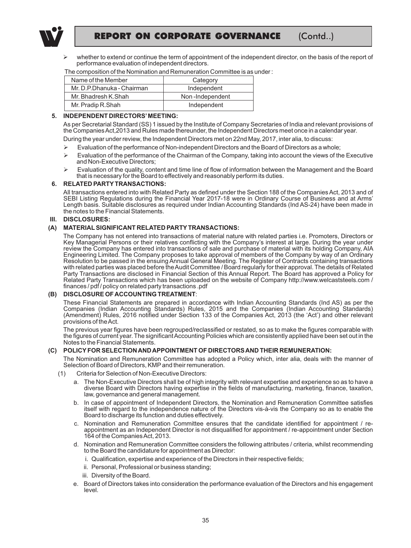# REPORT ON CORPORATE GOVERNANCE (Contd..)



whether to extend or continue the term of appointment of the independent director, on the basis of the report of performance evaluation of independent directors.

The composition of the Nomination and Remuneration Committee is as under :

| Name of the Member         | Category        |
|----------------------------|-----------------|
| Mr. D.P.Dhanuka - Chairman | Independent     |
| Mr. Bhadresh K.Shah        | Non-Independent |
| Mr. Pradip R. Shah         | Independent     |

#### **5. INDEPENDENT DIRECTORS'MEETING:**

As per Secretarial Standard (SS) 1 issued by the Institute of Company Secretaries of India and relevant provisions of the Companies Act, 2013 and Rules made thereunder, the Independent Directors meet once in a calendar year.

During the year under review, the Independent Directors met on 22nd May, 2017, inter alia, to discuss:

- Evaluation of the performance of Non-independent Directors and the Board of Directors as a whole;
- $\triangleright$  Evaluation of the performance of the Chairman of the Company, taking into account the views of the Executive and Non-Executive Directors;
- Ø Evaluation of the quality, content and time line of flow of information between the Management and the Board that is necessary for the Board to effectively and reasonably perform its duties.

#### **6. RELATED PARTY TRANSACTIONS:**

All transactions entered into with Related Party as defined under the Section 188 of the Companies Act, 2013 and of SEBI Listing Regulations during the Financial Year 2017-18 were in Ordinary Course of Business and at Arms' Length basis. Suitable disclosures as required under Indian Accounting Standards (Ind AS-24) have been made in the notes to the Financial Statements.

#### **III. DISCLOSURES:**

#### **(A) MATERIAL SIGNIFICANT RELATED PARTY TRANSACTIONS:**

The Company has not entered into transactions of material nature with related parties i.e. Promoters, Directors or Key Managerial Persons or their relatives conflicting with the Company's interest at large. During the year under review the Company has entered into transactions of sale and purchase of material with its holding Company, AIA Engineering Limited. The Company proposes to take approval of members of the Company by way of an Ordinary Resolution to be passed in the ensuing Annual General Meeting. The Register of Contracts containing transactions with related parties was placed before theAudit Committee / Board regularly for their approval. The details of Related Party Transactions are disclosed in Financial Section of this Annual Report. The Board has approved a Policy for Related Party Transactions which has been uploaded on the website of Company http://www.welcaststeels.com / finances / pdf / policy on related party transactions .pdf

#### **(B) DISCLOSURE OFACCOUNTING TREATMENT**:

These Financial Statements are prepared in accordance with Indian Accounting Standards (Ind AS) as per the Companies (Indian Accounting Standards) Rules, 2015 and the Companies (Indian Accounting Standards) (Amendment) Rules, 2016 notified under Section 133 of the Companies Act, 2013 (the 'Act') and other relevant provisions of theAct.

The previous year figures have been regrouped/reclassified or restated, so as to make the figures comparable with the figures of current year. The significantAccounting Policies which are consistently applied have been set out in the Notes to the Financial Statements.

#### **(C) POLICY FOR SELECTIONANDAPPOINTMENT OF DIRECTORSAND THEIR REMUNERATION:**

The Nomination and Remuneration Committee has adopted a Policy which, inter alia, deals with the manner of Selection of Board of Directors, KMP and their remuneration.

- (1) Criteria for Selection of Non-Executive Directors:
	- a. The Non-Executive Directors shall be of high integrity with relevant expertise and experience so as to have a diverse Board with Directors having expertise in the fields of manufacturing, marketing, finance, taxation, law, governance and general management.
	- b. In case of appointment of Independent Directors, the Nomination and Remuneration Committee satisfies itself with regard to the independence nature of the Directors vis-à-vis the Company so as to enable the Board to discharge its function and duties effectively.
	- c. Nomination and Remuneration Committee ensures that the candidate identified for appointment / reappointment as an Independent Director is not disqualified for appointment / re-appointment under Section 164 of the CompaniesAct, 2013.
	- d. Nomination and Remuneration Committee considers the following attributes / criteria, whilst recommending to the Board the candidature for appointment as Director:
		- i. Qualification, expertise and experience of the Directors in their respective fields;
		- ii. Personal, Professional or business standing;
		- iii. Diversity of the Board.
	- e. Board of Directors takes into consideration the performance evaluation of the Directors and his engagement level.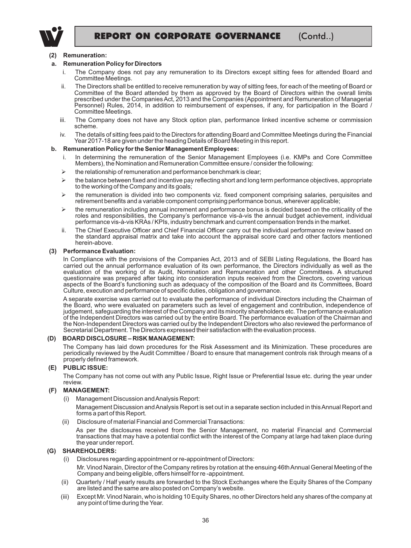

#### **(2) Remuneration:**

#### **a. Remuneration Policy for Directors**

- i. The Company does not pay any remuneration to its Directors except sitting fees for attended Board and Committee Meetings.
- ii. The Directors shall be entitled to receive remuneration by way of sitting fees, for each of the meeting of Board or Committee of the Board attended by them as approved by the Board of Directors within the overall limits prescribed under the Companies Act, 2013 and the Companies (Appointment and Remuneration of Managerial Personnel) Rules, 2014, in addition to reimbursement of expenses, if any, for participation in the Board / Committee Meetings.
- iii. The Company does not have any Stock option plan, performance linked incentive scheme or commission scheme.
- iv. The details of sitting fees paid to the Directors for attending Board and Committee Meetings during the Financial Year 2017-18 are given under the heading Details of Board Meeting in this report.

#### **b. Remuneration Policy for the Senior Management Employees:**

- i. In determining the remuneration of the Senior Management Employees (i.e. KMPs and Core Committee Members), the Nomination and Remuneration Committee ensure / consider the following:
- the relationship of remuneration and performance benchmark is clear:
- $\triangleright$  the balance between fixed and incentive pay reflecting short and long term performance objectives, appropriate to the working of the Company and its goals;
- $\triangleright$  the remuneration is divided into two components viz. fixed component comprising salaries, perquisites and retirement benefits and a variable component comprising performance bonus, wherever applicable;
- $\triangleright$  the remuneration including annual increment and performance bonus is decided based on the criticality of the roles and responsibilities, the Company's performance vis-à-vis the annual budget achievement, individual performance vis-à-vis KRAs / KPIs, industry benchmark and current compensation trends in the market.
- ii. The Chief Executive Officer and Chief Financial Officer carry out the individual performance review based on the standard appraisal matrix and take into account the appraisal score card and other factors mentioned herein-above.

#### **(3) Performance Evaluation:**

In Compliance with the provisions of the Companies Act, 2013 and of SEBI Listing Regulations, the Board has carried out the annual performance evaluation of its own performance, the Directors individually as well as the evaluation of the working of its Audit, Nomination and Remuneration and other Committees. A structured questionnaire was prepared after taking into consideration inputs received from the Directors, covering various aspects of the Board's functioning such as adequacy of the composition of the Board and its Committees, Board Culture, execution and performance of specific duties, obligation and governance.

A separate exercise was carried out to evaluate the performance of individual Directors including the Chairman of the Board, who were evaluated on parameters such as level of engagement and contribution, independence of judgement, safeguarding the interest of the Company and its minority shareholders etc. The performance evaluation of the Independent Directors was carried out by the entire Board. The performance evaluation of the Chairman and the Non-Independent Directors was carried out by the Independent Directors who also reviewed the performance of Secretarial Department. The Directors expressed their satisfaction with the evaluation process.

#### **(D) BOARD DISCLOSURE – RISK MANAGEMENT:**

The Company has laid down procedures for the Risk Assessment and its Minimization. These procedures are periodically reviewed by the Audit Committee / Board to ensure that management controls risk through means of a properly defined framework.

#### **(E) PUBLIC ISSUE:**

The Company has not come out with any Public Issue, Right Issue or Preferential Issue etc. during the year under review.

#### **(F) MANAGEMENT:**

- (i) Management Discussion andAnalysis Report:
- Management Discussion andAnalysis Report is set out in a separate section included in thisAnnual Report and forms a part of this Report.
- **Disclosure of material Financial and Commercial Transactions:**

As per the disclosures received from the Senior Management, no material Financial and Commercial transactions that may have a potential conflict with the interest of the Company at large had taken place during the year under report.

#### **(G) SHAREHOLDERS:**

- (i) Disclosures regarding appointment or re-appointment of Directors: Mr. Vinod Narain, Director of the Company retires by rotation at the ensuing 46th Annual General Meeting of the Company and being eligible, offers himself for re -appointment.
- (ii) Quarterly / Half yearly results are forwarded to the Stock Exchanges where the Equity Shares of the Company are listed and the same are also posted on Company's website.
- (iii) Except Mr. Vinod Narain, who is holding 10 Equity Shares, no other Directors held any shares of the company at any point of time during the Year.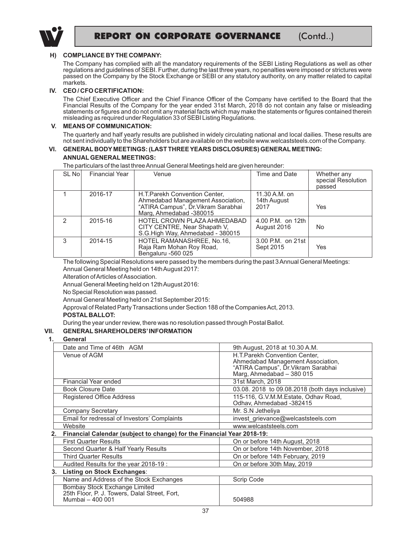

#### **H) COMPLIANCE BY THE COMPANY:**

The Company has complied with all the mandatory requirements of the SEBI Listing Regulations as well as other regulations and guidelines of SEBI. Further, during the last three years, no penalties were imposed or strictures were passed on the Company by the Stock Exchange or SEBI or any statutory authority, on any matter related to capital markets.

#### **IV. CEO / CFO CERTIFICATION:**

The Chief Executive Officer and the Chief Finance Officer of the Company have certified to the Board that the Financial Results of the Company for the year ended 31st March, 2018 do not contain any false or misleading statements or figures and do not omit any material facts which may make the statements or figures contained therein misleading as required under Regulation 33 of SEBI Listing Regulations.

#### **V. MEANS OF COMMUNICATION:**

The quarterly and half yearly results are published in widely circulating national and local dailies. These results are not sent individually to the Shareholders but are available on the website www.welcaststeels.com of the Company.

#### **VI. GENERAL BODY MEETINGS: (LAST THREE YEARS DISCLOSURES) GENERAL MEETING: ANNUAL GENERAL MEETINGS:**

The particulars of the last threeAnnual General Meetings held are given hereunder:

| SL Nol | <b>Financial Year</b> | Venue                                                                                                                                | Time and Date                        | Whether any<br>special Resolution<br>passed |
|--------|-----------------------|--------------------------------------------------------------------------------------------------------------------------------------|--------------------------------------|---------------------------------------------|
|        | 2016-17               | H.T.Parekh Convention Center,<br>Ahmedabad Management Association,<br>"ATIRA Campus", Dr. Vikram Sarabhai<br>Marg, Ahmedabad -380015 | 11.30 A.M. on<br>14th August<br>2017 | Yes                                         |
| 2      | 2015-16               | HOTEL CROWN PLAZA AHMEDABAD<br>CITY CENTRE, Near Shapath V.<br>S.G. High Way, Ahmedabad - 380015                                     | 4.00 P.M. on 12th<br>August 2016     | No                                          |
| 3      | 2014-15               | HOTEL RAMANASHREE, No.16,<br>Raja Ram Mohan Roy Road,<br>Bengaluru -560 025                                                          | 3.00 P.M. on 21st<br>Sept 2015       | Yes                                         |

The following Special Resolutions were passed by the members during the past 3Annual General Meetings: Annual General Meeting held on 14th August 2017:

Alteration ofArticles ofAssociation.

Annual General Meeting held on 12th August 2016:

No Special Resolution was passed.

Annual General Meeting held on 21st September 2015:

Approval of Related Party Transactions under Section 188 of the CompaniesAct, 2013.

#### **POSTAL BALLOT:**

During the year under review, there was no resolution passed through Postal Ballot.

#### **VII. GENERAL SHAREHOLDERS'INFORMATION**

#### **1. General**

| 9th August, 2018 at 10.30 A.M.                                                                                                         |
|----------------------------------------------------------------------------------------------------------------------------------------|
| H.T.Parekh Convention Center,<br>Ahmedabad Management Association,<br>"ATIRA Campus", Dr. Vikram Sarabhai<br>Marg, Ahmedabad - 380 015 |
| 31st March, 2018                                                                                                                       |
| 03.08. 2018 to 09.08.2018 (both days inclusive)                                                                                        |
| 115-116, G.V.M.M.Estate, Odhav Road,<br>Odhav, Ahmedabad -382415                                                                       |
| Mr. S.N Jetheliya                                                                                                                      |
| invest grievance@welcaststeels.com                                                                                                     |
| www.welcaststeels.com                                                                                                                  |
| Financial Calendar (subject to change) for the Financial Year 2018-19:                                                                 |
| On or before 14th August, 2018                                                                                                         |
| On or before 14th November, 2018                                                                                                       |
| On or before 14th February, 2019                                                                                                       |
| On or before 30th May, 2019                                                                                                            |
|                                                                                                                                        |
| Scrip Code                                                                                                                             |
| 504988                                                                                                                                 |
|                                                                                                                                        |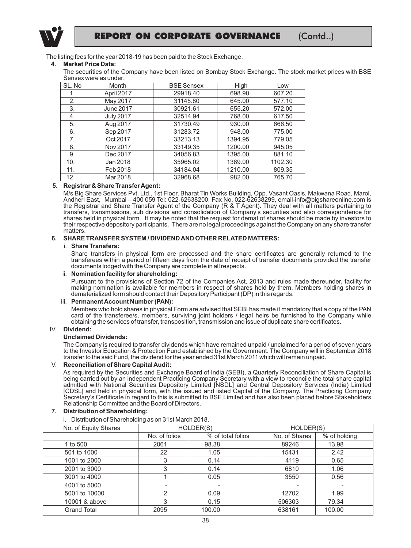

#### REPORT ON CORPORATE GOVERNANCE (Contd..)

The listing fees for the year 2018-19 has been paid to the Stock Exchange.

#### **4. Market Price Data:**

The securities of the Company have been listed on Bombay Stock Exchange. The stock market prices with BSE Sensex were as under:

| SL. No | Month            | <b>BSE Sensex</b> | High    | Low     |  |  |  |
|--------|------------------|-------------------|---------|---------|--|--|--|
| 1.     | April 2017       | 29918.40          | 698.90  | 607.20  |  |  |  |
| 2.     | May 2017         | 31145.80          | 645.00  | 577.10  |  |  |  |
| 3.     | June 2017        | 30921.61          | 655.20  | 572.00  |  |  |  |
| 4.     | <b>July 2017</b> | 32514.94          | 768.00  | 617.50  |  |  |  |
| 5.     | Aug 2017         | 31730.49          | 930.00  | 666.50  |  |  |  |
| 6.     | Sep 2017         | 31283.72          | 948.00  | 775.00  |  |  |  |
| 7.     | Oct 2017         | 33213.13          | 1394.95 | 779.05  |  |  |  |
| 8.     | Nov 2017         | 33149.35          | 1200.00 | 945.05  |  |  |  |
| 9.     | Dec 2017         | 34056.83          | 1395.00 | 881.10  |  |  |  |
| 10.    | Jan 2018         | 35965.02          | 1389.00 | 1102.30 |  |  |  |
| 11.    | Feb 2018         | 34184.04          | 1210.00 | 809.35  |  |  |  |
| 12.    | Mar 2018         | 32968.68          | 982.00  | 765.70  |  |  |  |

#### **5. Registrar & Share TransferAgent:**

M/s Big Share Services Pvt. Ltd., 1st Floor, Bharat Tin Works Building, Opp. Vasant Oasis, Makwana Road, Marol, Andheri East, Mumbai – 400 059 Tel: 022-62638200, Fax No. 022-62638299, email-info@bigshareonline.com is the Registrar and Share Transfer Agent of the Company (R & T Agent). They deal with all matters pertaining to transfers, transmissions, sub divisions and consolidation of Company's securities and also correspondence for shares held in physical form. It may be noted that the request for demat of shares should be made by investors to their respective depository participants. There are no legal proceedings against the Company on any share transfer matters

#### **6. SHARE TRANSFER SYSTEM / DIVIDENDAND OTHER RELATED MATTERS:**

#### i. **Share Transfers:**

Share transfers in physical form are processed and the share certificates are generally returned to the transferees within a period of fifteen days from the date of receipt of transfer documents provided the transfer documents lodged with the Company are complete in all respects.

#### ii. **Nomination facility for shareholding:**

Pursuant to the provisions of Section 72 of the Companies Act, 2013 and rules made thereunder, facility for making nomination is available for members in respect of shares held by them. Members holding shares in dematerialized form should contact their Depository Participant (DP) in this regards.

#### iii. **PermanentAccount Number (PAN):**

Members who hold shares in physical Form are advised that SEBI has made it mandatory that a copy of the PAN card of the transferee/s, members, surviving joint holders / legal heirs be furnished to the Company while obtaining the services of transfer, transposition, transmission and issue of duplicate share certificates.

#### IV. **Dividend:**

#### **Unclaimed Dividends:**

The Company is required to transfer dividends which have remained unpaid / unclaimed for a period of seven years to the Investor Education & Protection Fund established by the Government. The Company will in September 2018 transfer to the said Fund, the dividend for the year ended 31st March 2011 which will remain unpaid.

#### V. **Reconciliation of Share CapitalAudit:**

As required by the Securities and Exchange Board of India (SEBI), a Quarterly Reconciliation of Share Capital is being carried out by an independent Practicing Company Secretary with a view to reconcile the total share capital admitted with National Securities Depository Limited [NSDL] and Central Depository Services (India) Limited [CDSL] and held in physical form, with the issued and listed Capital of the Company. The Practicing Company Secretary's Certificate in regard to this is submitted to BSE Limited and has also been placed before Stakeholders Relationship Committee and the Board of Directors.

#### **7. Distribution of Shareholding:**

i. Distribution of Shareholding as on 31st March 2018.

| No. of Equity Shares |               | HOLDER(S)         | HOLDER(S)     |              |
|----------------------|---------------|-------------------|---------------|--------------|
|                      | No. of folios | % of total folios | No. of Shares | % of holding |
| 1 to 500             | 2061          | 98.38             | 89246         | 13.98        |
| 501 to 1000          | 22            | 1.05              | 15431         | 2.42         |
| 1001 to 2000         | 3             | 0.14              | 4119          | 0.65         |
| 2001 to 3000         | 3             | 0.14              | 6810          | 1.06         |
| 3001 to 4000         |               | 0.05              | 3550          | 0.56         |
| 4001 to 5000         |               |                   |               |              |
| 5001 to 10000        |               | 0.09              | 12702         | 1.99         |
| 10001 & above        | 3             | 0.15              | 506303        | 79.34        |
| <b>Grand Total</b>   | 2095          | 100.00            | 638161        | 100.00       |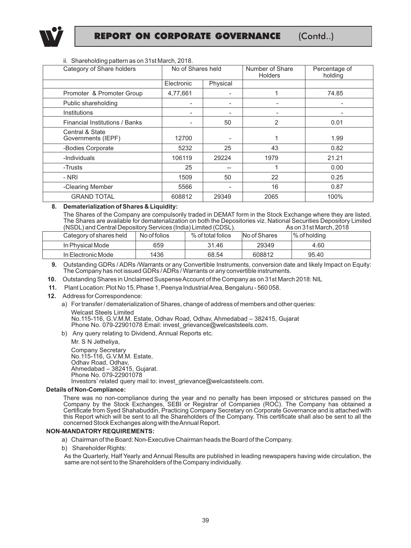

| Category of Share holders             | No of Shares held        |                          | Number of Share<br><b>Holders</b> | Percentage of<br>holding |
|---------------------------------------|--------------------------|--------------------------|-----------------------------------|--------------------------|
|                                       | Electronic               | Physical                 |                                   |                          |
| Promoter & Promoter Group             | 4,77,661                 |                          |                                   | 74.85                    |
| Public shareholding                   |                          | $\overline{\phantom{a}}$ |                                   |                          |
| Institutions                          | $\overline{\phantom{0}}$ | ۰                        |                                   |                          |
| Financial Institutions / Banks        |                          | 50                       | 2                                 | 0.01                     |
| Central & State<br>Governments (IEPF) | 12700                    |                          |                                   | 1.99                     |
| -Bodies Corporate                     | 5232                     | 25                       | 43                                | 0.82                     |
| -Individuals                          | 106119                   | 29224                    | 1979                              | 21.21                    |
| -Trusts                               | 25                       | --                       |                                   | 0.00                     |
| - NRI                                 | 1509                     | 50                       | 22                                | 0.25                     |
| -Clearing Member                      | 5566                     | $\overline{\phantom{0}}$ | 16                                | 0.87                     |
| <b>GRAND TOTAL</b>                    | 608812                   | 29349                    | 2065                              | 100%                     |

#### ii. Shareholding pattern as on 31st March, 2018.

#### **8. Dematerialization of Shares & Liquidity:**

The Shares of the Company are compulsorily traded in DEMAT form in the Stock Exchange where they are listed. The Shares are available for dematerialization on both the Depositories viz. National Securities Depository Limited<br>(NSDL) and Central Depository Services (India) Limited (CDSL). As on 31st March, 2018 (NSDL) and Central Depository Services (India) Limited (CDSL).

| Category of shares held | No of folios | % of total folios | No of Shares | % of holding |
|-------------------------|--------------|-------------------|--------------|--------------|
| In Physical Mode        | 659          | 31.46             | 29349        | 4.60         |
| In Electronic Mode      | 1436         | 68.54             | 608812       | 95.40        |

**9.** Outstanding GDRs / ADRs /Warrants or any Convertible Instruments, conversion date and likely Impact on Equity: The Company has not issued GDRs /ADRs / Warrants or any convertible instruments.

- **10.** Outstanding Shares in Unclaimed SuspenseAccount of the Company as on 31st March 2018: NIL
- **11.** Plant Location: Plot No 15, Phase 1, Peenya IndustrialArea, Bengaluru 560 058.
- **12.** Address for Correspondence:
	- a) For transfer / dematerialization of Shares, change of address of members and other queries: Welcast Steels Limited No.115-116, G.V.M.M. Estate, Odhav Road, Odhav, Ahmedabad – 382415, Gujarat
		- Phone No. 079-22901078 Email: invest\_grievance@welcaststeels.com.
	- b) Any query relating to Dividend, Annual Reports etc.

Mr. S N Jetheliya, Company Secretary No.115-116, G.V.M.M. Estate, Odhav Road, Odhav, Ahmedabad – 382415, Gujarat. Phone No. 079-22901078 Investors' related query mail to: invest\_grievance@welcaststeels.com.

#### **Details of Non-Compliance:**

There was no non-compliance during the year and no penalty has been imposed or strictures passed on the Company by the Stock Exchanges, SEBI or Registrar of Companies (ROC). The Company has obtained a Certificate from Syed Shahabuddin, Practicing Company Secretary on Corporate Governance and is attached with this Report which will be sent to all the Shareholders of the Company. This certificate shall also be sent to all the concerned Stock Exchanges along with theAnnual Report.

#### **NON-MANDATORY REQUIREMENTS:**

- a) Chairman of the Board: Non-Executive Chairman heads the Board of the Company.
- b) Shareholder Rights:

As the Quarterly, Half Yearly and Annual Results are published in leading newspapers having wide circulation, the same are not sent to the Shareholders of the Company individually.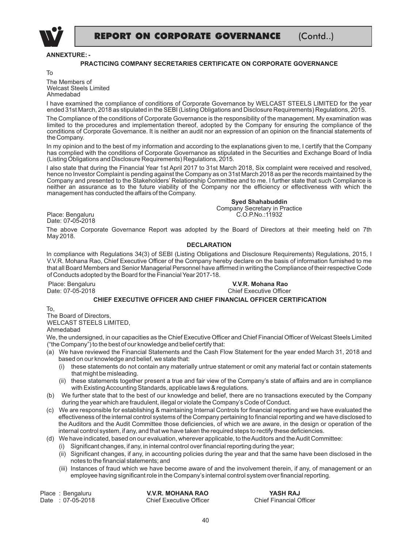

**ANNEXTURE: -**

#### **PRACTICING COMPANY SECRETARIES CERTIFICATE ON CORPORATE GOVERNANCE**

To

The Members of Welcast Steels Limited Ahmedabad

I have examined the compliance of conditions of Corporate Governance by WELCAST STEELS LIMITED for the year ended 31st March, 2018 as stipulated in the SEBI (Listing Obligations and Disclosure Requirements) Regulations, 2015.

The Compliance of the conditions of Corporate Governance is the responsibility of the management. My examination was limited to the procedures and implementation thereof, adopted by the Company for ensuring the compliance of the conditions of Corporate Governance. It is neither an audit nor an expression of an opinion on the financial statements of the Company.

In my opinion and to the best of my information and according to the explanations given to me, I certify that the Company has complied with the conditions of Corporate Governance as stipulated in the Securities and Exchange Board of India (Listing Obligations and Disclosure Requirements) Regulations, 2015.

I also state that during the Financial Year 1st April 2017 to 31st March 2018, Six complaint were received and resolved, hence no Investor Complaint is pending against the Company as on 31st March 2018 as per the records maintained by the Company and presented to the Stakeholders' Relationship Committee and to me. I further state that such Compliance is neither an assurance as to the future viability of the Company nor the efficiency or effectiveness with which the management has conducted the affairs of the Company.

> **Syed Shahabuddin** Company Secretary in Practice

Place: Bengaluru C.O.P.No.:11932 Date: 07-05-2018

The above Corporate Governance Report was adopted by the Board of Directors at their meeting held on 7th May 2018.

#### **DECLARATION**

In compliance with Regulations 34(3) of SEBI (Listing Obligations and Disclosure Requirements) Regulations, 2015, I V.V.R. Mohana Rao, Chief Executive Officer of the Company hereby declare on the basis of information furnished to me that all Board Members and Senior Managerial Personnel have affirmed in writing the Compliance of their respective Code of Conducts adopted by the Board for the Financial Year 2017-18.

Place: Bengaluru **V.V.R. Mohana Rao**

Chief Executive Officer

#### **CHIEF EXECUTIVE OFFICER AND CHIEF FINANCIAL OFFICER CERTIFICATION**

To,

The Board of Directors, WELCAST STEELS LIMITED,

Ahmedabad

We, the undersigned, in our capacities as the Chief Executive Officer and Chief Financial Officer of Welcast Steels Limited ("the Company") to the best of our knowledge and belief certify that:

- (a) We have reviewed the Financial Statements and the Cash Flow Statement for the year ended March 31, 2018 and based on our knowledge and belief, we state that:
	- (i) these statements do not contain any materially untrue statement or omit any material fact or contain statements that might be misleading.
	- (ii) these statements together present a true and fair view of the Company's state of affairs and are in compliance with ExistingAccounting Standards, applicable laws & regulations.
- (b) We further state that to the best of our knowledge and belief, there are no transactions executed by the Company during the year which are fraudulent, illegal or violate the Company's Code of Conduct.
- (c) We are responsible for establishing & maintaining Internal Controls for financial reporting and we have evaluated the effectiveness of the internal control systems of the Company pertaining to financial reporting and we have disclosed to the Auditors and the Audit Committee those deficiencies, of which we are aware, in the design or operation of the internal control system, if any, and that we have taken the required steps to rectify these deficiencies.
- (d) We have indicated, based on our evaluation, wherever applicable, to the Auditors and the Audit Committee:
	- (i) Significant changes, if any, in internal control over financial reporting during the year;
	- (ii) Significant changes, if any, in accounting policies during the year and that the same have been disclosed in the notes to the financial statements; and
	- (iii) Instances of fraud which we have become aware of and the involvement therein, if any, of management or an employee having significant role in the Company's internal control system over financial reporting.

| Place: Bengaluru | V.V.R. MOHANA RAO              | <b>YASH RAJ</b>          |
|------------------|--------------------------------|--------------------------|
| Date: 07-05-2018 | <b>Chief Executive Officer</b> | <b>Chief Financial C</b> |

Chief Financial Officer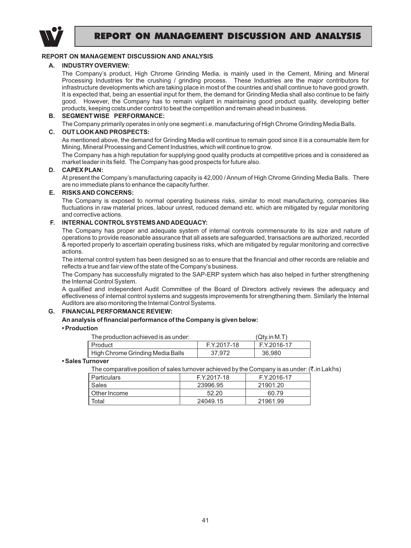

#### **REPORT ON MANAGEMENT DISCUSSION AND ANALYSIS**

#### **A. INDUSTRY OVERVIEW:**

The Company's product, High Chrome Grinding Media, is mainly used in the Cement, Mining and Mineral Processing Industries for the crushing / grinding process. These Industries are the major contributors for infrastructure developments which are taking place in most of the countries and shall continue to have good growth. It is expected that, being an essential input for them, the demand for Grinding Media shall also continue to be fairly good. However, the Company has to remain vigilant in maintaining good product quality, developing better products, keeping costs under control to beat the competition and remain ahead in business.

#### **B. SEGMENT WISE PERFORMANCE:**

The Company primarily operates in only one segment i.e. manufacturing of High Chrome Grinding Media Balls.

#### **C. OUT LOOKAND PROSPECTS:**

As mentioned above, the demand for Grinding Media will continue to remain good since it is a consumable item for Mining, Mineral Processing and Cement Industries, which will continue to grow.

The Company has a high reputation for supplying good quality products at competitive prices and is considered as market leader in its field. The Company has good prospects for future also.

#### **D. CAPEX PLAN:**

At present the Company's manufacturing capacity is 42,000 / Annum of High Chrome Grinding Media Balls. There are no immediate plans to enhance the capacity further.

#### **E. RISKSAND CONCERNS:**

The Company is exposed to normal operating business risks, similar to most manufacturing, companies like fluctuations in raw material prices, labour unrest, reduced demand etc. which are mitigated by regular monitoring and corrective actions.

#### **F. INTERNAL CONTROL SYSTEMSANDADEQUACY:**

The Company has proper and adequate system of internal controls commensurate to its size and nature of operations to provide reasonable assurance that all assets are safeguarded, transactions are authorized, recorded & reported properly to ascertain operating business risks, which are mitigated by regular monitoring and corrective actions.

The internal control system has been designed so as to ensure that the financial and other records are reliable and reflects a true and fair view of the state of the Company's business.

The Company has successfully migrated to the SAP-ERP system which has also helped in further strengthening the Internal Control System.

A qualified and independent Audit Committee of the Board of Directors actively reviews the adequacy and effectiveness of internal control systems and suggests improvements for strengthening them. Similarly the Internal Auditors are also monitoring the Internal Control Systems.

#### **G. FINANCIAL PERFORMANCE REVIEW:**

#### **An analysis of financial performance of the Company is given below:**

#### **• Production**

| The production achieved is as under: |             | (Qtv.in M.T) |
|--------------------------------------|-------------|--------------|
| Product                              | F.Y.2017-18 | F.Y.2016-17  |
| High Chrome Grinding Media Balls     | 37.972      | 36.980       |

#### **• Sales Turnover**

The comparative position of sales turnover achieved by the Company is as under:  $(\bar{\tau}$ . in Lakhs)

| Particulars  | F.Y.2017-18 | F.Y.2016-17 |
|--------------|-------------|-------------|
| <b>Sales</b> | 23996.95    | 21901.20    |
| Other Income | 52.20       | 60 79       |
| Total        | 24049.15    | 21961.99    |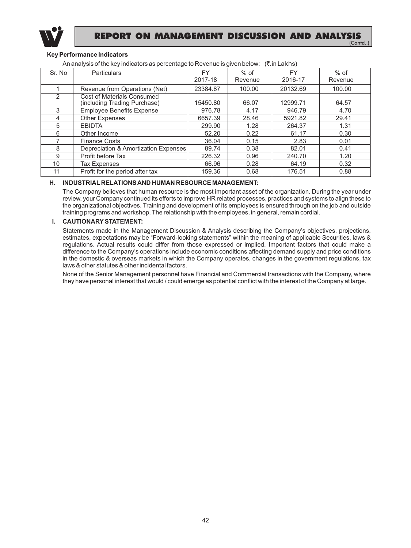

#### (Contd..) REPORT ON MANAGEMENT DISCUSSION AND ANALYSIS

#### **Key Performance Indicators**

An analysis of the key indicators as percentage to Revenue is given below:  $(\bar{\tau}, \text{in}$  Lakhs)

| Sr. No        | <b>Particulars</b>                                         | FY<br>2017-18 | $%$ of<br>Revenue | <b>FY</b><br>2016-17 | $%$ of<br>Revenue |
|---------------|------------------------------------------------------------|---------------|-------------------|----------------------|-------------------|
|               | Revenue from Operations (Net)                              | 23384.87      | 100.00            | 20132.69             | 100.00            |
| $\mathcal{P}$ | Cost of Materials Consumed<br>(including Trading Purchase) | 15450.80      | 66.07             | 12999.71             | 64.57             |
| 3             | <b>Employee Benefits Expense</b>                           | 976.78        | 4.17              | 946.79               | 4.70              |
| 4             | <b>Other Expenses</b>                                      | 6657.39       | 28.46             | 5921.82              | 29.41             |
| 5             | <b>EBIDTA</b>                                              | 299.90        | 1.28              | 264.37               | 1.31              |
| 6             | Other Income                                               | 52.20         | 0.22              | 61.17                | 0.30              |
|               | <b>Finance Costs</b>                                       | 36.04         | 0.15              | 2.83                 | 0.01              |
| 8             | Depreciation & Amortization Expenses                       | 89.74         | 0.38              | 82.01                | 0.41              |
| 9             | Profit before Tax                                          | 226.32        | 0.96              | 240.70               | 1.20              |
| 10            | <b>Tax Expenses</b>                                        | 66.96         | 0.28              | 64.19                | 0.32              |
| 11            | Profit for the period after tax                            | 159.36        | 0.68              | 176.51               | 0.88              |

#### **H. INDUSTRIAL RELATIONSAND HUMAN RESOURCE MANAGEMENT:**

The Company believes that human resource is the most important asset of the organization. During the year under review, your Company continued its efforts to improve HR related processes, practices and systems to align these to the organizational objectives. Training and development of its employees is ensured through on the job and outside training programs and workshop. The relationship with the employees, in general, remain cordial.

#### **I. CAUTIONARY STATEMENT:**

Statements made in the Management Discussion & Analysis describing the Company's objectives, projections, estimates, expectations may be "Forward-looking statements" within the meaning of applicable Securities, laws & regulations. Actual results could differ from those expressed or implied. Important factors that could make a difference to the Company's operations include economic conditions affecting demand supply and price conditions in the domestic & overseas markets in which the Company operates, changes in the government regulations, tax laws & other statutes & other incidental factors.

None of the Senior Management personnel have Financial and Commercial transactions with the Company, where they have personal interest that would / could emerge as potential conflict with the interest of the Company at large.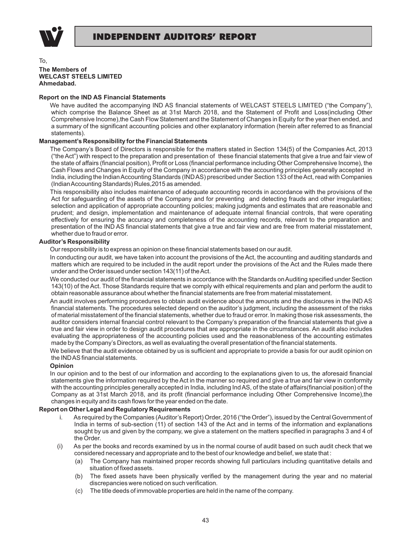

#### To, **The Members of WELCAST STEELS LIMITED Ahmedabad.**

#### **Report on the IND AS Financial Statements**

We have audited the accompanying IND AS financial statements of WELCAST STEELS LIMITED ("the Company"), which comprise the Balance Sheet as at 31st March 2018, and the Statement of Profit and Loss(including Other Comprehensive Income),the Cash Flow Statement and the Statement of Changes in Equity for the year then ended, and a summary of the significant accounting policies and other explanatory information (herein after referred to as financial statements).

#### **Management's Responsibility for the Financial Statements**

The Company's Board of Directors is responsible for the matters stated in Section 134(5) of the Companies Act, 2013 ("the Act") with respect to the preparation and presentation of these financial statements that give a true and fair view of the state of affairs (financial position), Profit or Loss (financial performance including Other Comprehensive Income), the Cash Flows and Changes in Equity of the Company in accordance with the accounting principles generally accepted in India, including the IndianAccounting Standards (INDAS) prescribed under Section 133 of theAct, read with Companies (IndianAccounting Standards) Rules,2015 as amended.

This responsibility also includes maintenance of adequate accounting records in accordance with the provisions of the Act for safeguarding of the assets of the Company and for preventing and detecting frauds and other irregularities; selection and application of appropriate accounting policies; making judgments and estimates that are reasonable and prudent; and design, implementation and maintenance of adequate internal financial controls, that were operating effectively for ensuring the accuracy and completeness of the accounting records, relevant to the preparation and presentation of the IND AS financial statements that give a true and fair view and are free from material misstatement, whether due to fraud or error.

#### **Auditor's Responsibility**

Our responsibility is to express an opinion on these financial statements based on our audit.

In conducting our audit, we have taken into account the provisions of the Act, the accounting and auditing standards and matters which are required to be included in the audit report under the provisions of the Act and the Rules made there under and the Order issued under section 143(11) of theAct.

We conducted our audit of the financial statements in accordance with the Standards on Auditing specified under Section 143(10) of the Act. Those Standards require that we comply with ethical requirements and plan and perform the audit to obtain reasonable assurance about whether the financial statements are free from material misstatement.

An audit involves performing procedures to obtain audit evidence about the amounts and the disclosures in the IND AS financial statements. The procedures selected depend on the auditor's judgment, including the assessment of the risks of material misstatement of the financial statements, whether due to fraud or error. In making those risk assessments, the auditor considers internal financial control relevant to the Company's preparation of the financial statements that give a true and fair view in order to design audit procedures that are appropriate in the circumstances. An audit also includes evaluating the appropriateness of the accounting policies used and the reasonableness of the accounting estimates made by the Company's Directors, as well as evaluating the overall presentation of the financial statements.

We believe that the audit evidence obtained by us is sufficient and appropriate to provide a basis for our audit opinion on the INDAS financial statements.

#### **Opinion**

In our opinion and to the best of our information and according to the explanations given to us, the aforesaid financial statements give the information required by the Act in the manner so required and give a true and fair view in conformity with the accounting principles generally accepted in India, including IndAS, of the state of affairs(financial position) of the Company as at 31st March 2018, and its profit (financial performance including Other Comprehensive Income),the changes in equity and its cash flows for the year ended on the date.

#### **Report on Other Legal and Regulatory Requirements**

- i. As required by the Companies (Auditor's Report) Order, 2016 ("the Order"), issued by the Central Government of India in terms of sub-section (11) of section 143 of the Act and in terms of the information and explanations sought by us and given by the company, we give a statement on the matters specified in paragraphs 3 and 4 of the Order.
- (i) As per the books and records examined by us in the normal course of audit based on such audit check that we considered necessary and appropriate and to the best of our knowledge and belief, we state that :
	- (a) The Company has maintained proper records showing full particulars including quantitative details and situation of fixed assets.
	- (b) The fixed assets have been physically verified by the management during the year and no material discrepancies were noticed on such verification.
	- (c) The title deeds of immovable properties are held in the name of the company.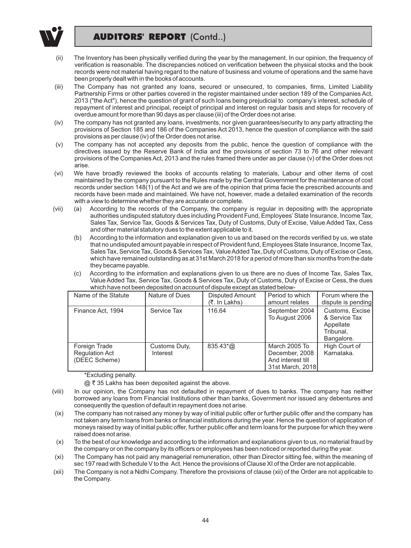# AUDITORS' REPORT (Contd..)



- (ii) The Inventory has been physically verified during the year by the management. In our opinion, the frequency of verification is reasonable. The discrepancies noticed on verification between the physical stocks and the book records were not material having regard to the nature of business and volume of operations and the same have been properly dealt with in the books of accounts.
- (iii) The Company has not granted any loans, secured or unsecured, to companies, firms, Limited Liability Partnership Firms or other parties covered in the register maintained under section 189 of the Companies Act, 2013 ("the Act"), hence the question of grant of such loans being prejudicial to company's interest, schedule of repayment of interest and principal, receipt of principal and interest on regular basis and steps for recovery of overdue amount for more than 90 days as per clause (iii) of the Order does not arise.
- (iv) The company has not granted any loans, investments, nor given guarantees/security to any party attracting the provisions of Section 185 and 186 of the Companies Act 2013, hence the question of compliance with the said provisions as per clause (iv) of the Order does not arise.
- (v) The company has not accepted any deposits from the public, hence the question of compliance with the directives issued by the Reserve Bank of India and the provisions of section 73 to 76 and other relevant provisions of the Companies Act, 2013 and the rules framed there under as per clause (v) of the Order does not arise.
- (vi) We have broadly reviewed the books of accounts relating to materials, Labour and other items of cost maintained by the company pursuant to the Rules made by the Central Government for the maintenance of cost records under section 148(1) of the Act and we are of the opinion that prima facie the prescribed accounts and records have been made and maintained. We have not, however, made a detailed examination of the records with a view to determine whether they are accurate or complete.
- (vii) (a) According to the records of the Company, the company is regular in depositing with the appropriate authorities undisputed statutory dues including Provident Fund, Employees'State Insurance, Income Tax, Sales Tax, Service Tax, Goods & Services Tax, Duty of Customs, Duty of Excise, Value Added Tax, Cess and other material statutory dues to the extent applicable to it.
	- (b) According to the information and explanation given to us and based on the records verified by us, we state that no undisputed amount payable in respect of Provident fund, Employees State Insurance, Income Tax, Sales Tax, Service Tax, Goods & Services Tax, Value Added Tax, Duty of Customs, Duty of Excise or Cess, which have remained outstanding as at 31st March 2018 for a period of more than six months from the date they became payable.
	- (c) According to the information and explanations given to us there are no dues of Income Tax, Sales Tax, Value Added Tax, Service Tax, Goods & Services Tax, Duty of Customs, Duty of Excise or Cess, the dues which have not been deposited on account of dispute except as stated below-

| Name of the Statute                                     | Nature of Dues            | Disputed Amount<br>(₹. In Lakhs) | Period to which<br>amount relates                                        | Forum where the<br>dispute is pending                                    |
|---------------------------------------------------------|---------------------------|----------------------------------|--------------------------------------------------------------------------|--------------------------------------------------------------------------|
| Finance Act, 1994                                       | Service Tax               | 116.64                           | September 2004<br>To August 2006                                         | Customs, Excise<br>& Service Tax<br>Appellate<br>Tribunal,<br>Bangalore. |
| Foreign Trade<br><b>Requlation Act</b><br>(DEEC Scheme) | Customs Duty.<br>Interest | $835.43^{*}$ @                   | March 2005 To<br>December, 2008<br>And interest till<br>31st March, 2018 | High Court of<br>Karnataka.                                              |

#### \*Excluding penalty.

 $@$   $\bar{\mathcal{O}}$  35 Lakhs has been deposited against the above.

- (viii) In our opinion, the Company has not defaulted in repayment of dues to banks. The company has neither borrowed any loans from Financial Institutions other than banks, Government nor issued any debentures and consequently the question of default in repayment does not arise.
- (ix) The company has not raised any money by way of initial public offer or further public offer and the company has not taken any term loans from banks or financial institutions during the year. Hence the question of application of moneys raised by way of initial public offer, further public offer and term loans for the purpose for which they were raised does not arise.
- (x) To the best of our knowledge and according to the information and explanations given to us, no material fraud by the company or on the company by its officers or employees has been noticed or reported during the year.
- (xi) The Company has not paid any managerial remuneration, other than Director sitting fee, within the meaning of sec 197 read with Schedule V to the Act. Hence the provisions of Clause XI of the Order are not applicable.
- (xii) The Company is not a Nidhi Company. Therefore the provisions of clause (xii) of the Order are not applicable to the Company.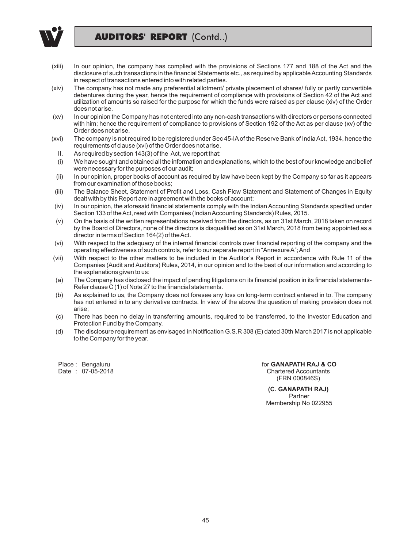# AUDITORS' REPORT (Contd..)



- (xiii) In our opinion, the company has complied with the provisions of Sections 177 and 188 of the Act and the disclosure of such transactions in the financial Statements etc., as required by applicable Accounting Standards in respect of transactions entered into with related parties.
- (xiv) The company has not made any preferential allotment/ private placement of shares/ fully or partly convertible debentures during the year, hence the requirement of compliance with provisions of Section 42 of the Act and utilization of amounts so raised for the purpose for which the funds were raised as per clause (xiv) of the Order does not arise.
- (xv) In our opinion the Company has not entered into any non-cash transactions with directors or persons connected with him; hence the requirement of compliance to provisions of Section 192 of the Act as per clause (xv) of the Order does not arise.
- (xvi) The company is not required to be registered under Sec 45-IA of the Reserve Bank of India Act, 1934, hence the requirements of clause (xvi) of the Order does not arise.
	- II. As required by section 143(3) of the Act, we report that:
	- (i) We have sought and obtained all the information and explanations, which to the best of our knowledge and belief were necessary for the purposes of our audit;
- (ii) In our opinion, proper books of account as required by law have been kept by the Company so far as it appears from our examination of those books;
- (iii) The Balance Sheet, Statement of Profit and Loss, Cash Flow Statement and Statement of Changes in Equity dealt with by this Report are in agreement with the books of account;
- (iv) In our opinion, the aforesaid financial statements comply with the Indian Accounting Standards specified under Section 133 of the Act, read with Companies (Indian Accounting Standards) Rules, 2015.
- (v) On the basis of the written representations received from the directors, as on 31st March, 2018 taken on record by the Board of Directors, none of the directors is disqualified as on 31st March, 2018 from being appointed as a director in terms of Section 164(2) of theAct.
- (vi) With respect to the adequacy of the internal financial controls over financial reporting of the company and the operating effectiveness of such controls, refer to our separate report in "AnnexureA";And
- (vii) With respect to the other matters to be included in the Auditor's Report in accordance with Rule 11 of the Companies (Audit and Auditors) Rules, 2014, in our opinion and to the best of our information and according to the explanations given to us:
- (a) The Company has disclosed the impact of pending litigations on its financial position in its financial statements-Refer clause C (1) of Note 27 to the financial statements.
- (b) As explained to us, the Company does not foresee any loss on long-term contract entered in to. The company has not entered in to any derivative contracts. In view of the above the question of making provision does not arise;
- (c) There has been no delay in transferring amounts, required to be transferred, to the Investor Education and Protection Fund by the Company.
- (d) The disclosure requirement as envisaged in Notification G.S.R 308 (E) dated 30th March 2017 is not applicable to the Company for the year.

Place : Bengaluru **For CANAPATH RAJ & CO**<br>
Date : 07-05-2018 **For Constant Constant Changes Constants** Chartered Accountants Chartered Accountants (FRN 000846S)

#### **(C. GANAPATH RAJ)** Partner Membership No 022955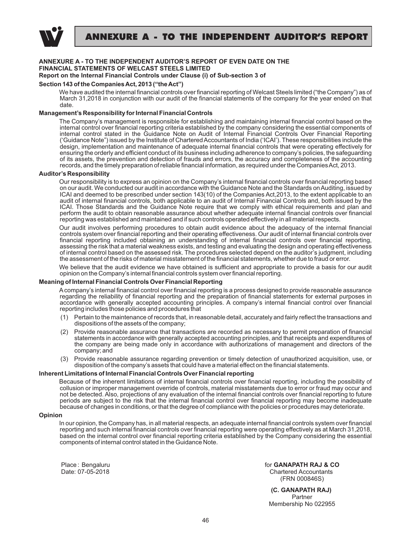

#### **ANNEXURE A - TO THE INDEPENDENT AUDITOR'S REPORT OF EVEN DATE ON THE FINANCIAL STATEMENTS OF WELCAST STEELS LIMITED**

**Report on the Internal Financial Controls under Clause (i) of Sub-section 3 of**

#### **Section 143 of the CompaniesAct, 2013 ("theAct")**

We have audited the internal financial controls over financial reporting of Welcast Steels limited ("the Company") as of March 31,2018 in conjunction with our audit of the financial statements of the company for the year ended on that date.

#### **Management's Responsibility for Internal Financial Controls**

The Company's management is responsible for establishing and maintaining internal financial control based on the internal control over financial reporting criteria established by the company considering the essential components of internal control stated in the Guidance Note on Audit of Internal Financial Controls Over Financial Reporting ('Guidance Note") issued by the Institute of CharteredAccountants of India ('ICAI'). These responsibilities include the design, implementation and maintenance of adequate internal financial controls that were operating effectively for ensuring the orderly and efficient conduct of its business including adherence to company's policies, the safeguarding of its assets, the prevention and detection of frauds and errors, the accuracy and completeness of the accounting records, and the timely preparation of reliable financial information, as required under the Companies Act, 2013.

#### **Auditor's Responsibility**

Our responsibility is to express an opinion on the Company's internal financial controls over financial reporting based on our audit. We conducted our audit in accordance with the Guidance Note and the Standards onAuditing, issued by ICAI and deemed to be prescribed under section 143(10) of the Companies Act, 2013, to the extent applicable to an audit of internal financial controls, both applicable to an audit of Internal Financial Controls and, both issued by the ICAI. Those Standards and the Guidance Note require that we comply with ethical requirements and plan and perform the audit to obtain reasonable assurance about whether adequate internal financial controls over financial reporting was established and maintained and if such controls operated effectively in all material respects.

Our audit involves performing procedures to obtain audit evidence about the adequacy of the internal financial controls system over financial reporting and their operating effectiveness. Our audit of internal financial controls over financial reporting included obtaining an understanding of internal financial controls over financial reporting, assessing the risk that a material weakness exists, and testing and evaluating the design and operating effectiveness of internal control based on the assessed risk. The procedures selected depend on the auditor's judgment, including the assessment of the risks of material misstatement of the financial statements, whether due to fraud or error.

We believe that the audit evidence we have obtained is sufficient and appropriate to provide a basis for our audit opinion on the Company's internal financial controls system over financial reporting.

#### **Meaning of Internal Financial Controls Over Financial Reporting**

Acompany's internal financial control over financial reporting is a process designed to provide reasonable assurance regarding the reliability of financial reporting and the preparation of financial statements for external purposes in accordance with generally accepted accounting principles. A company's internal financial control over financial reporting includes those policies and procedures that

- (1) Pertain to the maintenance of records that, in reasonable detail, accurately and fairly reflect the transactions and dispositions of the assets of the company;
- (2) Provide reasonable assurance that transactions are recorded as necessary to permit preparation of financial statements in accordance with generally accepted accounting principles, and that receipts and expenditures of the company are being made only in accordance with authorizations of management and directors of the company; and
- (3) Provide reasonable assurance regarding prevention or timely detection of unauthorized acquisition, use, or disposition of the company's assets that could have a material effect on the financial statements.

#### **Inherent Limitations of Internal Financial Controls Over Financial reporting**

Because of the inherent limitations of internal financial controls over financial reporting, including the possibility of collusion or improper management override of controls, material misstatements due to error or fraud may occur and not be detected. Also, projections of any evaluation of the internal financial controls over financial reporting to future periods are subject to the risk that the internal financial control over financial reporting may become inadequate because of changes in conditions, or that the degree of compliance with the policies or procedures may deteriorate.

#### **Opinion**

In our opinion, the Company has, in all material respects, an adequate internal financial controls system over financial reporting and such internal financial controls over financial reporting were operating effectively as at March 31,2018, based on the internal control over financial reporting criteria established by the Company considering the essential components of internal control stated in the Guidance Note.

Place : Bengaluru **and Secure 2018 For GANAPATH RAJ & CO**<br>
Date: 07-05-2018 **CO** Chartered Accountants **Chartered Accountants** (FRN 000846S)

> **(C. GANAPATH RAJ)** Partner Membership No 022955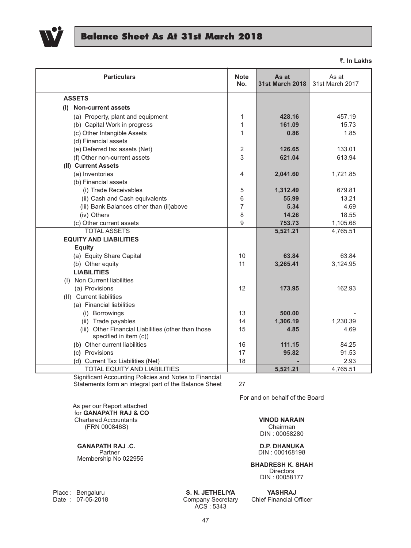

`**. In Lakhs**

| <b>Particulars</b>                                                            | <b>Note</b><br>No. | As at<br><b>31st March 2018</b> | As at<br>31st March 2017 |
|-------------------------------------------------------------------------------|--------------------|---------------------------------|--------------------------|
| <b>ASSETS</b>                                                                 |                    |                                 |                          |
| <b>Non-current assets</b><br>(1)                                              |                    |                                 |                          |
| (a) Property, plant and equipment                                             | 1                  | 428.16                          | 457.19                   |
| (b) Capital Work in progress                                                  | 1                  | 161.09                          | 15.73                    |
| (c) Other Intangible Assets                                                   | 1                  | 0.86                            | 1.85                     |
| (d) Financial assets                                                          |                    |                                 |                          |
| (e) Deferred tax assets (Net)                                                 | 2                  | 126.65                          | 133.01                   |
| (f) Other non-current assets                                                  | 3                  | 621.04                          | 613.94                   |
| (II) Current Assets                                                           |                    |                                 |                          |
| (a) Inventories                                                               | 4                  | 2,041.60                        | 1,721.85                 |
| (b) Financial assets                                                          |                    |                                 |                          |
| (i) Trade Receivables                                                         | 5                  | 1,312.49                        | 679.81                   |
| (ii) Cash and Cash equivalents                                                | 6                  | 55.99                           | 13.21                    |
| (iii) Bank Balances other than (ii)above                                      | $\overline{7}$     | 5.34                            | 4.69                     |
| (iv) Others                                                                   | 8                  | 14.26                           | 18.55                    |
| (c) Other current assets                                                      | 9                  | 753.73                          | 1,105.68                 |
| <b>TOTAL ASSETS</b>                                                           |                    | 5,521.21                        | 4,765.51                 |
| <b>EQUITY AND LIABILITIES</b>                                                 |                    |                                 |                          |
| <b>Equity</b>                                                                 |                    |                                 |                          |
| (a) Equity Share Capital                                                      | 10                 | 63.84                           | 63.84                    |
| (b) Other equity                                                              | 11                 | 3,265.41                        | 3,124.95                 |
| <b>LIABILITIES</b>                                                            |                    |                                 |                          |
| (I) Non Current liabilities                                                   |                    |                                 |                          |
| (a) Provisions                                                                | 12                 | 173.95                          | 162.93                   |
| (II) Current liabilities                                                      |                    |                                 |                          |
| (a) Financial liabilities                                                     |                    |                                 |                          |
| (i) Borrowings                                                                | 13                 | 500.00                          |                          |
| (ii) Trade payables                                                           | 14                 | 1,306.19                        | 1,230.39                 |
| (iii) Other Financial Liabilities (other than those<br>specified in item (c)) | 15                 | 4.85                            | 4.69                     |
| (b) Other current liabilities                                                 | 16                 | 111.15                          | 84.25                    |
| (c) Provisions                                                                | 17                 | 95.82                           | 91.53                    |
| (d) Current Tax Liabilities (Net)                                             | 18                 |                                 | 2.93                     |
| TOTAL EQUITY AND LIABILITIES                                                  |                    | 5,521.21                        | 4,765.51                 |

Significant Accounting Policies and Notes to Financial Statements form an integral part of the Balance Sheet 27

As per our Report attached for **GANAPATH RAJ & CO** Chartered Accountants **VINOD NARAIN**<br>
(FRN 000846S) Chairman (FRN 000846S)

**GANAPATH RAJ .C.**<br>Partner Partner **DIR : 000168198** Membership No 022955

For and on behalf of the Board

DIN : 00058280

DIN: 000168198

**BHADRESH K. SHAH Directors** DIN : 00058177

Place : Bengaluru **S. N. JETHELIYA YASHRAJ**<br>
Date : 07-05-2018 **S. N. JETHELIYA** Chief Financial Company Secretary Chief Financial C

 $\overrightarrow{ACS}$ : 5343

Chief Financial Officer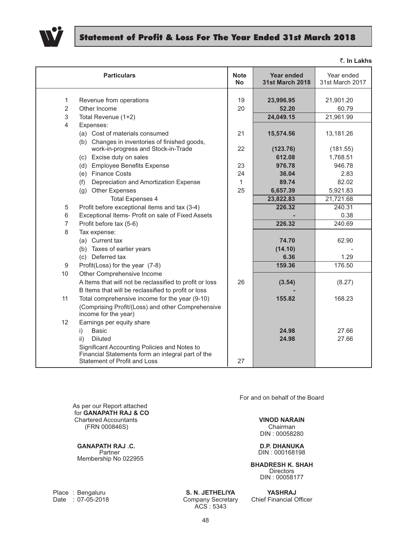

# Statement of Profit & Loss For The Year Ended 31st March 2018

|                  | <b>Particulars</b>                                                                                                                       | <b>Note</b><br><b>No</b> | Year ended<br><b>31st March 2018</b> | Year ended<br>31st March 2017 |
|------------------|------------------------------------------------------------------------------------------------------------------------------------------|--------------------------|--------------------------------------|-------------------------------|
| 1                | Revenue from operations                                                                                                                  | 19                       | 23,996.95                            | 21,901.20                     |
| $\overline{2}$   | Other Income                                                                                                                             | 20                       | 52.20                                | 60.79                         |
| 3                | Total Revenue (1+2)                                                                                                                      |                          | 24,049.15                            | 21,961.99                     |
| $\overline{4}$   | Expenses:<br>(a) Cost of materials consumed<br>(b) Changes in inventories of finished goods,                                             | 21                       | 15,574.56                            | 13,181.26                     |
|                  | work-in-progress and Stock-in-Trade                                                                                                      | 22                       | (123.76)                             | (181.55)                      |
|                  | (c) Excise duty on sales                                                                                                                 |                          | 612.08                               | 1,768.51                      |
|                  | (d) Employee Benefits Expense                                                                                                            | 23                       | 976.78                               | 946.78                        |
|                  | (e) Finance Costs                                                                                                                        | 24                       | 36.04                                | 2.83                          |
|                  | Depreciation and Amortization Expense<br>(f)                                                                                             | $\mathbf{1}$             | 89.74                                | 82.02                         |
|                  | (g) Other Expenses                                                                                                                       | 25                       | 6,657.39                             | 5,921.83                      |
|                  | <b>Total Expenses 4</b>                                                                                                                  |                          | 23,822.83                            | 21,721.68                     |
| 5                | Profit before exceptional items and tax (3-4)                                                                                            |                          | 226.32                               | 240.31                        |
| 6                | Exceptional Items- Profit on sale of Fixed Assets                                                                                        |                          |                                      | 0.38                          |
| $\overline{7}$   | Profit before tax (5-6)                                                                                                                  |                          | 226.32                               | 240.69                        |
| 8                | Tax expense:                                                                                                                             |                          |                                      |                               |
|                  | (a) Current tax                                                                                                                          |                          | 74.70                                | 62.90                         |
|                  | (b) Taxes of earlier years                                                                                                               |                          | (14.10)                              |                               |
|                  | (c) Deferred tax                                                                                                                         |                          | 6.36                                 | 1.29                          |
| $\boldsymbol{9}$ | Profit(Loss) for the year (7-8)                                                                                                          |                          | 159.36                               | 176.50                        |
| 10               | Other Comprehensive Income                                                                                                               |                          |                                      |                               |
|                  | A Items that will not be reclassified to profit or loss                                                                                  | 26                       | (3.54)                               | (8.27)                        |
|                  | B Items that will be reclassified to profit or loss                                                                                      |                          |                                      |                               |
| 11               | Total comprehensive income for the year (9-10)                                                                                           |                          | 155.82                               | 168.23                        |
|                  | (Comprising Profit/(Loss) and other Comprehensive<br>income for the year)                                                                |                          |                                      |                               |
| 12               | Earnings per equity share                                                                                                                |                          |                                      |                               |
|                  | <b>Basic</b><br>i)                                                                                                                       |                          | 24.98                                | 27.66                         |
|                  | ii)<br><b>Diluted</b>                                                                                                                    |                          | 24.98                                | 27.66                         |
|                  | Significant Accounting Policies and Notes to<br>Financial Statements form an integral part of the<br><b>Statement of Profit and Loss</b> | 27                       |                                      |                               |

As per our Report attached for **GANAPATH RAJ & CO** Chartered Accountants **VINOD NARAIN**<br>
(FRN 000846S) Chairman (FRN 000846S)

**GANAPATH RAJ .C.**<br>Partner Membership No 022955 For and on behalf of the Board

`**. In Lakhs**

DIN : 00058280

**D.P. DHANUKA**<br>DIN : 000168198

**BHADRESH K. SHAH Directors** DIN : 00058177

Place : Bengaluru **S. N. JETHELIYA YASHRAJ**<br>
Date : 07-05-2018 Company Secretary Chief Financial C

 $\overrightarrow{ACS}$ : 5343

Chief Financial Officer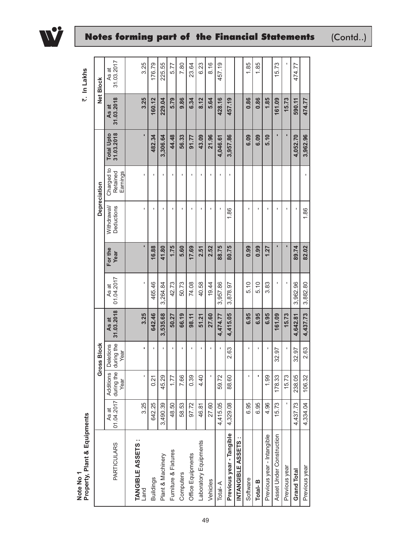

# Notes forming part of the Financial Statements

(Contd..)

| Property, Plant & Equipments<br>ことに じりこ |                     |                                 |                                 |                     |                     |                 |                          |                                    |                                 |                     | ₹. In Lakhs         |
|-----------------------------------------|---------------------|---------------------------------|---------------------------------|---------------------|---------------------|-----------------|--------------------------|------------------------------------|---------------------------------|---------------------|---------------------|
|                                         |                     | Gros                            | <b>S Block</b>                  |                     |                     |                 |                          | Depreciation                       |                                 |                     | Net Block           |
| <b>PARTICULARS</b>                      | 01.04.2017<br>As at | during the<br>Additions<br>Year | during the<br>Deletions<br>Year | 31.03.2018<br>As at | 01.04.2017<br>As at | For the<br>Year | Withdrawal<br>Deductions | Charged to<br>Retained<br>Earnings | 31.03.2018<br><b>Total Upto</b> | 31.03.2018<br>As at | As at<br>31.03.2017 |
| TANGIBLE ASSETS:<br>Land                | 3.25                | ٠                               | ٠                               | 3.25                |                     |                 | ٠                        | ı                                  |                                 | 3.25                | 3.25                |
| <b>Buildings</b>                        | 642.25              | 0.21                            | Ĩ.                              | 642.46              | 465.46              | 16.88           | ı                        |                                    | 482.34                          | 160.12              | 176.79              |
| Plant & Machinery                       | 3,490.39            | 45.29                           | ٠                               | 3,535.68            | 3,264.84            | 41.80           | ı.                       | ı.                                 | 3,306.64                        | 229.04              | 225.55              |
| Furniture & Fixtures                    | 48.50               | 1.77                            | $\mathbf I$                     | 50.27               | 42.73               | 1.75            | ı.                       | ı.                                 | 44.48                           | 5.79                | 5.77                |
| Computers                               | 58.53               | 7.66                            | ٠                               | 66.19               | 50.73               | 5.60            | ı                        | ı                                  | 56.33                           | 9.86                | 7.80                |
| Office Equipments                       | 97.72               | 0.39                            | ٠                               | 98.11               | 74.08               | 17.69           | ı.                       | ı                                  | 91.77                           | 6.34                | 23.64               |
| Laboratory Equipments                   | 46.81               | 4.40                            | ٠                               | 51.21               | 40.58               | 2.51            | Ţ                        | I,                                 | 43.09                           | 8.12                | 6.23                |
| Vehicles                                | 27.60               |                                 | J.                              | 27.60               | 19.44               | 2.52            | Ţ                        | $\mathbf{I}$                       | 21.96                           | 5.64                | 8.16                |
| Total-A                                 | 4,415.05            | 59.72                           |                                 | 4,474.77            | 3,957.86            | 88.75           |                          |                                    | 4,046.61                        | 428.16              | 457.19              |
| Previous year - Tangible                | 4,329.08            | 88.60                           | 2.63                            | 4,415.05            | 3,878.97            | 80.75           | 1.86                     |                                    | 3,957.86                        | 457.19              |                     |
| INTANGIBLE ASSETS                       |                     |                                 |                                 |                     |                     |                 |                          |                                    |                                 |                     |                     |
| Software                                | 6.95                |                                 | ٠                               | 6.95                | 5.10                | 0.99            | ı                        |                                    | 6.09                            | 0.86                | 1.85                |
| Total-B                                 | 6.95                | f,                              | 1                               | 6.95                | 5.10                | 0.99            | $\blacksquare$           |                                    | 6.09                            | 0.86                | 1.85                |
| Previous year - Intangible              | 4.96                | 1.99                            | 1                               | 6.95                | 3.83                | 1.27            | ı                        |                                    | 5.10                            | 1.85                |                     |
| Asset Under Construction                | 15.73               | 178.33                          | 32.97                           | 161.09              | Ţ                   |                 | $\blacksquare$           |                                    | í.                              | 161.09              | 15.73               |
| Previous year                           | ı                   | 15.73                           |                                 | 15.73               | ı                   | ı               | ٠                        |                                    | ı                               | 15.73               | ı                   |
| Grand Total                             | 4,437.73            | 238.05                          | 32.97                           | 4,642.81            | 3,962.96            | 89.74           | ı                        |                                    | 4,052.70                        | 590.11              | 474.77              |
| Previous year                           | 4,334.04            | 106.32                          | 2.63                            | 4,437.73            | 3,882.80            | 82.02           | 1.86                     |                                    | 3,962.96                        | 474.77              |                     |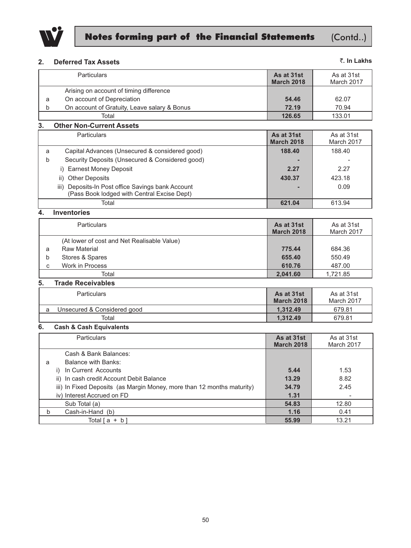

# Notes forming part of the Financial Statements (Contd..)

`**. In Lakhs**

### **2. Deferred Tax Assets**

|    | Particulars                                                                                         | As at 31st<br><b>March 2018</b> | As at 31st<br>March 2017 |
|----|-----------------------------------------------------------------------------------------------------|---------------------------------|--------------------------|
|    | Arising on account of timing difference                                                             |                                 |                          |
| a  | On account of Depreciation                                                                          | 54.46                           | 62.07                    |
| b  | On account of Gratuity, Leave salary & Bonus                                                        | 72.19                           | 70.94                    |
|    | Total                                                                                               | 126.65                          | 133.01                   |
| 3. | <b>Other Non-Current Assets</b>                                                                     |                                 |                          |
|    | <b>Particulars</b>                                                                                  | As at 31st<br><b>March 2018</b> | As at 31st<br>March 2017 |
| a  | Capital Advances (Unsecured & considered good)                                                      | 188.40                          | 188.40                   |
| b  | Security Deposits (Unsecured & Considered good)                                                     |                                 |                          |
|    | <b>Earnest Money Deposit</b><br>i)                                                                  | 2.27                            | 2.27                     |
|    | <b>Other Deposits</b><br>ii)                                                                        | 430.37                          | 423.18                   |
|    | Deposits-In Post office Savings bank Account<br>iii)<br>(Pass Book lodged with Central Excise Dept) |                                 | 0.09                     |
|    | Total                                                                                               | 621.04                          | 613.94                   |
| 4. | <b>Inventories</b>                                                                                  |                                 |                          |
|    |                                                                                                     |                                 |                          |

|   | <b>Particulars</b>                          | As at 31st<br><b>March 2018</b> | As at 31st<br>March 2017 |
|---|---------------------------------------------|---------------------------------|--------------------------|
|   | (At lower of cost and Net Realisable Value) |                                 |                          |
| a | Raw Material                                | 775.44                          | 684.36                   |
| b | Stores & Spares                             | 655.40                          | 550.49                   |
| C | Work in Process                             | 610.76                          | 487.00                   |
|   | Total                                       | 2.041.60                        | 1.721.85                 |

#### **5. Trade Receivables**

| <b>Particulars</b> |                             | As at 31st<br><b>March 2018</b> | As at 31st<br>March 2017 |
|--------------------|-----------------------------|---------------------------------|--------------------------|
| a                  | Unsecured & Considered good | 1.312.49                        | 679.81                   |
|                    | Total                       | 1.312.49                        | 679.81                   |

#### **6. Cash & Cash Equivalents**

| <b>Particulars</b>                                                     | As at 31st<br><b>March 2018</b> | As at 31st<br>March 2017 |
|------------------------------------------------------------------------|---------------------------------|--------------------------|
| Cash & Bank Balances:                                                  |                                 |                          |
| Balance with Banks:<br>a                                               |                                 |                          |
| In Current Accounts                                                    | 5.44                            | 1.53                     |
| ii) In cash credit Account Debit Balance                               | 13.29                           | 8.82                     |
| iii) In Fixed Deposits (as Margin Money, more than 12 months maturity) | 34.79                           | 2.45                     |
| iv) Interest Accrued on FD                                             | 1.31                            |                          |
| Sub Total (a)                                                          | 54.83                           | 12.80                    |
| Cash-in-Hand (b)<br>h                                                  | 1.16                            | 0.41                     |
| Total [ a + b ˈ                                                        | 55.99                           | 13.21                    |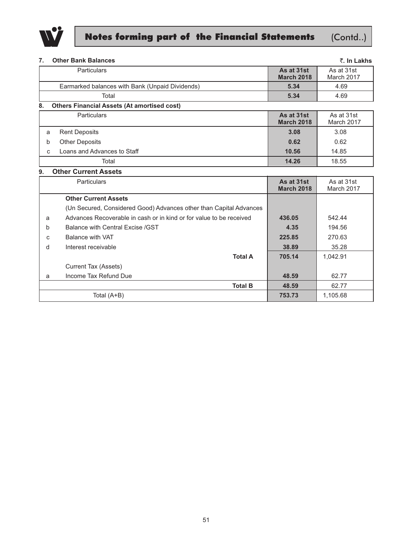

# Notes forming part of the Financial Statements

(Contd..)

| 7. | <b>Other Bank Balances</b>                                          |                                 | ₹. In Lakhs              |
|----|---------------------------------------------------------------------|---------------------------------|--------------------------|
|    | Particulars                                                         | As at 31st<br><b>March 2018</b> | As at 31st<br>March 2017 |
|    | Earmarked balances with Bank (Unpaid Dividends)                     | 5.34                            | 4.69                     |
|    | Total                                                               | 5.34                            | 4.69                     |
| 8. | <b>Others Financial Assets (At amortised cost)</b>                  |                                 |                          |
|    | Particulars                                                         | As at 31st<br><b>March 2018</b> | As at 31st<br>March 2017 |
| a  | <b>Rent Deposits</b>                                                | 3.08                            | 3.08                     |
| b  | <b>Other Deposits</b>                                               | 0.62                            | 0.62                     |
| C  | Loans and Advances to Staff                                         | 10.56                           | 14.85                    |
|    | Total                                                               | 14.26                           | 18.55                    |
| 9. | <b>Other Current Assets</b>                                         |                                 |                          |
|    | Particulars                                                         | As at 31st<br><b>March 2018</b> | As at 31st<br>March 2017 |
|    | <b>Other Current Assets</b>                                         |                                 |                          |
|    | (Un Secured, Considered Good) Advances other than Capital Advances  |                                 |                          |
| a  | Advances Recoverable in cash or in kind or for value to be received | 436.05                          | 542.44                   |
| b  | Balance with Central Excise / GST                                   | 4.35                            | 194.56                   |
| C  | <b>Balance with VAT</b>                                             | 225.85                          | 270.63                   |
| d  | Interest receivable                                                 | 38.89                           | 35.28                    |
|    | <b>Total A</b>                                                      | 705.14                          | 1,042.91                 |
|    | <b>Current Tax (Assets)</b>                                         |                                 |                          |
| a  | Income Tax Refund Due                                               | 48.59                           | 62.77                    |
|    | <b>Total B</b>                                                      | 48.59                           | 62.77                    |
|    | Total (A+B)                                                         | 753.73                          | 1,105.68                 |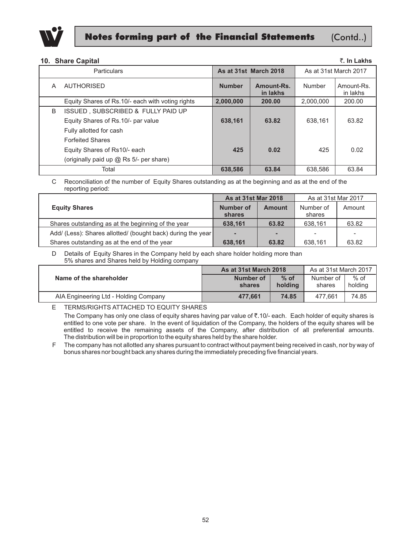

# Notes forming part of the Financial Statements

(Contd..)

|       | 10. Share Capital<br>₹. In Lakhs |                                                  |               |                        |           |                        |
|-------|----------------------------------|--------------------------------------------------|---------------|------------------------|-----------|------------------------|
|       |                                  | <b>Particulars</b>                               |               | As at 31st March 2018  |           | As at 31st March 2017  |
|       | A                                | <b>AUTHORISED</b>                                | <b>Number</b> | Amount-Rs.<br>in lakhs | Number    | Amount-Rs.<br>in lakhs |
|       |                                  | Equity Shares of Rs.10/- each with voting rights | 2,000,000     | 200.00                 | 2,000,000 | 200.00                 |
|       | B.                               | <b>ISSUED. SUBSCRIBED &amp; FULLY PAID UP</b>    |               |                        |           |                        |
|       |                                  | Equity Shares of Rs.10/- par value               | 638,161       | 63.82                  | 638,161   | 63.82                  |
|       |                                  | Fully allotted for cash                          |               |                        |           |                        |
|       |                                  | <b>Forfeited Shares</b>                          |               |                        |           |                        |
|       |                                  | Equity Shares of Rs10/- each                     | 425           | 0.02                   | 425       | 0.02                   |
|       |                                  | (originally paid up @ Rs 5/- per share)          |               |                        |           |                        |
| Total |                                  | 638,586                                          | 63.84         | 638,586                | 63.84     |                        |

C Reconciliation of the number of Equity Shares outstanding as at the beginning and as at the end of the reporting period:

|                                                             | As at 31st Mar 2018 |               | As at 31st Mar 2017 |        |
|-------------------------------------------------------------|---------------------|---------------|---------------------|--------|
| <b>Equity Shares</b>                                        | Number of<br>shares | <b>Amount</b> | Number of<br>shares | Amount |
| Shares outstanding as at the beginning of the year          | 638.161             | 63.82         | 638.161             | 63.82  |
| Add/ (Less): Shares allotted/ (bought back) during the year |                     | ٠             |                     |        |
| Shares outstanding as at the end of the year                | 638.161             | 63.82         | 638.161             | 63.82  |

D Details of Equity Shares in the Company held by each share holder holding more than 5% shares and Shares held by Holding company

|                                       | As at 31st March 2018 |                   | As at 31st March 2017 |                   |
|---------------------------------------|-----------------------|-------------------|-----------------------|-------------------|
| Name of the shareholder               | Number of<br>shares   | $%$ of<br>holdina | Number of<br>shares   | $%$ of<br>holdina |
| AIA Engineering Ltd - Holding Company | 477.661               | 74.85             | 477.661               | 74.85             |

#### E TERMS/RIGHTS ATTACHED TO EQUITY SHARES

The Company has only one class of equity shares having par value of  $\bar{\tau}$ .10/- each. Each holder of equity shares is entitled to one vote per share. In the event of liquidation of the Company, the holders of the equity shares will be entitled to receive the remaining assets of the Company, after distribution of all preferential amounts. The distribution will be in proportion to the equity shares held by the share holder.

F The company has not allotted any shares pursuant to contract without payment being received in cash, nor by way of bonus shares nor bought back any shares during the immediately preceding five financial years.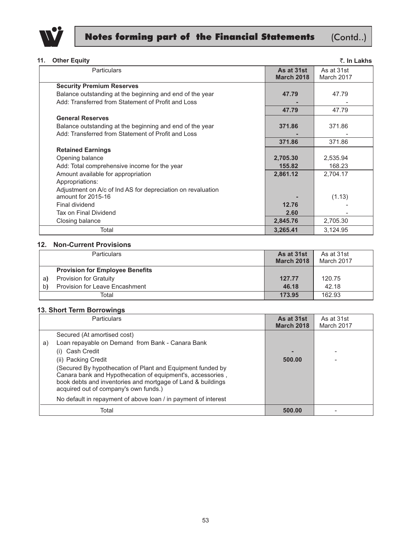

# Notes forming part of the Financial Statements (Contd..)

| <b>Other Equity</b><br>11.                                  |                                 | ₹. In Lakhs              |
|-------------------------------------------------------------|---------------------------------|--------------------------|
| <b>Particulars</b>                                          | As at 31st<br><b>March 2018</b> | As at 31st<br>March 2017 |
| <b>Security Premium Reserves</b>                            |                                 |                          |
| Balance outstanding at the beginning and end of the year    | 47.79                           | 47.79                    |
| Add: Transferred from Statement of Profit and Loss          |                                 |                          |
|                                                             | 47.79                           | 47.79                    |
| <b>General Reserves</b>                                     |                                 |                          |
| Balance outstanding at the beginning and end of the year    | 371.86                          | 371.86                   |
| Add: Transferred from Statement of Profit and Loss          |                                 |                          |
|                                                             | 371.86                          | 371.86                   |
| <b>Retained Earnings</b>                                    |                                 |                          |
| Opening balance                                             | 2,705.30                        | 2,535.94                 |
| Add: Total comprehensive income for the year                | 155.82                          | 168.23                   |
| Amount available for appropriation                          | 2,861.12                        | 2,704.17                 |
| Appropriations:                                             |                                 |                          |
| Adjustment on A/c of Ind AS for depreciation on revaluation |                                 |                          |
| amount for 2015-16                                          |                                 | (1.13)                   |
| Final dividend                                              | 12.76                           |                          |
| Tax on Final Dividend                                       | 2.60                            |                          |
| Closing balance                                             | 2,845.76                        | 2,705.30                 |
| Total                                                       | 3,265.41                        | 3,124.95                 |

#### **12. Non-Current Provisions**

|    | <b>Particulars</b>                     | As at 31st<br><b>March 2018</b> | As at 31st<br>March 2017 |
|----|----------------------------------------|---------------------------------|--------------------------|
|    | <b>Provision for Employee Benefits</b> |                                 |                          |
| a) | Provision for Gratuity                 | 127.77                          | 120.75                   |
| b) | <b>Provision for Leave Encashment</b>  | 46.18                           | 42.18                    |
|    | Total                                  | 173.95                          | 162.93                   |

#### **13. Short Term Borrowings**

| <b>Particulars</b>                                                                                                                                                                                                                                                                                                                                                  | As at 31st<br><b>March 2018</b> | As at 31st<br>March 2017 |
|---------------------------------------------------------------------------------------------------------------------------------------------------------------------------------------------------------------------------------------------------------------------------------------------------------------------------------------------------------------------|---------------------------------|--------------------------|
| Secured (At amortised cost)<br>Loan repayable on Demand from Bank - Canara Bank<br>a)<br>(i) Cash Credit<br>(ii) Packing Credit<br>(Secured By hypothecation of Plant and Equipment funded by<br>Canara bank and Hypothecation of equipment's, accessories,<br>book debts and inventories and mortgage of Land & buildings<br>acquired out of company's own funds.) | 500.00                          |                          |
| No default in repayment of above loan / in payment of interest                                                                                                                                                                                                                                                                                                      |                                 |                          |
| Total                                                                                                                                                                                                                                                                                                                                                               | 500.00                          |                          |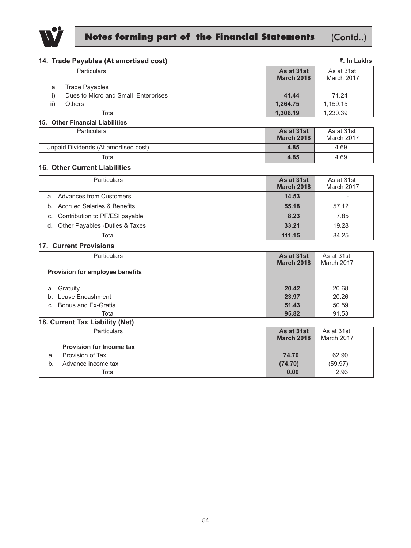

# Notes forming part of the Financial Statements

(Contd..)

| 14. Trade Payables (At amortised cost)    |                                 | ₹. In Lakhs              |
|-------------------------------------------|---------------------------------|--------------------------|
| Particulars                               | As at 31st<br><b>March 2018</b> | As at 31st<br>March 2017 |
| <b>Trade Payables</b><br>a                |                                 |                          |
| i)<br>Dues to Micro and Small Enterprises | 41.44                           | 71.24                    |
| $\mathsf{ii}$ )<br><b>Others</b>          | 1,264.75                        | 1,159.15                 |
| Total                                     | 1,306.19                        | 1,230.39                 |
| 15. Other Financial Liabilities           |                                 |                          |
| <b>Particulars</b>                        | As at 31st<br><b>March 2018</b> | As at 31st<br>March 2017 |
| Unpaid Dividends (At amortised cost)      | 4.85                            | 4.69                     |
| Total                                     | 4.85                            | 4.69                     |
| <b>16. Other Current Liabilities</b>      |                                 |                          |
| <b>Particulars</b>                        | As at 31st<br><b>March 2018</b> | As at 31st<br>March 2017 |
| a. Advances from Customers                | 14.53                           |                          |
| b. Accrued Salaries & Benefits            | 55.18                           | 57.12                    |
| c. Contribution to PF/ESI payable         | 8.23                            | 7.85                     |
| d. Other Payables -Duties & Taxes         | 33.21                           | 19.28                    |
| Total                                     | 111.15                          | 84.25                    |
| <b>17. Current Provisions</b>             |                                 |                          |
| Particulars                               | As at 31st<br><b>March 2018</b> | As at 31st<br>March 2017 |
| Provision for employee benefits           |                                 |                          |
| a. Gratuity                               | 20.42                           | 20.68                    |
| b. Leave Encashment                       | 23.97                           | 20.26                    |
| c. Bonus and Ex-Gratia                    | 51.43                           | 50.59                    |
| Total                                     | 95.82                           | 91.53                    |
| 18. Current Tax Liability (Net)           |                                 |                          |
| Particulars                               | As at 31st<br><b>March 2018</b> | As at 31st<br>March 2017 |
| <b>Provision for Income tax</b>           |                                 |                          |
| Provision of Tax<br>a.                    | 74.70                           | 62.90                    |
| Advance income tax<br>b.                  | (74.70)                         | (59.97)                  |
| Total                                     | 0.00                            | 2.93                     |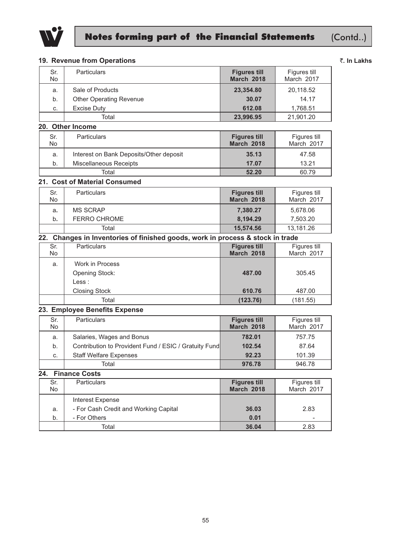

# Notes forming part of the Financial Statements

(Contd..)

#### **19. Revenue from Operations**

`**. In Lakhs**

| Sr.<br>No        | Particulars                                                                | <b>Figures till</b><br><b>March 2018</b> | Figures till<br>March 2017 |
|------------------|----------------------------------------------------------------------------|------------------------------------------|----------------------------|
| a.               | Sale of Products                                                           | 23,354.80                                | 20,118.52                  |
| b.               | <b>Other Operating Revenue</b>                                             | 30.07                                    | 14.17                      |
| C.               | <b>Excise Duty</b>                                                         | 612.08                                   | 1,768.51                   |
|                  | Total                                                                      | 23,996.95                                | 21,901.20                  |
|                  | 20. Other Income                                                           |                                          |                            |
| Sr.<br>No        | Particulars                                                                | <b>Figures till</b><br><b>March 2018</b> | Figures till<br>March 2017 |
| a.               | Interest on Bank Deposits/Other deposit                                    | 35.13                                    | 47.58                      |
| b.               | Miscellaneous Receipts                                                     | 17.07                                    | 13.21                      |
|                  | Total                                                                      | 52.20                                    | 60.79                      |
|                  | 21. Cost of Material Consumed                                              |                                          |                            |
| Sr.<br>No.       | Particulars                                                                | <b>Figures till</b><br><b>March 2018</b> | Figures till<br>March 2017 |
| a.               | <b>MS SCRAP</b>                                                            | 7,380.27                                 | 5,678.06                   |
| b.               | <b>FERRO CHROME</b>                                                        | 8,194.29                                 | 7,503.20                   |
|                  | Total                                                                      | 15,574.56                                | 13,181.26                  |
| 22.              | Changes in Inventories of finished goods, work in process & stock in trade |                                          |                            |
| Sr.              | Particulars                                                                | <b>Figures till</b>                      | Figures till<br>March 2017 |
| No.              |                                                                            | <b>March 2018</b>                        |                            |
| a.               | <b>Work in Process</b>                                                     |                                          |                            |
|                  | Opening Stock:                                                             | 487.00                                   | 305.45                     |
|                  | Less:                                                                      |                                          |                            |
|                  | <b>Closing Stock</b>                                                       | 610.76                                   | 487.00                     |
|                  | Total                                                                      | (123.76)                                 | (181.55)                   |
|                  | 23. Employee Benefits Expense                                              |                                          |                            |
| Sr.<br><b>No</b> | Particulars                                                                | <b>Figures till</b><br><b>March 2018</b> | Figures till<br>March 2017 |
| a.               | Salaries, Wages and Bonus                                                  | 782.01                                   | 757.75                     |
| b.               | Contribution to Provident Fund / ESIC / Gratuity Fund                      | 102.54                                   | 87.64                      |
| C.               | <b>Staff Welfare Expenses</b>                                              | 92.23                                    | 101.39                     |
|                  | Total                                                                      | 976.78                                   | 946.78                     |
| 24.              | <b>Finance Costs</b>                                                       |                                          |                            |
| Sr.<br>No        | Particulars                                                                | <b>Figures till</b><br><b>March 2018</b> | Figures till<br>March 2017 |
|                  | Interest Expense                                                           |                                          |                            |
| a.               | - For Cash Credit and Working Capital                                      | 36.03                                    | 2.83                       |
| b.               | - For Others                                                               | 0.01                                     |                            |
|                  | Total                                                                      | 36.04                                    | 2.83                       |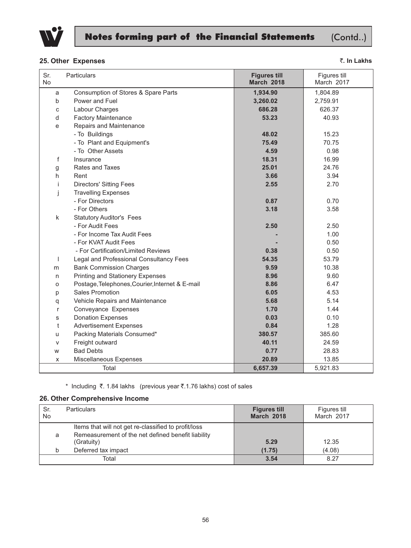

#### **25. Other Expenses**

| Sr.<br><b>Particulars</b><br>No |                                                 | <b>Figures till</b><br><b>March 2018</b> | Figures till<br>March 2017 |
|---------------------------------|-------------------------------------------------|------------------------------------------|----------------------------|
| a                               | Consumption of Stores & Spare Parts             | 1,934.90                                 | 1,804.89                   |
| $\mathsf b$                     | Power and Fuel                                  | 3,260.02                                 | 2,759.91                   |
| с                               | Labour Charges                                  | 686.28                                   | 626.37                     |
| d                               | <b>Factory Maintenance</b>                      | 53.23                                    | 40.93                      |
| e                               | Repairs and Maintenance                         |                                          |                            |
|                                 | - To Buildings                                  | 48.02                                    | 15.23                      |
|                                 | - To Plant and Equipment's                      | 75.49                                    | 70.75                      |
|                                 | - To Other Assets                               | 4.59                                     | 0.98                       |
| f                               | Insurance                                       | 18.31                                    | 16.99                      |
| g                               | Rates and Taxes                                 | 25.01                                    | 24.76                      |
| h                               | Rent                                            | 3.66                                     | 3.94                       |
| Ť                               | <b>Directors' Sitting Fees</b>                  | 2.55                                     | 2.70                       |
| j                               | <b>Travelling Expenses</b>                      |                                          |                            |
|                                 | - For Directors                                 | 0.87                                     | 0.70                       |
|                                 | - For Others                                    | 3.18                                     | 3.58                       |
| $\mathsf k$                     | <b>Statutory Auditor's Fees</b>                 |                                          |                            |
|                                 | - For Audit Fees                                | 2.50                                     | 2.50                       |
|                                 | - For Income Tax Audit Fees                     |                                          | 1.00                       |
|                                 | - For KVAT Audit Fees                           |                                          | 0.50                       |
|                                 | - For Certification/Limited Reviews             | 0.38                                     | 0.50                       |
| $\mathbf{I}$                    | Legal and Professional Consultancy Fees         | 54.35                                    | 53.79                      |
| m                               | <b>Bank Commission Charges</b>                  | 9.59                                     | 10.38                      |
| n                               | <b>Printing and Stationery Expenses</b>         | 8.96                                     | 9.60                       |
| O                               | Postage, Telephones, Courier, Internet & E-mail | 8.86                                     | 6.47                       |
| p                               | <b>Sales Promotion</b>                          | 6.05                                     | 4.53                       |
| q                               | Vehicle Repairs and Maintenance                 | 5.68                                     | 5.14                       |
| $\mathsf{r}$                    | Conveyance Expenses                             | 1.70                                     | 1.44                       |
| S                               | <b>Donation Expenses</b>                        | 0.03                                     | 0.10                       |
| t                               | <b>Advertisement Expenses</b>                   | 0.84                                     | 1.28                       |
| u                               | Packing Materials Consumed*                     | 380.57                                   | 385.60                     |
| $\vee$                          | Freight outward                                 | 40.11                                    | 24.59                      |
| W                               | <b>Bad Debts</b>                                | 0.77                                     | 28.83                      |
| X                               | Miscellaneous Expenses                          | 20.89                                    | 13.85                      |
|                                 | Total                                           | 6,657.39                                 | 5,921.83                   |

\* Including  $\bar{\tau}$ . 1.84 lakhs (previous year  $\bar{\tau}$ .1.76 lakhs) cost of sales

### **26. Other Comprehensive Income**

| Sr.<br><b>No</b> | <b>Particulars</b>                                   | <b>Figures till</b><br><b>March 2018</b> | Figures till<br>March 2017 |
|------------------|------------------------------------------------------|------------------------------------------|----------------------------|
|                  | Items that will not get re-classified to profit/loss |                                          |                            |
| a                | Remeasurement of the net defined benefit liability   |                                          |                            |
|                  | (Gratuity)                                           | 5.29                                     | 12.35                      |
| b                | Deferred tax impact                                  | (1.75)                                   | (4.08)                     |
|                  | Total                                                | 3.54                                     | 8.27                       |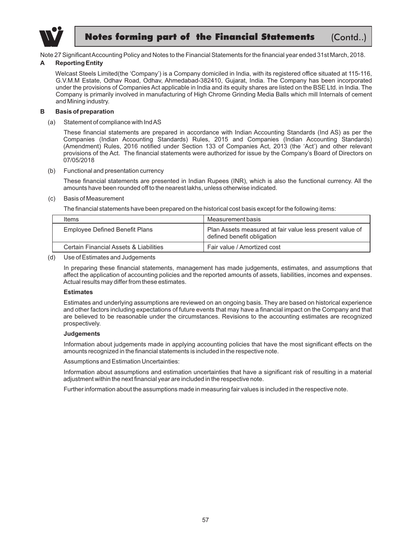

### Notes forming part of the Financial Statements (Contd.

Note 27 SignificantAccounting Policy and Notes to the Financial Statements for the financial year ended 31st March, 2018.

#### **A Reporting Entity**

Welcast Steels Limited(the 'Company') is a Company domiciled in India, with its registered office situated at 115-116, G.V.M.M Estate, Odhav Road, Odhav, Ahmedabad-382410, Gujarat, India. The Company has been incorporated under the provisions of Companies Act applicable in India and its equity shares are listed on the BSE Ltd. in India. The Company is primarily involved in manufacturing of High Chrome Grinding Media Balls which mill Internals of cement and Mining industry.

#### **B Basis of preparation**

(a) Statement of compliance with IndAS

These financial statements are prepared in accordance with Indian Accounting Standards (Ind AS) as per the Companies (Indian Accounting Standards) Rules, 2015 and Companies (Indian Accounting Standards) (Amendment) Rules, 2016 notified under Section 133 of Companies Act, 2013 (the 'Act') and other relevant provisions of the Act. The financial statements were authorized for issue by the Company's Board of Directors on 07/05/2018

(b) Functional and presentation currency

These financial statements are presented in Indian Rupees (INR), which is also the functional currency. All the amounts have been rounded off to the nearest lakhs, unless otherwise indicated.

#### (c) Basis of Measurement

The financial statements have been prepared on the historical cost basis except for the following items:

| Items                                  | Measurement basis                                                                      |  |
|----------------------------------------|----------------------------------------------------------------------------------------|--|
| <b>Employee Defined Benefit Plans</b>  | Plan Assets measured at fair value less present value of<br>defined benefit obligation |  |
| Certain Financial Assets & Liabilities | Fair value / Amortized cost                                                            |  |

(d) Use of Estimates and Judgements

In preparing these financial statements, management has made judgements, estimates, and assumptions that affect the application of accounting policies and the reported amounts of assets, liabilities, incomes and expenses. Actual results may differ from these estimates.

#### **Estimates**

Estimates and underlying assumptions are reviewed on an ongoing basis. They are based on historical experience and other factors including expectations of future events that may have a financial impact on the Company and that are believed to be reasonable under the circumstances. Revisions to the accounting estimates are recognized prospectively.

#### **Judgements**

Information about judgements made in applying accounting policies that have the most significant effects on the amounts recognized in the financial statements is included in the respective note.

Assumptions and Estimation Uncertainties:

Information about assumptions and estimation uncertainties that have a significant risk of resulting in a material adjustment within the next financial year are included in the respective note.

Further information about the assumptions made in measuring fair values is included in the respective note.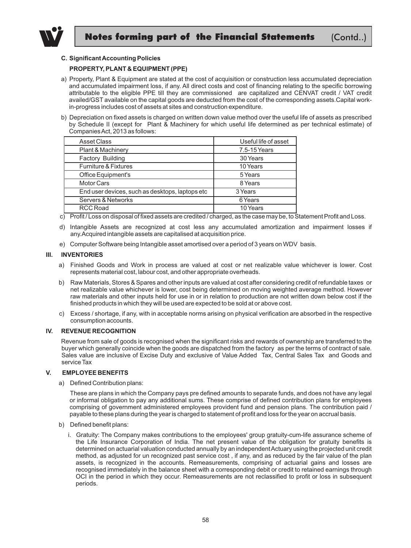

#### **C. SignificantAccounting Policies**

#### **PROPERTY, PLANT & EQUIPMENT (PPE)**

- a) Property, Plant & Equipment are stated at the cost of acquisition or construction less accumulated depreciation and accumulated impairment loss, if any. All direct costs and cost of financing relating to the specific borrowing attributable to the eligible PPE till they are commissioned are capitalized and CENVAT credit / VAT credit availed/GST available on the capital goods are deducted from the cost of the corresponding assets.Capital workin-progress includes cost of assets at sites and construction expenditure.
- b) Depreciation on fixed assets is charged on written down value method over the useful life of assets as prescribed by Schedule II (except for Plant & Machinery for which useful life determined as per technical estimate) of CompaniesAct, 2013 as follows:

| <b>Asset Class</b>                              | Useful life of asset |
|-------------------------------------------------|----------------------|
| Plant & Machinery                               | 7.5-15 Years         |
| Factory Building                                | 30 Years             |
| <b>Furniture &amp; Fixtures</b>                 | 10 Years             |
| Office Equipment's                              | 5 Years              |
| Motor Cars                                      | 8 Years              |
| End user devices, such as desktops, laptops etc | 3 Years              |
| Servers & Networks                              | 6 Years              |
| <b>RCC Road</b>                                 | 10 Years             |

- c) Profit / Loss on disposal of fixed assets are credited / charged, as the case may be, to Statement Profit and Loss.
- d) Intangible Assets are recognized at cost less any accumulated amortization and impairment losses if any.Acquired intangible assets are capitalised at acquisition price.
- e) Computer Software being Intangible asset amortised over a period of 3 years on WDV basis.

#### **III. INVENTORIES**

- a) Finished Goods and Work in process are valued at cost or net realizable value whichever is lower. Cost represents material cost, labour cost, and other appropriate overheads.
- b) Raw Materials, Stores & Spares and other inputs are valued at cost after considering credit of refundable taxes or net realizable value whichever is lower, cost being determined on moving weighted average method. However raw materials and other inputs held for use in or in relation to production are not written down below cost if the finished products in which they will be used are expected to be sold at or above cost.
- c) Excess / shortage, if any, with in acceptable norms arising on physical verification are absorbed in the respective consumption accounts.

#### **IV. REVENUE RECOGNITION**

Revenue from sale of goods is recognised when the significant risks and rewards of ownership are transferred to the buyer which generally coincide when the goods are dispatched from the factory as per the terms of contract of sale. Sales value are inclusive of Excise Duty and exclusive of Value Added Tax, Central Sales Tax and Goods and service Tax

#### **V. EMPLOYEE BENEFITS**

a) Defined Contribution plans:

These are plans in which the Company pays pre defined amounts to separate funds, and does not have any legal or informal obligation to pay any additional sums. These comprise of defined contribution plans for employees comprising of government administered employees provident fund and pension plans. The contribution paid / payable to these plans during the year is charged to statement of profit and loss for the year on accrual basis.

- b) Defined benefit plans:
	- i. Gratuity: The Company makes contributions to the employees' group gratuity-cum-life assurance scheme of the Life Insurance Corporation of India. The net present value of the obligation for gratuity benefits is determined on actuarial valuation conducted annually by an independent Actuary using the projected unit credit method, as adjusted for un recognized past service cost , if any, and as reduced by the fair value of the plan assets, is recognized in the accounts. Remeasurements, comprising of actuarial gains and losses are recognised immediately in the balance sheet with a corresponding debit or credit to retained earnings through OCI in the period in which they occur. Remeasurements are not reclassified to profit or loss in subsequent periods.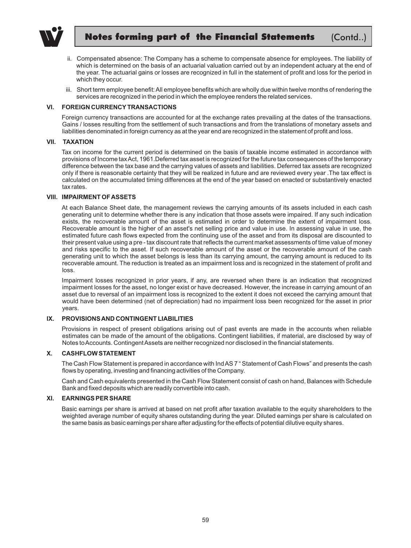

### Notes forming part of the Financial Statements (Contd..)

- 
- ii. Compensated absence: The Company has a scheme to compensate absence for employees. The liability of which is determined on the basis of an actuarial valuation carried out by an independent actuary at the end of the year. The actuarial gains or losses are recognized in full in the statement of profit and loss for the period in which they occur.
- iii. Short term employee benefit:All employee benefits which are wholly due within twelve months of rendering the services are recognized in the period in which the employee renders the related services.

#### **VI. FOREIGN CURRENCY TRANSACTIONS**

Foreign currency transactions are accounted for at the exchange rates prevailing at the dates of the transactions. Gains / losses resulting from the settlement of such transactions and from the translations of monetary assets and liabilities denominated in foreign currency as at the year end are recognized in the statement of profit and loss.

#### **VII. TAXATION**

Tax on income for the current period is determined on the basis of taxable income estimated in accordance with provisions of Income taxAct, 1961.Deferred tax asset is recognized for the future tax consequences of the temporary difference between the tax base and the carrying values of assets and liabilities. Deferred tax assets are recognized only if there is reasonable certainty that they will be realized in future and are reviewed every year .The tax effect is calculated on the accumulated timing differences at the end of the year based on enacted or substantively enacted tax rates.

#### **VIII. IMPAIRMENT OFASSETS**

At each Balance Sheet date, the management reviews the carrying amounts of its assets included in each cash generating unit to determine whether there is any indication that those assets were impaired. If any such indication exists, the recoverable amount of the asset is estimated in order to determine the extent of impairment loss. Recoverable amount is the higher of an asset's net selling price and value in use. In assessing value in use, the estimated future cash flows expected from the continuing use of the asset and from its disposal are discounted to their present value using a pre - tax discount rate that reflects the current market assessments of time value of money and risks specific to the asset. If such recoverable amount of the asset or the recoverable amount of the cash generating unit to which the asset belongs is less than its carrying amount, the carrying amount is reduced to its recoverable amount. The reduction is treated as an impairment loss and is recognized in the statement of profit and loss.

Impairment losses recognized in prior years, if any, are reversed when there is an indication that recognized impairment losses for the asset, no longer exist or have decreased. However, the increase in carrying amount of an asset due to reversal of an impairment loss is recognized to the extent it does not exceed the carrying amount that would have been determined (net of depreciation) had no impairment loss been recognized for the asset in prior years.

#### **IX. PROVISIONSAND CONTINGENT LIABILITIES**

Provisions in respect of present obligations arising out of past events are made in the accounts when reliable estimates can be made of the amount of the obligations. Contingent liabilities, if material, are disclosed by way of Notes toAccounts. ContingentAssets are neither recognized nor disclosed in the financial statements.

#### **X. CASHFLOW STATEMENT**

The Cash Flow Statement is prepared in accordance with IndAS 7 " Statement of Cash Flows" and presents the cash flows by operating, investing and financing activities of the Company.

Cash and Cash equivalents presented in the Cash Flow Statement consist of cash on hand, Balances with Schedule Bank and fixed deposits which are readily convertible into cash.

#### **XI. EARNINGS PER SHARE**

Basic earnings per share is arrived at based on net profit after taxation available to the equity shareholders to the weighted average number of equity shares outstanding during the year. Diluted earnings per share is calculated on the same basis as basic earnings per share after adjusting for the effects of potential dilutive equity shares.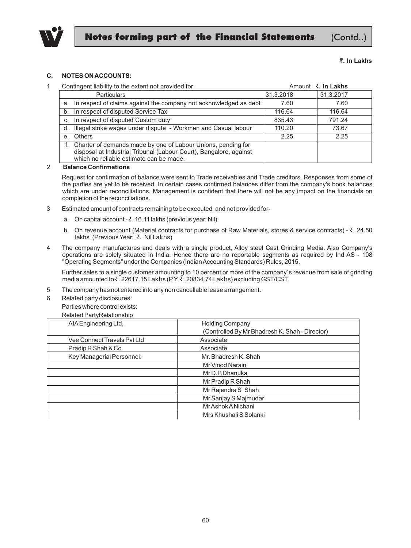

#### `**. In Lakhs**

#### **C. NOTES ONACCOUNTS:**

1 Contingent liability to the extent not provided for Amount `**. In Lakhs**

| Contingent hability to the extent not provided for |                                                                                                                                                                               |           | AINQUILET S. IN LAKIS |
|----------------------------------------------------|-------------------------------------------------------------------------------------------------------------------------------------------------------------------------------|-----------|-----------------------|
|                                                    | <b>Particulars</b>                                                                                                                                                            | 31.3.2018 | 31.3.2017             |
| a.                                                 | In respect of claims against the company not acknowledged as debt                                                                                                             | 7.60      | 7.60                  |
|                                                    | b. In respect of disputed Service Tax                                                                                                                                         | 116.64    | 116.64                |
| C.                                                 | In respect of disputed Custom duty                                                                                                                                            | 835.43    | 791.24                |
|                                                    | d. Illegal strike wages under dispute - Workmen and Casual labour                                                                                                             | 110.20    | 73.67                 |
| e.                                                 | <b>Others</b>                                                                                                                                                                 | 2.25      | 2.25                  |
|                                                    | Charter of demands made by one of Labour Unions, pending for<br>disposal at Industrial Tribunal (Labour Court), Bangalore, against<br>which no reliable estimate can be made. |           |                       |

#### 2 **Balance Confirmations**

Request for confirmation of balance were sent to Trade receivables and Trade creditors. Responses from some of the parties are yet to be received. In certain cases confirmed balances differ from the company's book balances which are under reconciliations. Management is confident that there will not be any impact on the financials on completion of the reconciliations.

- 3 Estimated amount of contracts remaining to be executed and not provided for
	- a. On capital account  $\bar{\tau}$ . 16.11 lakhs (previous year: Nil)
	- b. On revenue account (Material contracts for purchase of Raw Materials, stores & service contracts) ₹, 24.50 lakhs (Previous Year: ₹. Nil Lakhs)
- 4 The company manufactures and deals with a single product, Alloy steel Cast Grinding Media. Also Company's operations are solely situated in India. Hence there are no reportable segments as required by Ind AS - 108 "Operating Segments" under the Companies (IndianAccounting Standards) Rules, 2015.

Further sales to a single customer amounting to 10 percent or more of the company`s revenue from sale of grinding media amounted to  $\overline{\mathfrak{Z}}$ . 22617.15 Lakhs (P.Y.  $\overline{\mathfrak{Z}}$ . 20834.74 Lakhs) excluding GST/CST.

- 5 The company has not entered into any non cancellable lease arrangement.
- 6 Related party disclosures:

Parties where control exists:

Related PartyRelationship

| AIA Engineering Ltd.        | <b>Holding Company</b><br>(Controlled By Mr Bhadresh K. Shah - Director) |
|-----------------------------|--------------------------------------------------------------------------|
| Vee Connect Travels Pyt Ltd | Associate                                                                |
| Pradip R Shah & Co          | Associate                                                                |
| Key Managerial Personnel:   | Mr. Bhadresh K. Shah                                                     |
|                             | Mr Vinod Narain                                                          |
|                             | Mr D.P.Dhanuka                                                           |
|                             | Mr Pradip R Shah                                                         |
|                             | Mr Rajendra S Shah                                                       |
|                             | Mr Sanjay S Majmudar                                                     |
|                             | <b>MrAshokANichani</b>                                                   |
|                             | Mrs Khushali S Solanki                                                   |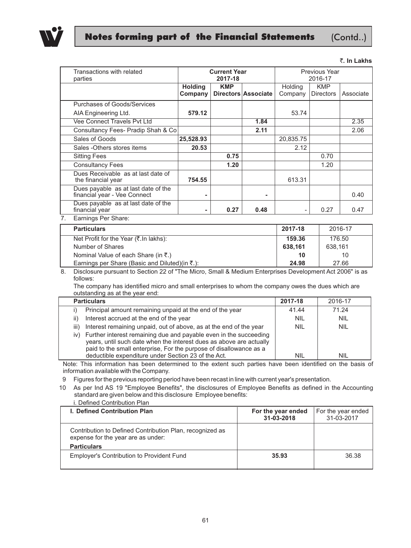

# Notes forming part of the Financial Statements (Contd..)

| In Lakhs |
|----------|
|          |

|    | Transactions with related                                           | <b>Current Year</b> |            | <b>Previous Year</b> |           |                  |           |
|----|---------------------------------------------------------------------|---------------------|------------|----------------------|-----------|------------------|-----------|
|    | parties                                                             | 2017-18             |            | 2016-17              |           |                  |           |
|    |                                                                     | <b>Holding</b>      | <b>KMP</b> |                      | Holding   | <b>KMP</b>       |           |
|    |                                                                     | Company             |            | Directors Associate  | Company   | <b>Directors</b> | Associate |
|    | <b>Purchases of Goods/Services</b>                                  |                     |            |                      |           |                  |           |
|    | AIA Engineering Ltd.                                                | 579.12              |            |                      | 53.74     |                  |           |
|    | Vee Connect Travels Pyt Ltd                                         |                     |            | 1.84                 |           |                  | 2.35      |
|    | Consultancy Fees- Pradip Shah & Co                                  |                     |            | 2.11                 |           |                  | 2.06      |
|    | Sales of Goods                                                      | 25,528.93           |            |                      | 20,835.75 |                  |           |
|    | Sales - Others stores items                                         | 20.53               |            |                      | 2.12      |                  |           |
|    | <b>Sitting Fees</b>                                                 |                     | 0.75       |                      |           | 0.70             |           |
|    | <b>Consultancy Fees</b>                                             |                     | 1.20       |                      |           | 1.20             |           |
|    | Dues Receivable as at last date of<br>the financial year            | 754.55              |            |                      | 613.31    |                  |           |
|    | Dues payable as at last date of the<br>financial year - Vee Connect |                     |            | ۰                    |           |                  | 0.40      |
|    | Dues payable as at last date of the<br>financial year               |                     | 0.27       | 0.48                 |           | 0.27             | 0.47      |
| 7. | Earnings Per Share:                                                 |                     |            |                      |           |                  |           |

| <b>Particulars</b>                             | 2017-18 | 2016-17 |
|------------------------------------------------|---------|---------|
| Net Profit for the Year (₹.In lakhs):          | 159.36  | 176.50  |
| Number of Shares                               | 638.161 | 638.161 |
| Nominal Value of each Share (in $\bar{z}$ .)   | 10      | 10      |
| Earnings per Share (Basic and Diluted)(in ₹.): | 24.98   | 27.66   |

8. Disclosure pursuant to Section 22 of "The Micro, Small & Medium Enterprises Development Act 2006" is as follows:

The company has identified micro and small enterprises to whom the company owes the dues which are outstanding as at the year end:

| <b>Particulars</b>                                                                                                                                                                                                 | 2017-18    | 2016-17    |
|--------------------------------------------------------------------------------------------------------------------------------------------------------------------------------------------------------------------|------------|------------|
| Principal amount remaining unpaid at the end of the year                                                                                                                                                           | 41.44      | 71.24      |
| Interest accrued at the end of the year<br>ii)                                                                                                                                                                     | <b>NIL</b> | <b>NIL</b> |
| Interest remaining unpaid, out of above, as at the end of the year<br>iii)                                                                                                                                         | <b>NIL</b> | <b>NIL</b> |
| iv) Further interest remaining due and payable even in the succeeding<br>years, until such date when the interest dues as above are actually<br>paid to the small enterprise, For the purpose of disallowance as a |            |            |
| deductible expenditure under Section 23 of the Act.                                                                                                                                                                | NIL        | NIL        |

Note: This information has been determined to the extent such parties have been identified on the basis of information available with the Company.

9 Figures for the previous reporting period have been recast in line with current year's presentation.

10 As per Ind AS 19 "Employee Benefits", the disclosures of Employee Benefits as defined in the Accounting standard are given below and this disclosure Employee benefits:

| <b>I. Defined Contribution Plan</b>                                                                                  | For the year ended<br>31-03-2018 | For the year ended<br>31-03-2017 |
|----------------------------------------------------------------------------------------------------------------------|----------------------------------|----------------------------------|
| Contribution to Defined Contribution Plan, recognized as<br>expense for the year are as under:<br><b>Particulars</b> |                                  |                                  |
| <b>Employer's Contribution to Provident Fund</b>                                                                     | 35.93                            | 36.38                            |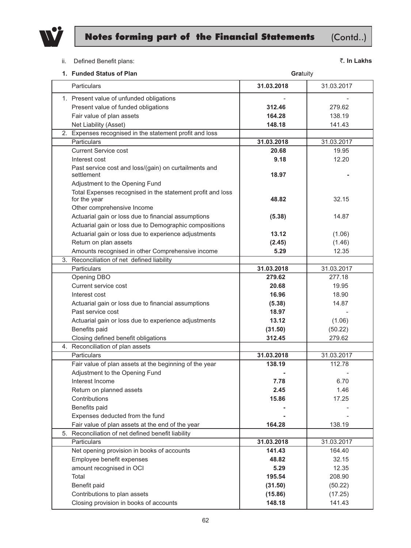

# Notes forming part of the Financial Statements (Contd..)

ii. Defined Benefit plans:

`**. In Lakhs**

| 1. Funded Status of Plar |  |
|--------------------------|--|
|                          |  |

|                | 1. Funded Status of Plan                                                   | Gratuity   |            |
|----------------|----------------------------------------------------------------------------|------------|------------|
|                | <b>Particulars</b>                                                         | 31.03.2018 | 31.03.2017 |
|                | 1. Present value of unfunded obligations                                   |            |            |
|                | Present value of funded obligations                                        | 312.46     | 279.62     |
|                | Fair value of plan assets                                                  | 164.28     | 138.19     |
|                | Net Liability (Asset)                                                      | 148.18     | 141.43     |
|                | 2. Expenses recognised in the statement profit and loss                    |            |            |
|                | Particulars                                                                | 31.03.2018 | 31.03.2017 |
|                | <b>Current Service cost</b>                                                | 20.68      | 19.95      |
|                | Interest cost                                                              | 9.18       | 12.20      |
|                | Past service cost and loss/(gain) on curtailments and<br>settlement        | 18.97      |            |
|                | Adjustment to the Opening Fund                                             |            |            |
|                | Total Expenses recognised in the statement profit and loss<br>for the year | 48.82      | 32.15      |
|                | Other comprehensive Income                                                 |            |            |
|                | Actuarial gain or loss due to financial assumptions                        | (5.38)     | 14.87      |
|                | Actuarial gain or loss due to Demographic compositions                     |            |            |
|                | Actuarial gain or loss due to experience adjustments                       | 13.12      | (1.06)     |
|                | Return on plan assets                                                      | (2.45)     | (1.46)     |
|                | Amounts recognised in other Comprehensive income                           | 5.29       | 12.35      |
| 3 <sub>1</sub> | Reconciliation of net defined liability                                    |            |            |
|                | <b>Particulars</b>                                                         | 31.03.2018 | 31.03.2017 |
|                | Opening DBO                                                                | 279.62     | 277.18     |
|                | Current service cost                                                       | 20.68      | 19.95      |
|                | Interest cost                                                              | 16.96      | 18.90      |
|                | Actuarial gain or loss due to financial assumptions                        | (5.38)     | 14.87      |
|                | Past service cost                                                          | 18.97      |            |
|                | Actuarial gain or loss due to experience adjustments                       | 13.12      | (1.06)     |
|                | Benefits paid                                                              | (31.50)    | (50.22)    |
|                | Closing defined benefit obligations                                        | 312.45     | 279.62     |
|                | 4. Reconciliation of plan assets                                           |            |            |
|                | <b>Particulars</b>                                                         | 31.03.2018 | 31.03.2017 |
|                | Fair value of plan assets at the beginning of the year                     | 138.19     | 112.78     |
|                | Adjustment to the Opening Fund                                             |            |            |
|                | Interest Income                                                            | 7.78       | 6.70       |
|                | Return on planned assets                                                   | 2.45       | 1.46       |
|                | Contributions                                                              | 15.86      | 17.25      |
|                | Benefits paid                                                              |            |            |
|                | Expenses deducted from the fund                                            |            |            |
|                | Fair value of plan assets at the end of the year                           | 164.28     | 138.19     |
|                | 5. Reconciliation of net defined benefit liability                         |            |            |
|                | Particulars                                                                | 31.03.2018 | 31.03.2017 |
|                | Net opening provision in books of accounts                                 | 141.43     | 164.40     |
|                | Employee benefit expenses                                                  | 48.82      | 32.15      |
|                | amount recognised in OCI                                                   | 5.29       | 12.35      |
|                | Total                                                                      | 195.54     | 208.90     |
|                | Benefit paid                                                               | (31.50)    | (50.22)    |
|                | Contributions to plan assets                                               | (15.86)    | (17.25)    |
|                | Closing provision in books of accounts                                     | 148.18     | 141.43     |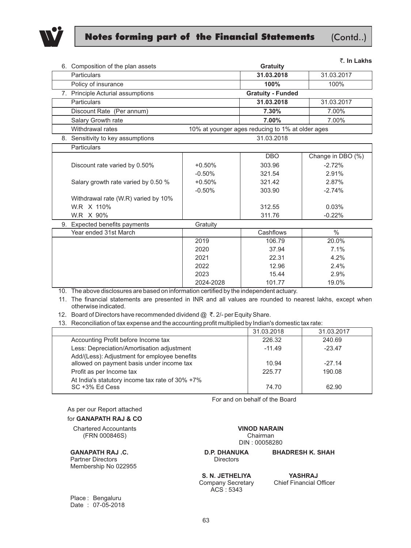

# Notes forming part of the Financial Statements

(Contd..)

| 6. Composition of the plan assets   |           | <b>Gratuity</b>                                  | ₹. In Lakhs       |
|-------------------------------------|-----------|--------------------------------------------------|-------------------|
| Particulars                         |           | 31.03.2018                                       | 31.03.2017        |
| Policy of insurance                 |           | 100%                                             | 100%              |
|                                     |           |                                                  |                   |
| 7. Principle Acturial assumptions   |           | <b>Gratuity - Funded</b>                         |                   |
| Particulars                         |           | 31.03.2018                                       | 31.03.2017        |
| Discount Rate (Per annum)           |           | 7.30%                                            | 7.00%             |
| Salary Growth rate                  |           | 7.00%                                            | 7.00%             |
| Withdrawal rates                    |           | 10% at younger ages reducing to 1% at older ages |                   |
| 8. Sensitivity to key assumptions   |           | 31.03.2018                                       |                   |
| Particulars                         |           |                                                  |                   |
|                                     |           | <b>DBO</b>                                       | Change in DBO (%) |
| Discount rate varied by 0.50%       | $+0.50%$  | 303.96                                           | $-2.72%$          |
|                                     | $-0.50%$  | 321.54                                           | 2.91%             |
| Salary growth rate varied by 0.50 % | $+0.50%$  | 321.42                                           | 2.87%             |
|                                     | $-0.50%$  | 303.90                                           | $-2.74%$          |
| Withdrawal rate (W.R) varied by 10% |           |                                                  |                   |
| W.R X 110%                          |           | 312.55                                           | 0.03%             |
| W.R X 90%                           |           | 311.76                                           | $-0.22%$          |
| 9. Expected benefits payments       | Gratuity  |                                                  |                   |
| Year ended 31st March               |           | Cashflows                                        | $\frac{0}{0}$     |
|                                     | 2019      | 106.79                                           | 20.0%             |
|                                     | 2020      | 37.94                                            | 7.1%              |
|                                     | 2021      | 22.31                                            | 4.2%              |
|                                     | 2022      | 12.96                                            | 2.4%              |
|                                     | 2023      | 15.44                                            | 2.9%              |
|                                     | 2024-2028 | 101.77                                           | 19.0%             |

10. The above disclosures are based on information certified by the independent actuary.

11. The financial statements are presented in INR and all values are rounded to nearest lakhs, except when otherwise indicated.

12. Board of Directors have recommended dividend  $@ \bar{\tau}$ . 2/- per Equity Share.

13. Reconciliation of tax expense and the accounting profit multiplied by Indian's domestic tax rate:

|                                                                                           | 31.03.2018 | 31.03.2017 |
|-------------------------------------------------------------------------------------------|------------|------------|
| Accounting Profit before Income tax                                                       | 226.32     | 240.69     |
| Less: Depreciation/Amortisation adjustment                                                | $-11.49$   | $-23.47$   |
| Add/(Less): Adjustment for employee benefits<br>allowed on payment basis under income tax | 10.94      | $-27.14$   |
| Profit as per Income tax                                                                  | 225.77     | 190.08     |
| At India's statutory income tax rate of 30% +7%<br>SC +3% Ed Cess                         | 74.70      | 62.90      |

For and on behalf of the Board

As per our Report attached

for **GANAPATH RAJ & CO**

Chartered Accountants **VINOD NARAIN**<br>
(FRN 000846S) Chairman (FRN 000846S)

**GANAPATH RAJ .C. D.P. DHANUKA** BHADRESH K. SHAH<br>Partner Directors **Directors** Directors

Partner Directors Membership No 022955

Place : Bengaluru Date : 07-05-2018

DIN : 00058280

**S. N. JETHELIYA YASHRAJ**<br>Company Secretary **Chief Financial Officer** 

Company Secretary ACS : 5343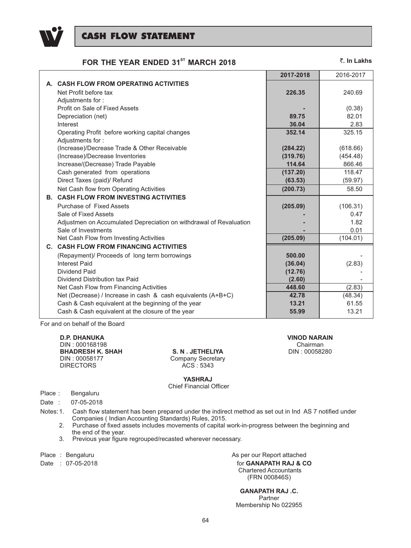

### CASH FLOW STATEMENT

### **FOR THE YEAR ENDED 31<sup>st</sup> MARCH 2018**

`**. In Lakhs**

|                                                                    | 2017-2018 | 2016-2017 |
|--------------------------------------------------------------------|-----------|-----------|
| A. CASH FLOW FROM OPERATING ACTIVITIES                             |           |           |
| Net Profit before tax                                              | 226.35    | 240.69    |
| Adjustments for:                                                   |           |           |
| Profit on Sale of Fixed Assets                                     |           | (0.38)    |
| Depreciation (net)                                                 | 89.75     | 82.01     |
| Interest                                                           | 36.04     | 2.83      |
| Operating Profit before working capital changes                    | 352.14    | 325.15    |
| Adjustments for:                                                   |           |           |
| (Increase)/Decrease Trade & Other Receivable                       | (284.22)  | (618.66)  |
| (Increase)/Decrease Inventories                                    | (319.76)  | (454.48)  |
| Increase/(Decrease) Trade Payable                                  | 114.64    | 866.46    |
| Cash generated from operations                                     | (137.20)  | 118.47    |
| Direct Taxes (paid)/ Refund                                        | (63.53)   | (59.97)   |
| Net Cash flow from Operating Activities                            | (200.73)  | 58.50     |
| <b>B. CASH FLOW FROM INVESTING ACTIVITIES</b>                      |           |           |
| Purchase of Fixed Assets                                           | (205.09)  | (106.31)  |
| Sale of Fixed Assets                                               |           | 0.47      |
| Adjustmen on Accumulated Depreciation on withdrawal of Revaluation |           | 1.82      |
| Sale of Investments                                                |           | 0.01      |
| Net Cash Flow from Investing Activities                            | (205.09)  | (104.01)  |
| C. CASH FLOW FROM FINANCING ACTIVITIES                             |           |           |
| (Repayment)/ Proceeds of long term borrowings                      | 500.00    |           |
| <b>Interest Paid</b>                                               | (36.04)   | (2.83)    |
| Dividend Paid                                                      | (12.76)   |           |
| Dividend Distribution tax Paid                                     | (2.60)    |           |
| Net Cash Flow from Financing Activities                            | 448.60    | (2.83)    |
| Net (Decrease) / Increase in cash & cash equivalents (A+B+C)       | 42.78     | (48.34)   |
| Cash & Cash equivalent at the beginning of the year                | 13.21     | 61.55     |
| Cash & Cash equivalent at the closure of the year                  | 55.99     | 13.21     |

For and on behalf of the Board

**D.P. DHANUKA VINOD NARAIN** DIN : 000168198 Chairman<br>
BHADRESH K. SHAH S. N. JETHELIYA CHAIRTEAN DIN : 00058280 **BHADRESH K. SHAH<br>DIN : 00058177** DIRECTORS

Company Secretary<br>ACS: 5343

**YASHRAJ** Chief Financial Officer

Place : Bengaluru

Date : 07-05-2018

Notes: 1. Cash flow statement has been prepared under the indirect method as set out in Ind AS 7 notified under Companies ( Indian Accounting Standards) Rules, 2015.

2. Purchase of fixed assets includes movements of capital work-in-progress between the beginning and the end of the year.

3. Previous year figure regrouped/recasted wherever necessary.

Place : Bengaluru **As per our Report attached** As per our Report attached Date : 07-05-2018 for **GANAPATH RAJ & CO** Chartered Accountants (FRN 000846S)

> **GANAPATH RAJ .C.** Partner Membership No 022955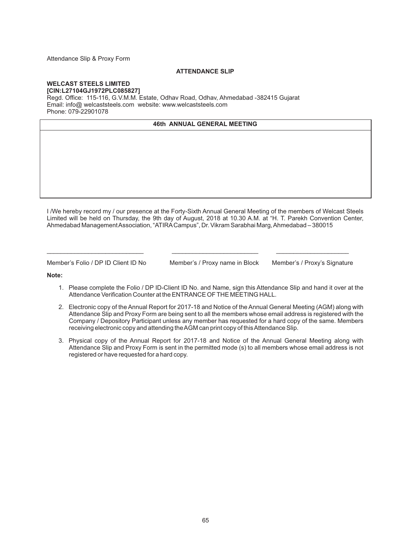#### Attendance Slip & Proxy Form

#### **ATTENDANCE SLIP**

#### **WELCAST STEELS LIMITED [CIN:L27104GJ1972PLC085827]** Regd. Office: 115-116, G.V.M.M. Estate, Odhav Road, Odhav, Ahmedabad -382415 Gujarat Email: info@ welcaststeels.com website: www.welcaststeels.com Phone: 079-22901078

#### **46th ANNUAL GENERAL MEETING**

I /We hereby record my / our presence at the Forty-Sixth Annual General Meeting of the members of Welcast Steels Limited will be held on Thursday, the 9th day of August, 2018 at 10.30 A.M. at "H. T. Parekh Convention Center, Ahmedabad ManagementAssociation, "ATIRACampus", Dr. Vikram Sarabhai Marg,Ahmedabad – 380015

\_\_\_\_\_\_\_\_\_\_\_\_\_\_\_\_\_\_\_\_\_\_\_\_\_\_\_\_ \_\_\_\_\_\_\_\_\_\_\_\_\_\_\_\_\_\_\_\_\_\_\_\_\_ \_\_\_\_\_\_\_\_\_\_\_\_\_\_\_\_\_\_\_\_\_

Member's Folio / DP ID Client ID No Member's / Proxy name in Block Member's / Proxy's Signature

**Note:**

- 1. Please complete the Folio / DP ID-Client ID No. and Name, sign this Attendance Slip and hand it over at the Attendance Verification Counter at the ENTRANCE OF THE MEETING HALL.
- 2. Electronic copy of the Annual Report for 2017-18 and Notice of the Annual General Meeting (AGM) along with Attendance Slip and Proxy Form are being sent to all the members whose email address is registered with the Company / Depository Participant unless any member has requested for a hard copy of the same. Members receiving electronic copy and attending the AGM can print copy of this Attendance Slip.
- 3. Physical copy of the Annual Report for 2017-18 and Notice of the Annual General Meeting along with Attendance Slip and Proxy Form is sent in the permitted mode (s) to all members whose email address is not registered or have requested for a hard copy.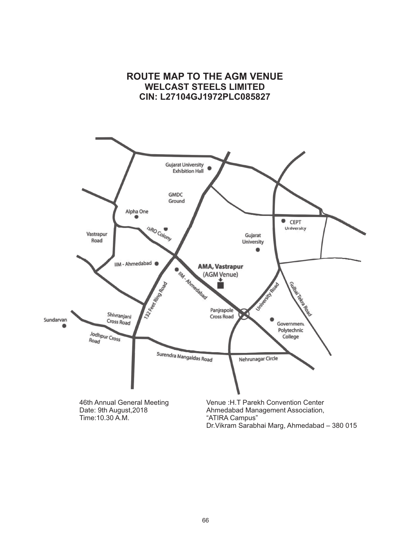

**ROUTE MAP TO THE AGM VENUE WELCAST STEELS LIMITED**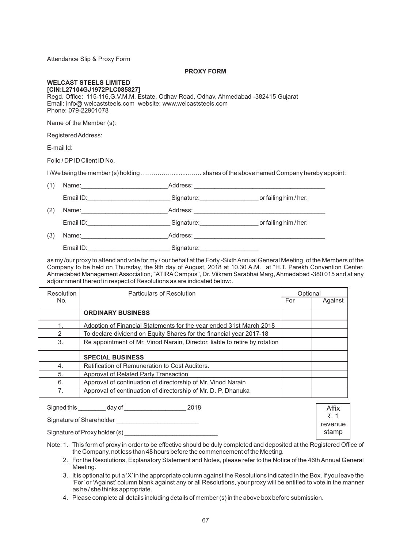Attendance Slip & Proxy Form

#### **PROXY FORM**

#### **WELCAST STEELS LIMITED [CIN:L27104GJ1972PLC085827]**

Regd. Office: 115-116,G.V.M.M. Estate, Odhav Road, Odhav, Ahmedabad -382415 Gujarat Email: info@ welcaststeels.com website: www.welcaststeels.com Phone: 079-22901078

Name of the Member (s):

RegisteredAddress:

E-mail Id:

Folio / DP ID Client ID No.

I /We being the member (s) holding ……………..........…… shares of the above named Company hereby appoint:

| (1) | Name: and the state of the state of the state of the state of the state of the state of the state of the state of the state of the state of the state of the state of the state of the state of the state of the state of the | Address:   |                       |
|-----|-------------------------------------------------------------------------------------------------------------------------------------------------------------------------------------------------------------------------------|------------|-----------------------|
|     | Email ID:                                                                                                                                                                                                                     | Signature: | or failing him / her: |
| (2) | Name:                                                                                                                                                                                                                         | Address:   |                       |
|     | Email ID:                                                                                                                                                                                                                     | Signature: | or failing him / her: |
| (3) | Name:                                                                                                                                                                                                                         | Address:   |                       |
|     | Email ID:                                                                                                                                                                                                                     | Signature: |                       |

as my /our proxy to attend and vote for my / our behalf at the Forty -Sixth Annual General Meeting of the Members of the Company to be held on Thursday, the 9th day of August, 2018 at 10.30 A.M. at "H.T. Parekh Convention Center, Ahmedabad ManagementAssociation, "ATIRACampus", Dr. Viikram Sarabhai Marg,Ahmedabad -380 015 and at any adjournment thereof in respect of Resolutions as are indicated below:.

| Resolution    | <b>Particulars of Resolution</b>                                           |     | Optional |  |
|---------------|----------------------------------------------------------------------------|-----|----------|--|
| No.           |                                                                            | For | Against  |  |
|               | <b>ORDINARY BUSINESS</b>                                                   |     |          |  |
|               | Adoption of Financial Statements for the year ended 31st March 2018        |     |          |  |
| $\mathcal{P}$ | To declare dividend on Equity Shares for the financial year 2017-18        |     |          |  |
| $\mathcal{B}$ | Re appointment of Mr. Vinod Narain, Director, liable to retire by rotation |     |          |  |
|               | <b>SPECIAL BUSINESS</b>                                                    |     |          |  |
| 4.            | Ratification of Remuneration to Cost Auditors.                             |     |          |  |
| 5.            | Approval of Related Party Transaction                                      |     |          |  |
| 6.            | Approval of continuation of directorship of Mr. Vinod Narain               |     |          |  |
| 7.            | Approval of continuation of directorship of Mr. D. P. Dhanuka              |     |          |  |

Signed this \_\_\_\_\_\_\_\_ day of \_\_\_\_\_\_\_\_\_\_\_\_\_\_\_\_\_\_ 2018

Signature of Shareholder \_\_\_\_\_\_\_\_\_\_\_\_\_\_\_\_\_\_\_\_\_\_\_\_

Signature of Proxy holder (s)

Note: 1. This form of proxy in order to be effective should be duly completed and deposited at the Registered Office of the Company, not less than 48 hours before the commencement of the Meeting.

2. For the Resolutions, Explanatory Statement and Notes, please refer to the Notice of the 46th Annual General Meeting.

Affix  $\overline{z}$ . 1 revenue stamp

3. It is optional to put a 'X' in the appropriate column against the Resolutions indicated in the Box. If you leave the 'For' or 'Against' column blank against any or all Resolutions, your proxy will be entitled to vote in the manner as he / she thinks appropriate.

4. Please complete all details including details of member (s) in the above box before submission.